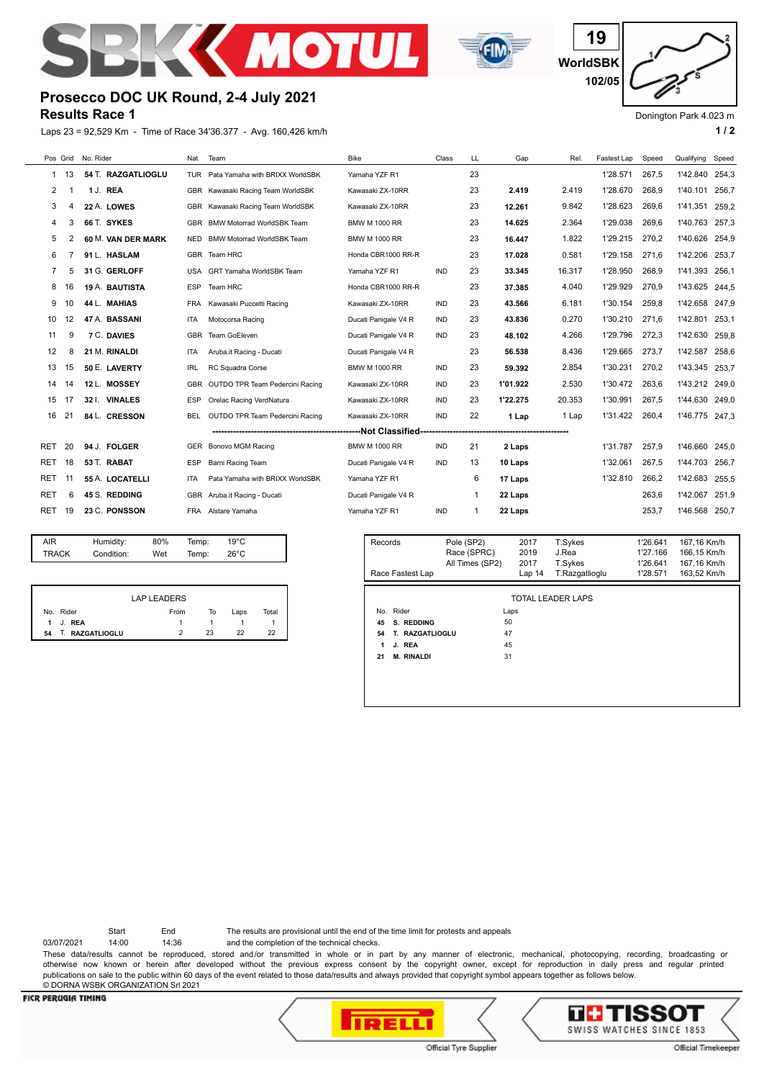



**WorldSBK 19 102/05**

Donington Park 4.023 m

## **Results Race 1 Prosecco DOC UK Round, 2-4 July 2021**

Laps 23 = 92,529 Km - Time of Race 34'36.377 - Avg. 160,426 km/h **1 and 2 1 and 2 1 a 1 a 1 a 1 a 1 a 1 a 1 a 1 a 1 a 1 a 1 a 1 a 1 a 1 a 1 a 1 a 1 a 1 a 1 a 1 a 1 a 1 a 1 a** 

| Pos Grid   |    | No. Rider          | Nat        | Team                              | <b>Bike</b>          | Class      | LL | Gap      | Rel.   | Fastest Lap | Speed | Qualifying     | Speed |
|------------|----|--------------------|------------|-----------------------------------|----------------------|------------|----|----------|--------|-------------|-------|----------------|-------|
| 1          | 13 | 54 T. RAZGATLIOGLU | <b>TUR</b> | Pata Yamaha with BRIXX WorldSBK   | Yamaha YZF R1        |            | 23 |          |        | 1'28.571    | 267,5 | 1'42.840       | 254,3 |
| 2          |    | 1 J. REA           |            | GBR Kawasaki Racing Team WorldSBK | Kawasaki ZX-10RR     |            | 23 | 2.419    | 2.419  | 1'28.670    | 268.9 | 1'40.101       | 256.7 |
| 3          | 4  | 22 A. LOWES        |            | GBR Kawasaki Racing Team WorldSBK | Kawasaki ZX-10RR     |            | 23 | 12.261   | 9.842  | 1'28.623    | 269.6 | 1'41.351       | 259.2 |
| 4          | 3  | 66 T. SYKES        | GBR        | <b>BMW Motorrad WorldSBK Team</b> | <b>BMW M 1000 RR</b> |            | 23 | 14.625   | 2.364  | 1'29.038    | 269.6 | 1'40.763       | 257.3 |
| 5          |    | 60 M. VAN DER MARK | <b>NED</b> | <b>BMW Motorrad WorldSBK Team</b> | <b>BMW M 1000 RR</b> |            | 23 | 16.447   | 1.822  | 1'29.215    | 270.2 | 1'40.626       | 254.9 |
| 6          |    | 91 L. HASLAM       | GBR        | Team HRC                          | Honda CBR1000 RR-R   |            | 23 | 17.028   | 0.581  | 1'29.158    | 271.6 | 1'42.206       | 253.7 |
|            | 5  | 31 G. GERLOFF      | <b>USA</b> | <b>GRT Yamaha WorldSBK Team</b>   | Yamaha YZF R1        | <b>IND</b> | 23 | 33.345   | 16.317 | 1'28.950    | 268.9 | 1'41.393       | 256.1 |
| 8          | 16 | 19 A. BAUTISTA     | <b>ESP</b> | Team HRC                          | Honda CBR1000 RR-R   |            | 23 | 37.385   | 4.040  | 1'29.929    | 270.9 | 1'43.625       | 244.5 |
| 9          | 10 | 44 L. MAHIAS       | <b>FRA</b> | Kawasaki Puccetti Racing          | Kawasaki ZX-10RR     | <b>IND</b> | 23 | 43.566   | 6.181  | 1'30.154    | 259,8 | 1'42.658       | 247,9 |
| 10         | 12 | 47 A. BASSANI      | <b>ITA</b> | Motocorsa Racing                  | Ducati Panigale V4 R | <b>IND</b> | 23 | 43.836   | 0.270  | 1'30.210    | 271,6 | 1'42.801       | 253.1 |
| 11         | 9  | 7 C. DAVIES        | <b>GBR</b> | Team GoEleven                     | Ducati Panigale V4 R | <b>IND</b> | 23 | 48.102   | 4.266  | 1'29.796    | 272.3 | 1'42.630       | 259.8 |
| 12         | 8  | 21 M. RINALDI      | <b>ITA</b> | Aruba.it Racing - Ducati          | Ducati Panigale V4 R |            | 23 | 56.538   | 8.436  | 1'29.665    | 273.7 | 1'42.587       | 258.6 |
| 13         | 15 | 50 E. LAVERTY      | <b>IRL</b> | RC Squadra Corse                  | <b>BMW M 1000 RR</b> | <b>IND</b> | 23 | 59.392   | 2.854  | 1'30.231    | 270.2 | 1'43.345       | 253.7 |
| 14         | 14 | 12 L. MOSSEY       | <b>GBR</b> | OUTDO TPR Team Pedercini Racing   | Kawasaki ZX-10RR     | <b>IND</b> | 23 | 1'01.922 | 2.530  | 1'30.472    | 263.6 | 1'43.212       | 249,0 |
| 15         | 17 | 32 I. VINALES      | <b>ESP</b> | Orelac Racing VerdNatura          | Kawasaki ZX-10RR     | <b>IND</b> | 23 | 1'22.275 | 20.353 | 1'30.991    | 267,5 | 1'44.630       | 249,0 |
| 16         | 21 | 84 L. CRESSON      | <b>BEL</b> | OUTDO TPR Team Pedercini Racing   | Kawasaki ZX-10RR     | <b>IND</b> | 22 | 1 Lap    | 1 Lap  | 1'31.422    | 260,4 | 1'46.775 247,3 |       |
|            |    |                    |            |                                   |                      | ------     |    |          |        |             |       |                |       |
| <b>RET</b> | 20 | 94 J. FOLGER       | GER        | Bonovo MGM Racing                 | <b>BMW M 1000 RR</b> | <b>IND</b> | 21 | 2 Laps   |        | 1'31.787    | 257,9 | 1'46.660       | 245.0 |
| <b>RET</b> | 18 | 53 T. RABAT        | <b>ESP</b> | Barni Racing Team                 | Ducati Panigale V4 R | <b>IND</b> | 13 | 10 Laps  |        | 1'32.061    | 267.5 | 1'44.703       | 256.7 |
| <b>RET</b> | 11 | 55 A. LOCATELLI    | <b>ITA</b> | Pata Yamaha with BRIXX WorldSBK   | Yamaha YZF R1        |            | 6  | 17 Laps  |        | 1'32.810    | 266.2 | 1'42.683       | 255.5 |
| <b>RET</b> | 6  | 45 S. REDDING      | GBR        | Aruba.it Racing - Ducati          | Ducati Panigale V4 R |            | 1  | 22 Laps  |        |             | 263,6 | 1'42.067       | 251.9 |
| <b>RET</b> | 19 | 23 C. PONSSON      | <b>FRA</b> | Alstare Yamaha                    | Yamaha YZF R1        | <b>IND</b> | 1  | 22 Laps  |        |             | 253.7 | 1'46.568       | 250.7 |
|            |    |                    |            |                                   |                      |            |    |          |        |             |       |                |       |

| AIR   | Humidity:  | 80% | Temp: | $19^{\circ}$ C |  |
|-------|------------|-----|-------|----------------|--|
| TRACK | Condition: | Wet | Temp: | $26^{\circ}$ C |  |
|       |            |     |       |                |  |

|    |                 | <b>LAP LEADERS</b> |    |      |       |
|----|-----------------|--------------------|----|------|-------|
|    | No. Rider       | From               | То | Laps | Total |
|    | 1 J. REA        |                    |    |      |       |
| 54 | T. RAZGATLIOGLU | $\mathcal{D}$      | 23 | つつ   | 22    |

| Records                 | Pole (SP2)      | 2017   | T.Sykes                  | 1'26.641 | 167,16 Km/h |
|-------------------------|-----------------|--------|--------------------------|----------|-------------|
|                         | Race (SPRC)     | 2019   | J.Rea                    | 1'27.166 | 166,15 Km/h |
|                         | All Times (SP2) | 2017   | T.Sykes                  | 1'26.641 | 167,16 Km/h |
| Race Fastest Lap        |                 | Lap 14 | T.Razgatlioglu           | 1'28.571 | 163,52 Km/h |
|                         |                 |        |                          |          |             |
|                         |                 |        | <b>TOTAL LEADER LAPS</b> |          |             |
| No. Rider               |                 | Laps   |                          |          |             |
| S. REDDING<br>45        | 50              |        |                          |          |             |
| 54<br>T. RAZGATLIOGLU   | 47              |        |                          |          |             |
| J. REA<br>1             | 45              |        |                          |          |             |
| 21<br><b>M. RINALDI</b> | 31              |        |                          |          |             |
|                         |                 |        |                          |          |             |
|                         |                 |        |                          |          |             |
|                         |                 |        |                          |          |             |

Start End The results are provisional until the end of the time limit for protests and appeals

03/07/2021 14:00 14:36 and the completion of the technical checks.

These data/results cannot be reproduced, stored and/or transmitted in whole or in part by any manner of electronic, mechanical, photocopying, recording, broadcasting or otherwise now known or herein after developed without the previous express consent by the copyright owner, except for reproduction in daily press and regular printed publications on sale to the public within 60 days of the event related to those data/results and always provided that copyright symbol appears together as follows below. © DORNA WSBK ORGANIZATION Srl 2021



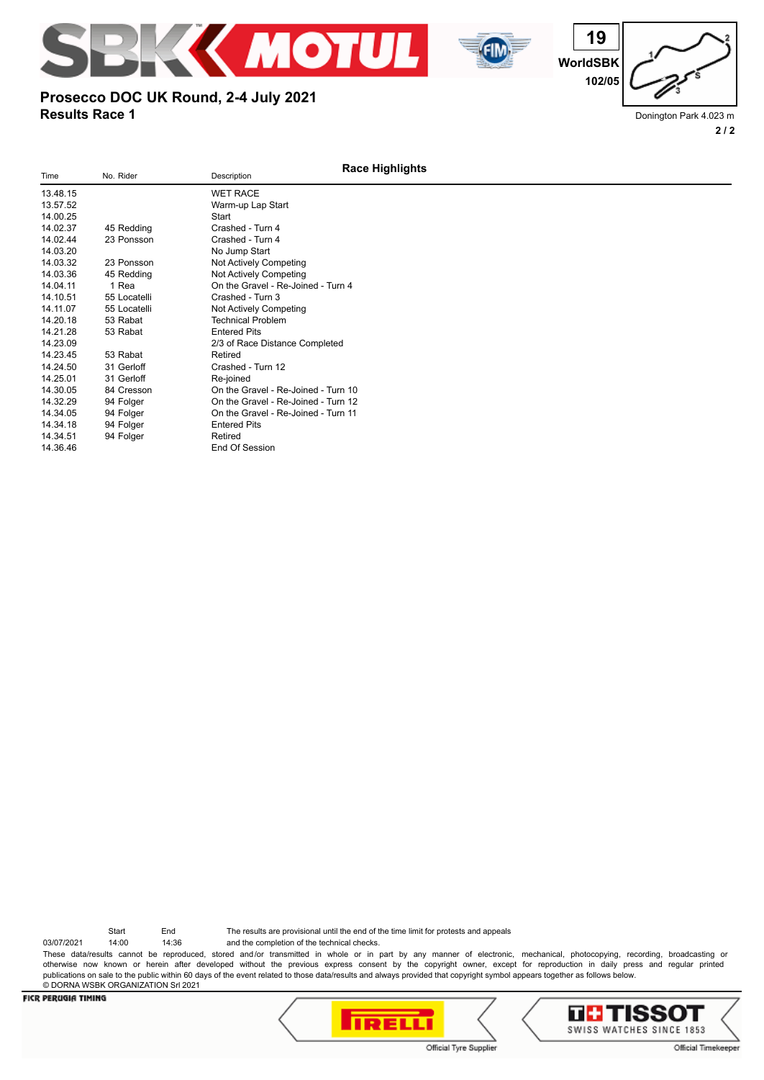





Donington Park 4.023 m **2 / 2**

## **Results Race 1 Prosecco DOC UK Round, 2-4 July 2021**

**Race Highlights** Time No. Rider No. Rider Description 13.48.15 WET RACE<br>13.57.52 Warm-up La Warm-up Lap Start<br>Start 14.00.25<br>14.02.37 45 Redding Crashed - Turn 4 14.02.44 23 Ponsson Crashed - Turn 4 14.03.20 No Jump Start<br>14.03.32 23 Ponsson Not Actively Co 14.03.32 23 Ponsson Not Actively Competing<br>14.03.36 45 Redding Not Actively Competing 14.03.36 45 Redding Not Actively Competing<br>14.04.11 1 Rea Contre Cravel - Re-Join 14.04.11 1 Rea Conte Gravel - Re-Joined - Turn 4<br>14.04.11 1 Rea Crashed - Turn 3 Crashed - Turn 3 14.11.07 55 Locatelli Not Actively Competing<br>14.20.18 53 Rabat Technical Problem 14.20.18 53 Rabat Technical Problem<br>14.21.28 53 Rabat Tentered Pits 14.21.28 53 Rabat Entered Pits<br>14.23.09 2/3 of Race 2/3 of Race Distance Completed<br>Retired 14.23.45 53 Rabat<br>14.24.50 31 Gerloff Crashed - Turn 12 14.25.01 31 Gerloff Re-joined 14.30.05 84 Cresson On the Gravel - Re-Joined - Turn 10 14.32.29 94 Folger On the Gravel - Re-Joined - Turn 12 14.34.05 94 Folger 0.1 Conthe Gravel - Re-Joined - Turn 11<br>14.34.18 94 Folger Entered Pits 14.34.18 94 Folger Entered Pits<br>14.34.51 94 Folger Retired 94 Folger 14.36.46 End Of Session

Start End The results are provisional until the end of the time limit for protests and appeals

03/07/2021 14:00 14:36 and the completion of the technical checks. These data/results cannot be reproduced, stored and/or transmitted in whole or in part by any manner of electronic, mechanical, photocopying, recording, broadcasting or otherwise now known or herein after developed without the previous express consent by the copyright owner, except for reproduction in daily press and regular printed publications on sale to the public within 60 days of the event related to those data/results and always provided that copyright symbol appears together as follows below. © DORNA WSBK ORGANIZATION Srl 2021



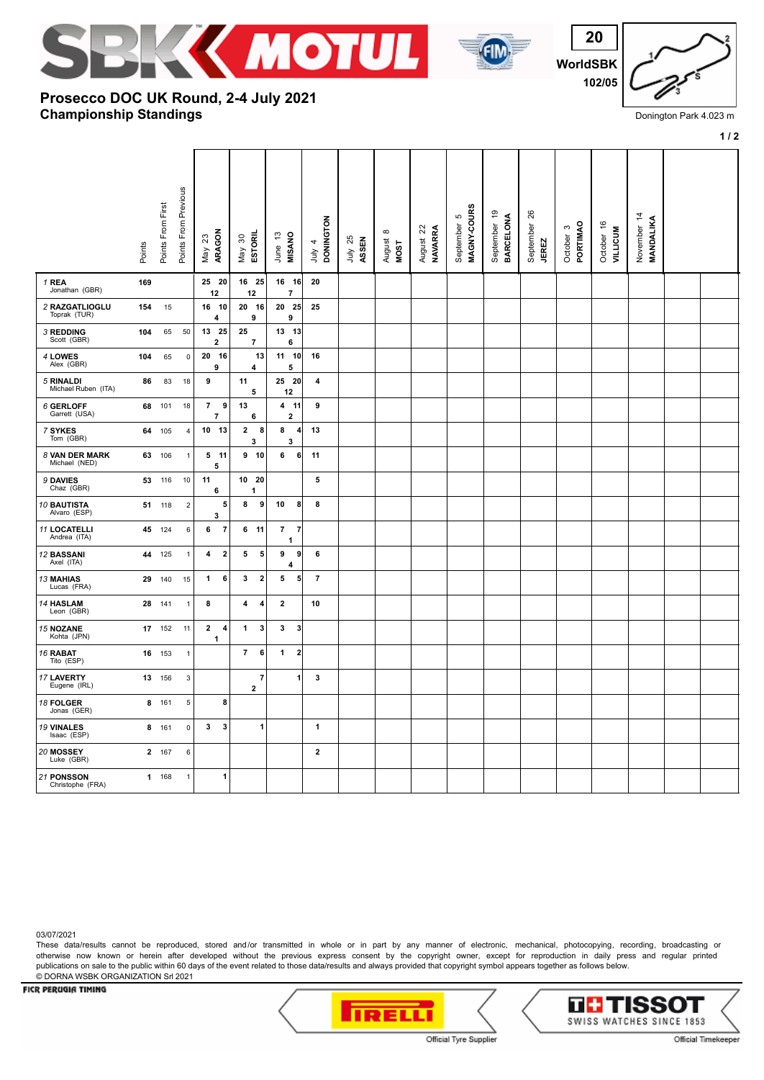

**8 4 4 2 10**

**7 6 1 2**

**3 3 1 1**

 $\begin{array}{|c|c|c|c|c|} \hline \hline \end{array}$  **1** 3

**2**

**2 4 1 3 3 3**

**8**

**1**





Donington Park 4.023 m

|                                  |        |                   |                      |                          |                        |                                       |                            |                    |                                   |                                                        |                                            |                           |                                 |                       |                               |                          | $1/2$ |
|----------------------------------|--------|-------------------|----------------------|--------------------------|------------------------|---------------------------------------|----------------------------|--------------------|-----------------------------------|--------------------------------------------------------|--------------------------------------------|---------------------------|---------------------------------|-----------------------|-------------------------------|--------------------------|-------|
|                                  | Points | Points From First | Points From Previous | ARAGON<br>$23\,$<br>Vay  | ESTORIL<br>May 30      | <b>MISANO</b><br>June 13              | <b>DONINGTON</b><br>July 4 | 25<br>ASSEN<br>ληr | $\infty$<br>August<br><b>MOST</b> | $\boldsymbol{\mathsf{22}}$<br><b>NAVARRA</b><br>August | MAGNY-COURS<br>$\mathfrak{S}$<br>September | September 19<br>BARCELONA | 26<br>September<br><b>JEREZ</b> | PORTIMAO<br>October 3 | October 16<br><b>VILLICUM</b> | November 14<br>MANDALIKA |       |
| 1 REA<br>Jonathan (GBR)          | 169    |                   |                      | 25 20<br>12              | 16 25<br>12            | $16$ 16<br>$\overline{7}$             | 20                         |                    |                                   |                                                        |                                            |                           |                                 |                       |                               |                          |       |
| 2 RAZGATLIOGLU<br>Toprak (TUR)   | 154    | 15                |                      | 16<br>10<br>4            | 20 16<br>9             | $20$ 25<br>9                          | 25                         |                    |                                   |                                                        |                                            |                           |                                 |                       |                               |                          |       |
| 3 REDDING<br>Scott (GBR)         | 104    | 65                | 50                   | 13<br>25<br>$\mathbf 2$  | 25<br>$\overline{7}$   | $13 \quad 13$<br>6                    |                            |                    |                                   |                                                        |                                            |                           |                                 |                       |                               |                          |       |
| 4 LOWES<br>Alex (GBR)            | 104    | 65                | $\mathsf 0$          | 20<br>16<br>9            | 13<br>4                | $11$ 10<br>5                          | 16                         |                    |                                   |                                                        |                                            |                           |                                 |                       |                               |                          |       |
| 5 RINALDI<br>Michael Ruben (ITA) | 86     | 83                | 18                   | 9                        | 11<br>5                | $25$ 20<br>12                         | 4                          |                    |                                   |                                                        |                                            |                           |                                 |                       |                               |                          |       |
| 6 GERLOFF<br>Garrett (USA)       |        | 68 101            | 18                   | $\overline{7}$<br>9<br>7 | 13<br>6                | 4 11<br>$\overline{2}$                | 9                          |                    |                                   |                                                        |                                            |                           |                                 |                       |                               |                          |       |
| 7 SYKES<br>Tom (GBR)             | 64     | 105               | 4                    | 10 13                    | $\mathbf{2}$<br>8<br>3 | 8<br>$\vert$<br>3                     | 13                         |                    |                                   |                                                        |                                            |                           |                                 |                       |                               |                          |       |
| 8 VAN DER MARK<br>Michael (NED)  |        | 63 106            | $\mathbf{1}$         | $5$ 11<br>5              | 9 10                   | 6<br>6 <sup>1</sup>                   | 11                         |                    |                                   |                                                        |                                            |                           |                                 |                       |                               |                          |       |
| 9 DAVIES<br>Chaz (GBR)           | 53     | 116               | 10                   | 11<br>6                  | 10 20<br>1             |                                       | 5                          |                    |                                   |                                                        |                                            |                           |                                 |                       |                               |                          |       |
| 10 BAUTISTA<br>Alvaro (ESP)      | 51     | 118               | $\overline{2}$       | 5<br>3                   | 8<br>9                 | 10<br>8                               | 8                          |                    |                                   |                                                        |                                            |                           |                                 |                       |                               |                          |       |
| 11 LOCATELLI<br>Andrea (ITA)     | 45     | 124               | 6                    | 6<br>$\overline{7}$      | 6 <sub>11</sub>        | $\overline{7}$<br>$\overline{7}$<br>1 |                            |                    |                                   |                                                        |                                            |                           |                                 |                       |                               |                          |       |
| 12 <b>BASSANI</b><br>Axel (ITA)  | 44     | 125               | $\mathbf{1}$         | $\mathbf{2}$<br>4        | 5<br>5                 | 9<br>9<br>4                           | 6                          |                    |                                   |                                                        |                                            |                           |                                 |                       |                               |                          |       |
| <b>13 MAHIAS</b><br>Lucas (FRA)  | 29     | 140               | 15                   | 1<br>6                   | 3<br>$\overline{2}$    | 5<br>5 <sup>1</sup>                   | $\overline{7}$             |                    |                                   |                                                        |                                            |                           |                                 |                       |                               |                          |       |

## **Championship Standings Prosecco DOC UK Round, 2-4 July 2021**

03/07/2021

 *14* **HASLAM 28** 141 1 Leon (GBR)

 *16* **RABAT 16** 153 1 Tito (ESP)

 *18* **FOLGER 8** 161 5 Jonas (GER)

 *19* **VINALES 8** 161 0 Isaac (ESP)

 *20* **MOSSEY 2** 167 6 Luke (GBR)

 *21* **PONSSON 1** 168 1 Christophe (FRA)

 *15* **NOZANE 17** 152 11 Kohta (JPN) **1**

 *17* **LAVERTY 13** 156 3 Eugene (IRL) **2**

These data/results cannot be reproduced, stored and/or transmitted in whole or in part by any manner of electronic, mechanical, photocopying, recording, broadcasting or otherwise now known or herein after developed without the previous express consent by the copyright owner, except for reproduction in daily press and regular printed publications on sale to the public within 60 days of the event related to those data/results and always provided that copyright symbol appears together as follows below. © DORNA WSBK ORGANIZATION Srl 2021



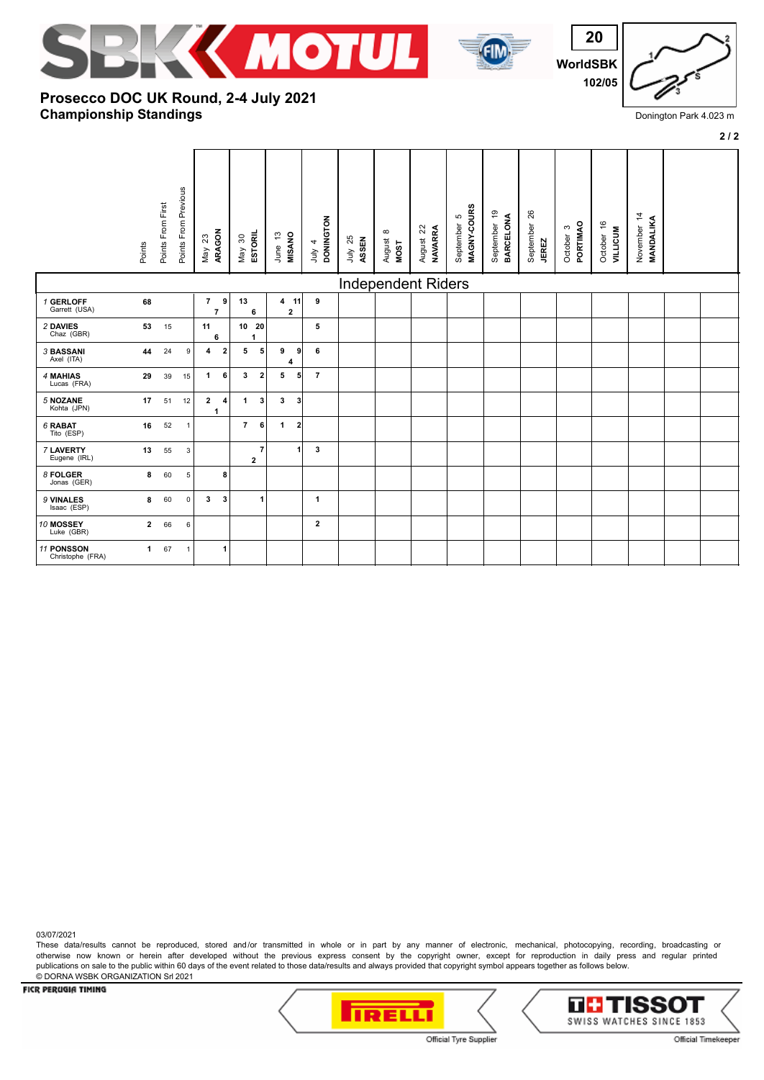





**2 / 2**

# **Championship Standings Prosecco DOC UK Round, 2-4 July 2021**

|                                | Points       | Points From First | Points From Previous | ARAGON<br>$23\,$<br>Nay                 | ESTORIL<br>May 30              | <b>MISANO</b><br>June 13     | <b>DONINGTON</b><br>July $4$ | July 25<br>ASSEN | $\infty$<br>August<br>MOST | August 22<br><b>NAVARRA</b> | MAGNY-COURS<br>Ю<br>September | September 19<br><b>BARCELONA</b> | 26<br>September<br><b>JEREZ</b> | PORTIMAO<br>October 3 | October 16<br><b>AILLICUM</b> | November 14<br>MANDALIKA |  |
|--------------------------------|--------------|-------------------|----------------------|-----------------------------------------|--------------------------------|------------------------------|------------------------------|------------------|----------------------------|-----------------------------|-------------------------------|----------------------------------|---------------------------------|-----------------------|-------------------------------|--------------------------|--|
|                                |              |                   |                      |                                         |                                |                              |                              |                  | <b>Independent Riders</b>  |                             |                               |                                  |                                 |                       |                               |                          |  |
| 1 GERLOFF<br>Garrett (USA)     | 68           |                   |                      | $\overline{7}$<br>9<br>$\overline{7}$   | 13<br>6                        | 4 11<br>$\mathbf{2}$         | 9                            |                  |                            |                             |                               |                                  |                                 |                       |                               |                          |  |
| 2 DAVIES<br>Chaz (GBR)         | 53           | 15                |                      | 11<br>6                                 | 10 20<br>1                     |                              | 5                            |                  |                            |                             |                               |                                  |                                 |                       |                               |                          |  |
| 3 BASSANI<br>Axel (ITA)        | 44           | 24                | 9                    | 4<br>$\overline{2}$                     | 5<br>5                         | 9<br>9<br>4                  | 6                            |                  |                            |                             |                               |                                  |                                 |                       |                               |                          |  |
| 4 MAHIAS<br>Lucas (FRA)        | 29           | 39                | 15                   | $\mathbf{1}$<br>6                       | $\mathbf{3}$<br>$\overline{2}$ | 5<br>5 <sup>1</sup>          | $\overline{7}$               |                  |                            |                             |                               |                                  |                                 |                       |                               |                          |  |
| 5 NOZANE<br>Kohta (JPN)        | 17           | 51                | 12                   | $\mathbf{2}$<br>4<br>1                  | $\mathbf{1}$<br>3              | $\mathbf{3}$<br>$\mathbf{3}$ |                              |                  |                            |                             |                               |                                  |                                 |                       |                               |                          |  |
| 6 RABAT<br>Tito (ESP)          | 16           | 52                | $\overline{1}$       |                                         | $\overline{7}$<br>6            | $\mathbf{1}$<br>$\mathbf{2}$ |                              |                  |                            |                             |                               |                                  |                                 |                       |                               |                          |  |
| 7 LAVERTY<br>Eugene (IRL)      | 13           | 55                | 3                    |                                         | $\overline{7}$<br>$\mathbf{2}$ | 1                            | 3                            |                  |                            |                             |                               |                                  |                                 |                       |                               |                          |  |
| 8 FOLGER<br>Jonas (GER)        | 8            | 60                | 5                    | 8                                       |                                |                              |                              |                  |                            |                             |                               |                                  |                                 |                       |                               |                          |  |
| 9 VINALES<br>Isaac (ESP)       | 8            | 60                | $\mathsf 0$          | $\overline{\mathbf{3}}$<br>$\mathbf{3}$ | $\mathbf{1}$                   |                              | $\mathbf{1}$                 |                  |                            |                             |                               |                                  |                                 |                       |                               |                          |  |
| 10 MOSSEY<br>Luke (GBR)        | $\mathbf{2}$ | 66                | $\,6\,$              |                                         |                                |                              | $\mathbf{2}$                 |                  |                            |                             |                               |                                  |                                 |                       |                               |                          |  |
| 11 PONSSON<br>Christophe (FRA) | $\mathbf{1}$ | 67                | $\overline{1}$       | $\mathbf{1}$                            |                                |                              |                              |                  |                            |                             |                               |                                  |                                 |                       |                               |                          |  |

03/07/2021

These data/results cannot be reproduced, stored and/or transmitted in whole or in part by any manner of electronic, mechanical, photocopying, recording, broadcasting or otherwise now known or herein after developed without the previous express consent by the copyright owner, except for reproduction in daily press and regular printed publications on sale to the public within 60 days of the event related to those data/results and always provided that copyright symbol appears together as follows below. © DORNA WSBK ORGANIZATION Srl 2021

**TRELLI** 

### FICR PERUGIA TIMING



TH TISS(

Official Tyre Supplier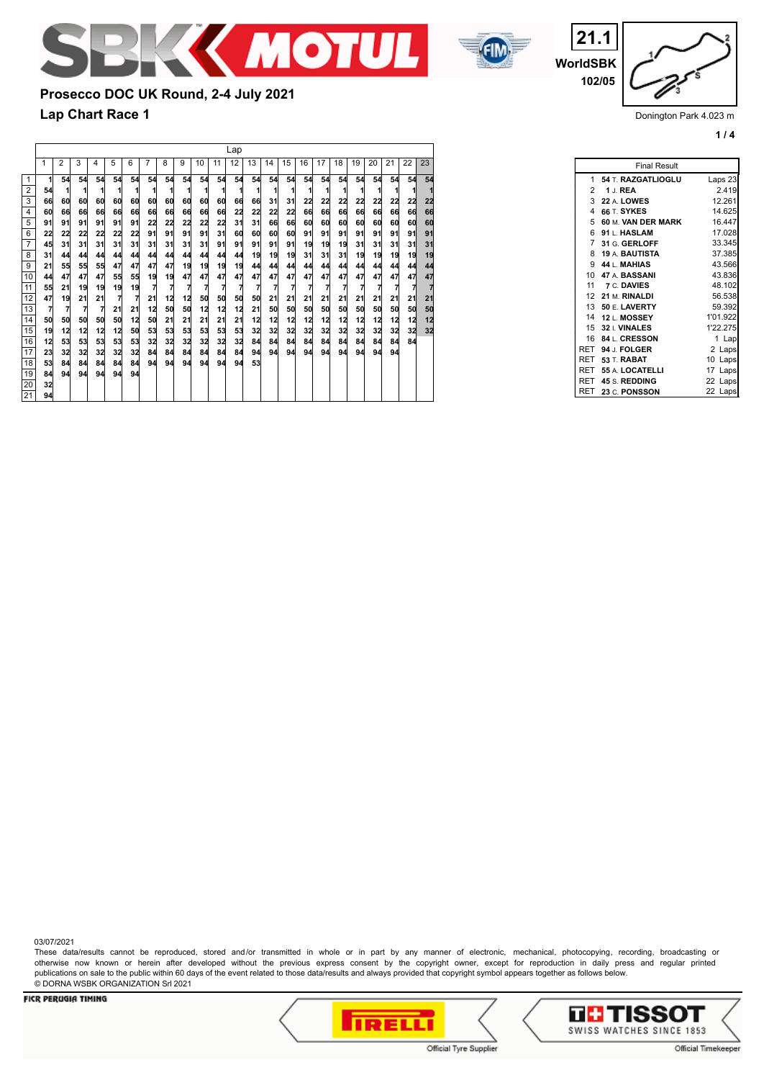



**WorldSBK 21.1 102/05**

Donington Park 4.023 m

**1 / 4**

Lap 2 3 4 5 6 7 8 9 10 11 12 13 14 15 16 17 18 19 20 21 22 23 **1 54 54 54 54 54 54 54 54 54 54 54 54 54 54 54 54 54 54 54 54 54 54 54 1 1 1 1 1 1 1 1 1 1 1 1 1 1 1 1 1 1 1 1 1 1 66 60 60 60 60 60 60 60 60 60 60 66 66 31 31 22 22 22 22 22 22 22 22 60 66 66 66 66 66 66 66 66 66 66 22 22 22 22 66 66 66 66 66 66 66 66 91 91 91 91 91 91 22 22 22 22 22 31 31 66 66 60 60 60 60 60 60 60 60** 6 | 22 22 22 22 22 22 22 91 91 91 91 31 60 60 60 60 91 91 91 91 91 91 91 91 **45 31 31 31 31 31 31 31 31 31 91 91 91 91 91 19 19 19 31 31 31 31 31 31 44 44 44 44 44 44 44 44 44 44 44 19 19 19 31 31 31 19 19 19 19 19 21 55 55 55 47 47 47 47 19 19 19 19 44 44 44 44 44 44 44 44 44 44 44 44 47 47 47 55 55 19 19 47 47 47 47 47 47 47 47 47 47 47 47 47 47 47 55 21 19 19 19 19 7 7 7 7 7 7 7 7 7 7 7 7 7 7 7 7 7** 12 47 19 21 21 7 7 21 12 13 50 50 50 50 21 21 21 21 21 21 21 21 21 21 **7 7 7 7 21 21 12 50 50 12 12 12 21 50 50 50 50 50 50 50 50 50 50 50 50 50 50 50 12 50 21 21 21 21 21 12 12 12 12 12 12 12 12 12 12 12** 15 | 19 12 12 12 12 50 53 53 53 53 53 53 32 32 32 32 32 32 32 32 32 32 32 32 **12 53 53 53 53 53 32 32 32 32 32 32 84 84 84 84 84 84 84 84 84 84 23 32 32 32 32 32 84 84 84 84 84 84 94 94 94 94 94 94 94 94 94 53 84 84 84 84 84 94 94 94 94 94 94 53 84 94 94 94 94 94** 54 66 60 91 22 45 31 21 44 55 47 7 50 19 12 23 53 44 32 1<br>
2<br>
3<br>
4<br>
5<br>
6<br>
7<br>
8<br>
9<br>
10<br>
11<br>
12<br>
13<br>
14<br>
5<br>
10<br>
11<br>
14<br>
5<br>
16<br>
14<br>
14<br>
14<br>
19<br>
22<br>

**Lap Chart Race 1**

**Prosecco DOC UK Round, 2-4 July 2021**

|                | <b>Final Result</b>  |          |
|----------------|----------------------|----------|
|                | 1 54 T. RAZGATLIOGLU | Laps 23  |
|                | 2 1 J. REA           | 2.419    |
|                | 3 22 A. LOWES        | 12.261   |
| $\overline{4}$ | 66 T. SYKES          | 14.625   |
| 5              | 60 M. VAN DER MARK   | 16.447   |
| 6              | 91 L. HASLAM         | 17.028   |
|                | 7 31 G. GERLOFF      | 33.345   |
|                | 8 19 A. BAUTISTA     | 37.385   |
|                | $9.44 L$ MAHIAS      | 43.566   |
|                | 10 47 A. BASSANI     | 43.836   |
|                | 11 7 C. DAVIES       | 48.102   |
|                | 12 21 M. RINALDI     | 56.538   |
|                | 13 50 E. LAVERTY     | 59.392   |
|                | 14 12 L. MOSSEY      | 1'01.922 |
|                | 15 32 I. VINALES     | 1'22.275 |
| 16             | 84 L. CRESSON        | 1 Lap    |
| RET            | 94 J. FOLGER         | 2 Laps   |
|                | RET 53 T. RABAT      | 10 Laps  |
|                | RET 55 A. LOCATELLI  | 17 Laps  |
| RET            | 45 S. REDDING        | 22 Laps  |
| RET            | 23 C. PONSSON        | 22 Laps  |

03/07/2021

These data/results cannot be reproduced, stored and/or transmitted in whole or in part by any manner of electronic, mechanical, photocopying, recording, broadcasting or otherwise now known or herein after developed without the previous express consent by the copyright owner, except for reproduction in daily press and regular printed publications on sale to the public within 60 days of the event related to those data/results and always provided that copyright symbol appears together as follows below. © DORNA WSBK ORGANIZATION Srl 2021



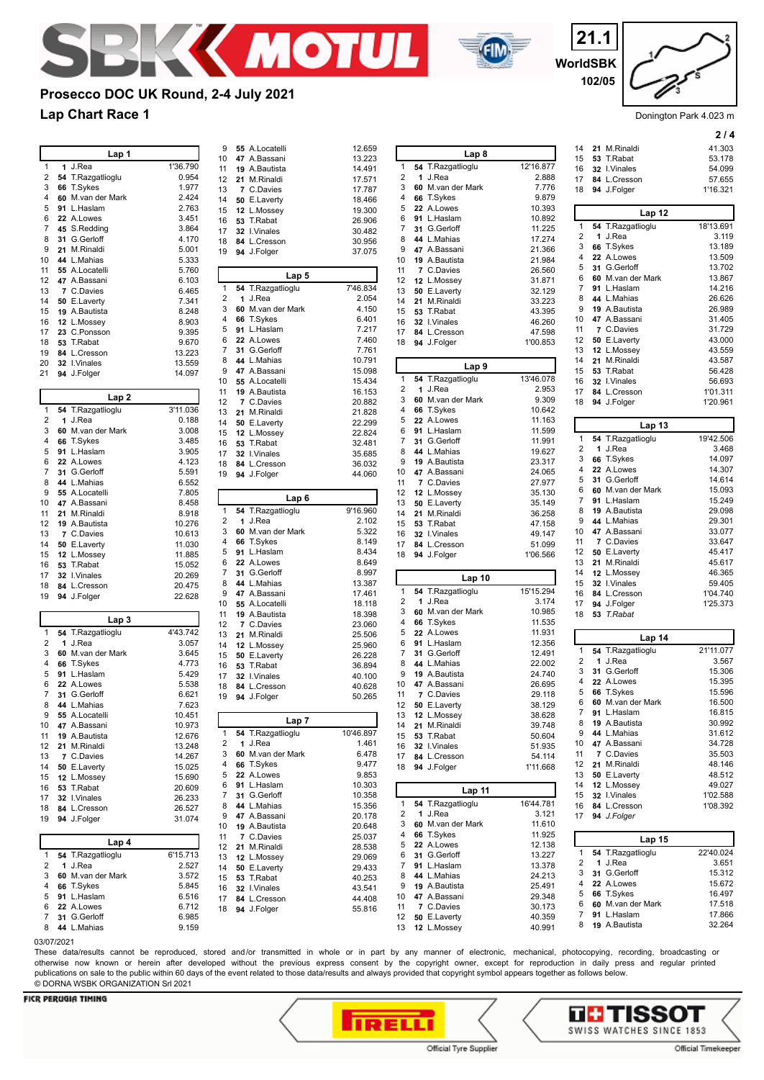



**WorldSBK 21.1 102/05**

Donington Park 4.023 m

**2 / 4**

## **Lap Chart Race 1 Prosecco DOC UK Round, 2-4 July 2021**

|        |            | Lap 1                           |                   | 9            | 55 A.Locatelli    |
|--------|------------|---------------------------------|-------------------|--------------|-------------------|
|        |            | 1 J.Rea                         |                   | 10           | 47 A.Bassani      |
| 1<br>2 |            |                                 | 1'36.790<br>0.954 | 11           | 19 A.Bautista     |
| 3      |            | 54 T.Razgatlioglu               |                   | 12           | 21 M.Rinaldi      |
| 4      |            | 66 T.Sykes<br>60 M.van der Mark | 1.977             | 13           | 7 C.Davies        |
|        |            |                                 | 2.424             | 14           | 50 E.Laverty      |
| 5      |            | 91 L.Haslam                     | 2.763             | 15           | 12 L.Mossey       |
| 6      |            | 22 A.Lowes                      | 3.451             | 16           | 53 T.Rabat        |
| 7      |            | 45 S.Redding                    | 3.864             | 17           | 32 I.Vinales      |
| 8      |            | 31 G.Gerloff                    | 4.170             | 18           | 84 L.Cresson      |
| 9      |            | 21 M.Rinaldi                    | 5.001             | 19           | 94 J.Folger       |
| 10     |            | 44 L.Mahias                     | 5.333             |              |                   |
| 11     |            | 55 A.Locatelli                  | 5.760             |              | Lap 5             |
| 12     |            | 47 A.Bassani                    | 6.103             | $\mathbf{1}$ | 54 T.Razgatlioglu |
| 13     |            | 7 C.Davies                      | 6.465             | 2            | 1 J.Rea           |
| 14     |            | 50 E.Laverty                    | 7.341             | 3            | 60 M.van der Mark |
| 15     |            | 19 A.Bautista                   | 8.248             | 4            | 66 T.Sykes        |
| 16     |            | 12 L.Mossey                     | 8.903             |              | 91 L.Haslam       |
| 17     |            | 23 C.Ponsson                    | 9.395             | 5            |                   |
| 18     |            | 53 T.Rabat                      | 9.670             | 6            | 22 A.Lowes        |
| 19     |            | 84 L.Cresson                    | 13.223            | 7            | 31 G.Gerloff      |
| 20     |            | 32 I.Vinales                    | 13.559            | 8            | 44 L.Mahias       |
| 21     |            | 94 J.Folger                     | 14.097            | 9            | 47 A.Bassani      |
|        |            |                                 |                   | 10           | 55 A.Locatelli    |
|        |            | Lap <sub>2</sub>                |                   | 11           | 19 A.Bautista     |
|        |            |                                 |                   | 12           | 7 C.Davies        |
| 1      |            | 54 T.Razgatlioglu               | 3'11.036          | 13           | 21 M.Rinaldi      |
| 2      |            | 1 J.Rea                         | 0.188             | 14           | 50 E.Laverty      |
| 3      |            | 60 M.van der Mark               | 3.008             | 15           | 12 L.Mossey       |
| 4      |            | 66 T.Sykes                      | 3.485             | 16           | 53 T.Rabat        |
| 5      |            | 91 L.Haslam                     | 3.905             | 17           | 32 I.Vinales      |
| 6      |            | 22 A.Lowes                      | 4.123             | 18           | 84 L.Cresson      |
| 7      |            | 31 G.Gerloff                    | 5.591             | 19           | 94 J.Folger       |
| 8      |            | 44 L.Mahias                     | 6.552             |              |                   |
| 9      |            | 55 A.Locatelli                  | 7.805             |              |                   |
| 10     |            | 47 A.Bassani                    | 8.458             |              | Lap 6             |
| 11     |            | 21 M.Rinaldi                    | 8.918             | 1            | 54 T.Razgatlioglu |
| 12     |            | 19 A.Bautista                   | 10.276            | 2            | 1 J.Rea           |
| 13     |            | 7 C.Davies                      | 10.613            | 3            | 60 M.van der Mark |
| 14     |            | 50 E.Laverty                    | 11.030            | 4            | 66 T.Sykes        |
| 15     |            | 12 L.Mossey                     | 11.885            | 5            | 91 L.Haslam       |
| 16     |            | 53 T.Rabat                      | 15.052            | 6            | 22 A.Lowes        |
| 17     |            |                                 |                   |              | 31 G.Gerloff      |
|        |            |                                 |                   | 7            |                   |
|        |            | 32 I.Vinales                    | 20.269            |              |                   |
| 18     |            | 84 L.Cresson                    | 20.475            | 8            | 44 L.Mahias       |
| 19     |            | 94 J.Folger                     | 22.628            | 9            | 47 A.Bassani      |
|        |            |                                 |                   | 10           | 55 A.Locatelli    |
|        |            | Lap 3                           |                   | 11           | 19 A.Bautista     |
| 1      |            |                                 | 4'43.742          | 12           | 7 C.Davies        |
| 2      |            | 54 T.Razgatlioglu<br>1 J.Rea    | 3.057             | 13           | 21 M.Rinaldi      |
| 3      |            | 60 M.van der Mark               | 3.645             | 14           | 12 L.Mossey       |
| 4      |            |                                 |                   | 15           | 50 E.Laverty      |
|        |            | 66 T.Sykes                      | 4.773             | 16           | 53 T.Rabat        |
| 5      |            | 91 L.Haslam                     | 5.429             | 17           | 32 I.Vinales      |
| 6<br>7 |            | 22 A.Lowes<br>31 G.Gerloff      | 5.538             | 18           | 84 L.Cresson      |
|        |            |                                 | 6.621             | 19           | 94 J.Folger       |
| 8      |            | 44 L.Mahias                     | 7.623             |              |                   |
| 9      |            | 55 A.Locatelli                  | 10.451            |              | Lap 7             |
| 10     |            | 47 A.Bassani                    | 10.973            | 1            | 54 T.Razgatlioglu |
| 11     |            | 19 A.Bautista                   | 12.676            | 2            | 1 J.Rea           |
| 12     |            | 21 M.Rinaldi                    | 13.248            |              |                   |
| 13     |            | 7 C.Davies                      | 14.267            | 3            | 60 M.van der Mark |
| 14     |            | 50 E.Laverty                    | 15.025            | 4            | 66 T.Sykes        |
| 15     |            | 12 L.Mossey                     | 15.690            | 5            | 22 A.Lowes        |
| 16     |            | 53 T.Rabat                      | 20.609            | 6            | 91 L.Haslam       |
| 17     |            | 32 I.Vinales                    | 26.233            | 7            | 31 G.Gerloff      |
| 18     |            | 84 L.Cresson                    | 26.527            | 8            | 44 L.Mahias       |
| 19     |            | 94 J.Folger                     | 31.074            | 9            | 47 A.Bassani      |
|        |            |                                 |                   | 10           | 19 A.Bautista     |
|        |            | Lap 4                           |                   | 11           | 7 C.Davies        |
|        |            |                                 |                   | 12           | 21 M.Rinaldi      |
| 1      |            | 54 T.Razgatlioglu               | 6'15.713          | 13           | 12 L.Mossey       |
| 2      |            | 1 J.Rea                         | 2.527             | 14           | 50 E.Laverty      |
| 3      |            | 60 M.van der Mark               | 3.572             | 15           | 53 T.Rabat        |
| 4      |            | 66 T.Sykes                      | 5.845             | 16           | 32 I.Vinales      |
| 5      |            | 91 L.Haslam                     | 6.516             | 17           | 84 L.Cresson      |
| 6      |            | 22 A.Lowes                      | 6.712             | 18           | 94 J.Folger       |
| 7      |            | 31 G.Gerloff                    | 6.985             |              |                   |
| 8      | 02/07/2004 | 44 L.Mahias                     | 9.159             |              |                   |

| 9            | 55 A.Locatelli       | 12.659    |          |                             |                  |
|--------------|----------------------|-----------|----------|-----------------------------|------------------|
| 10           | 47 A.Bassani         | 13.223    |          | Lap 8                       |                  |
| 11           | <b>19</b> A.Bautista | 14.491    | 1        | 54 T.Razgatlioglu           | 12'16.877        |
| 12           | 21 M.Rinaldi         | 17.571    | 2        | 1 J.Rea                     | 2.888            |
| 13           | 7 C.Davies           | 17.787    | 3        | 60 M.van der Mark           | 7.776            |
| 14           | 50 E.Laverty         | 18.466    | 4        | 66 T.Sykes                  | 9.879            |
| 15           | 12 L.Mossey          | 19.300    | 5        | 22 A.Lowes                  | 10.393           |
| 16           | 53 T.Rabat           | 26.906    | 6        | 91 L.Haslam                 | 10.892           |
| 17           | 32 I.Vinales         | 30.482    | 7        | 31 G.Gerloff                | 11.225           |
| 18           | 84 L.Cresson         | 30.956    | 8        | 44 L.Mahias                 | 17.274           |
| 19           | 94 J.Folger          | 37.075    | 9        | 47 A.Bassani                | 21.366           |
|              |                      |           | 10       | 19 A.Bautista               | 21.984           |
|              |                      |           | 11       | 7 C.Davies                  | 26.560           |
|              | Lap 5                |           | 12       | 12 L.Mossey                 | 31.871           |
| $\mathbf{1}$ | 54 T.Razgatlioglu    | 7'46.834  | 13       | 50 E.Laverty                | 32.129           |
| 2            | 1 J.Rea              | 2.054     | 14       | 21 M.Rinaldi                | 33.223           |
| 3            | 60 M.van der Mark    | 4.150     | 15       | 53 T.Rabat                  | 43.395           |
| 4            | 66 T.Sykes           | 6.401     | 16       | 32 I.Vinales                | 46.260           |
| 5            | 91 L.Haslam          | 7.217     | 17       | 84 L.Cresson                | 47.598           |
| 6            | 22 A.Lowes           | 7.460     | 18       | 94 J.Folger                 | 1'00.853         |
| 7            | 31 G.Gerloff         | 7.761     |          |                             |                  |
| 8            | 44 L.Mahias          | 10.791    |          |                             |                  |
| 9            | 47 A.Bassani         | 15.098    |          | Lap 9                       |                  |
| 10           | 55 A.Locatelli       | 15.434    | 1        | 54 T.Razgatlioglu           | 13'46.078        |
| 11           | 19 A.Bautista        | 16.153    | 2        | 1 J.Rea                     | 2.953            |
| 12           | 7 C.Davies           | 20.882    | 3        | 60 M.van der Mark           | 9.309            |
| 13           | 21 M.Rinaldi         | 21.828    | 4        | 66 T.Sykes                  | 10.642           |
| 14           | 50 E.Laverty         | 22.299    | 5        | 22 A.Lowes                  | 11.163           |
| 15           | 12 L.Mossey          | 22.824    | 6        | 91 L.Haslam                 | 11.599           |
| 16           | 53 T.Rabat           | 32.481    | 7        | 31 G.Gerloff                | 11.991           |
| 17           | 32 I.Vinales         | 35.685    | 8        | 44 L.Mahias                 | 19.627           |
| 18           | 84 L.Cresson         | 36.032    | 9        | 19 A.Bautista               | 23.317           |
| 19           | 94 J.Folger          | 44.060    | 10       | 47 A.Bassani                | 24.065           |
|              |                      |           | 11       | 7 C.Davies                  | 27.977           |
|              |                      |           | 12       | 12 L.Mossey                 | 35.130           |
|              | Lap 6                |           | 13       | 50 E.Laverty                | 35.149           |
| 1            | 54 T.Razgatlioglu    | 9'16.960  | 14       | 21 M.Rinaldi                | 36.258           |
| 2            | 1 J.Rea              | 2.102     | 15       | 53 T.Rabat                  | 47.158           |
| 3            | 60 M.van der Mark    | 5.322     | 16       | 32 I.Vinales                | 49.147           |
|              |                      |           |          |                             |                  |
| 4            | 66 T.Sykes           | 8.149     |          |                             |                  |
| 5            | 91 L.Haslam          | 8.434     | 17       | 84 L.Cresson                | 51.099           |
| 6            | 22 A.Lowes           | 8.649     | 18       | 94 J.Folger                 | 1'06.566         |
| 7            | 31 G.Gerloff         | 8.997     |          |                             |                  |
| 8            | 44 L.Mahias          | 13.387    |          | Lap 10                      |                  |
| 9            | 47 A.Bassani         | 17.461    | 1        | 54 T.Razgatlioglu           | 15'15.294        |
| 10           | 55 A.Locatelli       | 18.118    | 2        | 1 J.Rea                     | 3.174            |
| 11           | 19 A.Bautista        | 18.398    | 3        | 60 M.van der Mark           | 10.985           |
| 12           |                      |           | 4        | 66 T.Sykes                  | 11.535           |
|              | 7 C.Davies           | 23.060    | 5        | 22 A.Lowes                  | 11.931           |
| 13           | 21 M.Rinaldi         | 25.506    | 6        | 91 L.Haslam                 | 12.356           |
| 14           | 12 L.Mossey          | 25.960    | 7        | 31 G.Gerloff                | 12.491           |
| 15           | 50 E.Laverty         | 26.228    | 8        | 44 L.Mahias                 | 22.002           |
| 16           | 53 T.Rabat           | 36.894    | 9        | 19 A.Bautista               | 24.740           |
| 17           | 32 I.Vinales         | 40.100    | 10       | 47 A.Bassani                | 26.695           |
| 18           | 84 L.Cresson         | 40.628    | 11       | 7 C.Davies                  | 29.118           |
| 19           | 94 J.Folger          | 50.265    | 12       |                             | 38.129           |
|              |                      |           | 13       | 50 E.Laverty<br>12 L.Mossey | 38.628           |
|              | Lap 7                |           |          |                             |                  |
| 1            | 54 T.Razgatlioglu    | 10'46.897 | 14       | 21 M.Rinaldi                | 39.748           |
| 2            | 1 J.Rea              | 1.461     | 15       | 53 T.Rabat                  | 50.604           |
| 3            | 60 M.van der Mark    | 6.478     | 16       | 32 I.Vinales                | 51.935           |
| 4            | 66 T.Sykes           | 9.477     | 17       | 84 L.Cresson                | 54.114           |
| 5            | 22 A.Lowes           | 9.853     | 18       | 94 J.Folger                 | 1'11.668         |
| 6            | 91 L.Haslam          | 10.303    |          |                             |                  |
| 7            | 31 G.Gerloff         | 10.358    |          | Lap 11                      |                  |
| 8            | 44 L.Mahias          | 15.356    | 1        | 54 T.Razgatlioglu           | 16'44.781        |
|              |                      |           | 2        | 1 J.Rea                     | 3.121            |
| 9            | 47 A.Bassani         | 20.178    | 3        | 60 M.van der Mark           | 11.610           |
| 10           | 19 A.Bautista        | 20.648    | 4        | 66 T.Sykes                  | 11.925           |
| 11           | 7 C.Davies           | 25.037    | 5        | 22 A.Lowes                  | 12.138           |
| 12           | 21 M.Rinaldi         | 28.538    | 6        | 31 G.Gerloff                | 13.227           |
| 13           | 12 L.Mossey          | 29.069    | 7        | 91 L.Haslam                 | 13.378           |
| 14           | 50 E.Laverty         | 29.433    | 8        | 44 L.Mahias                 | 24.213           |
| 15           | 53 T.Rabat           | 40.253    | 9        | 19 A.Bautista               | 25.491           |
| 16           | 32 I.Vinales         | 43.541    | 10       | 47 A.Bassani                | 29.348           |
| 17           | 84 L.Cresson         | 44.408    | 11       |                             |                  |
| 18           | 94 J.Folger          | 55.816    |          | 7 C.Davies                  | 30.173           |
|              |                      |           | 12<br>13 | 50 E.Laverty<br>12 L.Mossey | 40.359<br>40.991 |

| 1              | Lap 8                               | 12'16.877                            |
|----------------|-------------------------------------|--------------------------------------|
| $\overline{c}$ | T.Razgatlioglu<br>54<br>1<br>J.Rea  | 2.888                                |
| 3              | 60<br>M.van der Mark                | 7.776                                |
| 4              | 66<br>T.Sykes                       | 9.879                                |
| 5              | 22<br>A.Lowes                       | 10.393                               |
| 6              | 91<br>L.Haslam                      | 10.892                               |
| 7              | 31<br>G.Gerloff                     | 11.225                               |
| 8              | L.Mahias<br>44                      | 17.274                               |
| 9<br>10        | 47<br>A.Bassani<br>19<br>A.Bautista | 21.366<br>21.984                     |
| 11             | 7<br>C.Davies                       | 26.560                               |
| 12             | 12<br>L.Mossey                      | 31.871                               |
| 13             | E.Laverty<br>50                     | 32.129                               |
| 14             | 21<br>M.Rinaldi                     | 33.223                               |
| 15             | 53<br>T.Rabat                       | 43.395                               |
| 16             | 32<br>I.Vinales                     | 46.260                               |
| 17             | 84 L.Cresson                        | 47.598                               |
| 18             | 94 J.Folger                         | 1'00.853                             |
|                | Lap 9                               |                                      |
| 1              | T.Razgatlioglu<br>54                | 13'46.078                            |
| 2              | 1<br>J.Rea                          | 2.953                                |
| 3              | 60<br>M.van der Mark                | 9.309                                |
| 4              | 66<br>T.Sykes                       | 10.642                               |
| 5<br>6         | A.Lowes<br>22<br>91<br>L.Haslam     | 11.163<br>11.599                     |
| 7              | G.Gerloff<br>31                     | 11.991                               |
| 8              | 44<br>L.Mahias                      | 19.627                               |
| 9              | 19<br>A.Bautista                    | 23.317                               |
| 10             | 47<br>A.Bassani                     | 24.065                               |
| 11             | C.Davies<br>7                       | 27.977                               |
| 12             | 12<br>L.Mossey                      | 35.130                               |
| 13             | 50<br>E.Laverty                     | 35.149                               |
| 14<br>15       | 21<br>M.Rinaldi<br>53<br>T.Rabat    | 36.258<br>47.158                     |
| 16             | I.Vinales<br>32                     | 49.147                               |
| 17             | 84 L.Cresson                        | 51.099                               |
| 18             | 94 J.Folger                         | 1'06.566                             |
|                | Lap 10                              |                                      |
| 1              | T.Razgatlioglu<br>54                | 15'15.294                            |
| 2              | 1<br>J.Rea                          | 3.174                                |
| 3              | M.van der Mark<br>60                | 10.985                               |
| 4              | T.Sykes<br>66                       | 11.535                               |
| 5              | 22<br>A.Lowes                       | 11.931                               |
| 6              | 91<br>L.Haslam                      | 12.356                               |
| 7<br>8         | 31<br>G.Gerloff<br>44<br>L.Mahias   | 12.491                               |
| 9              | 19<br>A.Bautista                    | 22.002<br>24.740                     |
| 10             | 47<br>A.Bassani                     | 26.695                               |
| 11             | C.Davies<br>7                       | 29.118                               |
| 12             | 50 E.Laverty                        | 38.129                               |
| 13             | 12 L.Mossey                         | 38.628                               |
| 14             | 21 M.Rinaldi                        | 39.748                               |
| 15             | 53 T.Rabat                          | 50.604                               |
| 16             | 32 I.Vinales                        | 51.935                               |
| 17             | 84 L.Cresson                        | 54.114                               |
| 18             | 94 J.Folger                         | 1'11.668                             |
|                | Lap 11                              |                                      |
| 1              | 54<br>T.Razgatlioglu                | 16'44.781                            |
| 2              | J.Rea<br>1                          | 3.121                                |
| 3              | 60<br>M.van der Mark                | 11.610                               |
| 4              | 66 T.Sykes                          | 11.925                               |
|                | 22<br>A.Lowes<br>31                 | 12.138<br>13.227                     |
| 5              |                                     |                                      |
| 6              | G.Gerloff                           |                                      |
| 7              | 91 L.Haslam                         |                                      |
| 8<br>9         | 44 L.Mahias<br>19 A.Bautista        |                                      |
| 10             | 47<br>A.Bassani                     | 13.378<br>24.213<br>25.491<br>29.348 |

| 14 | M.Rinaldi<br>21      | 41.303    |
|----|----------------------|-----------|
| 15 | T.Rabat<br>53        | 53.178    |
| 16 | 32 I.Vinales         | 54.099    |
| 17 | 84 L.Cresson         | 57.655    |
| 18 | 94 J.Folger          | 1'16.321  |
|    |                      |           |
|    |                      |           |
|    | Lap 12               |           |
| 1  | 54<br>T.Razgatlioglu | 18'13.691 |
| 2  | J.Rea<br>1           | 3.119     |
| 3  | T.Sykes<br>66        | 13.189    |
| 4  | A.Lowes<br>22        | 13.509    |
| 5  | G.Gerloff<br>31      | 13.702    |
| 6  | 60 M.van der Mark    | 13.867    |
| 7  | 91<br>L.Haslam       | 14.216    |
| 8  | 44 L.Mahias          | 26.626    |
| 9  | 19 A.Bautista        | 26.989    |
| 10 | 47 A.Bassani         | 31.405    |
| 11 | <b>C.Davies</b><br>7 | 31.729    |
| 12 | 50 E.Laverty         | 43.000    |
| 13 | 12<br>L.Mossey       | 43.559    |
| 14 | M.Rinaldi<br>21      | 43.587    |
| 15 | 53 T.Rabat           | 56.428    |
| 16 | 32 I.Vinales         | 56.693    |
| 17 | 84 L.Cresson         | 1'01.311  |
| 18 | 94 J.Folger          | 1'20.961  |
|    |                      |           |
|    | Lap 13               |           |
| 1  | 54 T.Razgatlioglu    | 19'42.506 |
| 2  | J.Rea<br>1           | 3.468     |
| 3  | 66                   | 14.097    |
| 4  | T.Sykes              | 14.307    |
|    | 22 A.Lowes           |           |
| 5  | 31 G.Gerloff         | 14.614    |
| 6  | M.van der Mark<br>60 | 15.093    |
| 7  | 91 L.Haslam          | 15.249    |
| 8  | 19 A.Bautista        | 29.098    |
| 9  | 44 L.Mahias          | 29.301    |
| 10 | 47<br>A.Bassani      | 33.077    |
| 11 | 7 C.Davies           | 33.647    |
| 12 | 50 E.Laverty         | 45.417    |
| 13 | M.Rinaldi<br>21      | 45.617    |
| 14 | 12<br>L.Mossey       | 46.365    |
| 15 | 32 I.Vinales         | 59.405    |
| 16 | 84 L.Cresson         | 1'04.740  |
| 17 | 94 J.Folger          | 1'25.373  |
| 18 | 53<br>T.Rabat        |           |
|    |                      |           |
|    | Lap 14               |           |
| 1  | T.Razgatlioglu<br>54 | 21'11.077 |
| 2  | J.Rea<br>1           | 3.567     |
| 3  | G.Gerloff<br>31      | 15.306    |
| 4  | 22<br>A.Lowes        | 15.395    |
| 5  | 66<br>T.Sykes        | 15.596    |
| 6  | 60<br>M.van der Mark | 16.500    |
| 7  | 91<br>L.Haslam       | 16.815    |
| 8  | 19 A.Bautista        | 30.992    |
| 9  | L.Mahias<br>44       | 31.612    |
| 10 | A.Bassani<br>47      | 34.728    |
| 11 | <b>C.Davies</b><br>7 | 35.503    |
| 12 | M.Rinaldi<br>21      | 48.146    |
| 13 | E.Laverty<br>50      | 48.512    |
| 14 | 12 L.Mossey          | 49.027    |
| 15 | 32 I.Vinales         | 1'02.588  |
| 16 | 84 L.Cresson         | 1'08.392  |
| 17 | 94 J.Folger          |           |
|    |                      |           |
|    | Lap 15               |           |
| 1  | 54<br>T.Razgatlioglu | 22'40.024 |
| 2  | J.Rea<br>1           | 3.651     |
| 3  | G.Gerloff<br>31      | 15.312    |
| 4  | つつ<br>A I OWAS       | 15672     |

## 03/07/2021

These data/results cannot be reproduced, stored and/or transmitted in whole or in part by any manner of electronic, mechanical, photocopying, recording, broadcasting or otherwise now known or herein after developed without the previous express consent by the copyright owner, except for reproduction in daily press and regular printed publications on sale to the public within 60 days of the event related to those data/results and always provided that copyright symbol appears together as follows below. © DORNA WSBK ORGANIZATION Srl 2021

### **FICR PERUGIA TIMING**





**22** A.Lowes 15.672<br>5 **66** T.Sykes 16.497 **66** T.Sykes 16.497<br>6 **60** M.van der Mark 17.518 **60** M.van der Mark 17.518 L.Haslam 17.866<br>**19** A.Bautista 32.264

**19** A.Bautista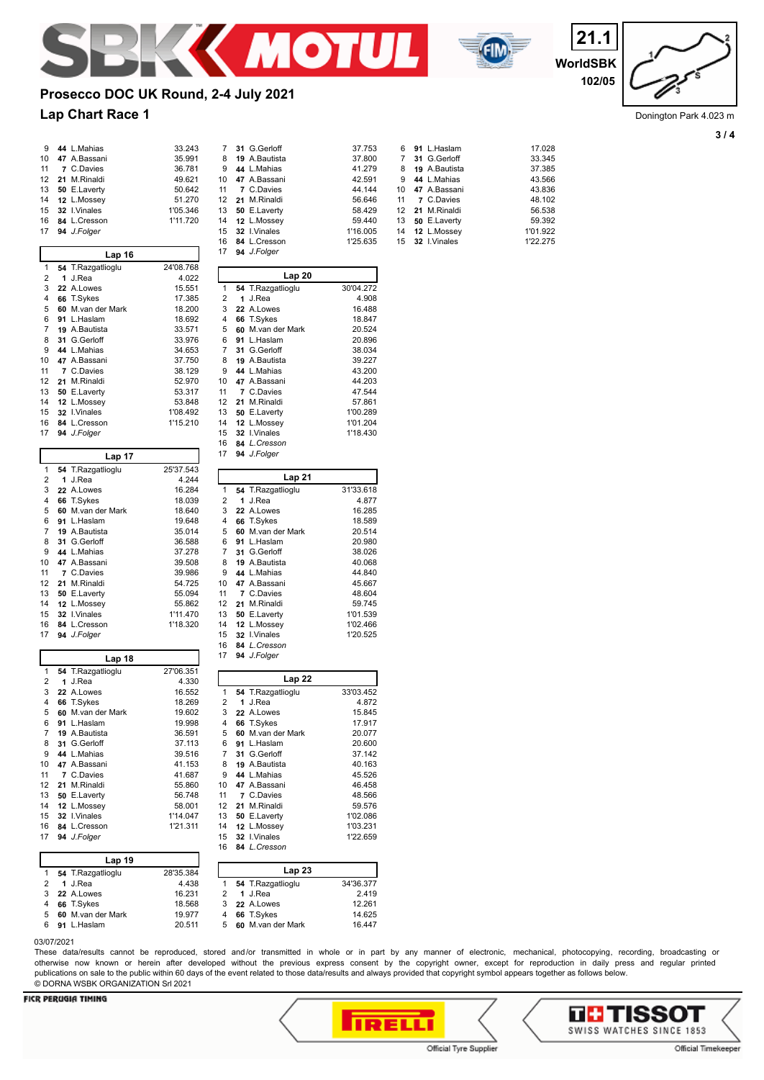

**94** *J.Folger*

22 A.Lowes

47 A.Bassani

12 L.Mossey

60 M.van der Mark

50 E.Laverty

 **84** *L.Cresson J.Folger* 

T.Sykes

21 M.Rinaldi

 I.Vinales **84** *L.Cresson*

 **84** *L.Cresson* **94** *J.Folger*

**Lap 20 54** T.Razgatlioglu 30'04.272 **1** J.Rea 4.908<br>3 **22** A.Lowes 16.488

**66** T.Sykes 18.847<br>5 **60** M van der Mark 20.524 **60** M.van der Mark 20.524<br>6 **91** L.Haslam 20.896 **91** L.Haslam 20.896 G.Gerloff 38.034<br> **19** A.Bautista 39.227 **19** A.Bautista 39.227 **44** L.Mahias 43.200<br>10 **47** A.Bassani 44.203

 **7** C.Davies 47.544 **21** M.Rinaldi 57.861<br>13 **50** E.Laverty 1'00.289 13 **50** E.Laverty 1'00.289<br>14 **12** L.Mossev 1'01.204

**32** I.Vinales 1'18.430

**Lap 21 54** T.Razgatlioglu 31'33.618 **1** J.Rea 4.877<br>3 **22** A.Lowes 16.285 **22** A.Lowes 16.285<br>4 **66** T.Sykes 18.589 **66** T.Sykes 18.589<br>5 **60** M.van der Mark 20.514

 **91** L.Haslam 20.980 **31** G.Gerloff 38.026 **19** A.Bautista **40.068**<br>9 **44** L.Mahias **44.840**  L.Mahias 44.840<br>**47** A.Bassani 45.667 **47** A.Bassani 45.667 **7** C.Davies 48.604<br>12 **21** M.Rinaldi 59.745 **21** M.Rinaldi 59.745<br>13 **50** E.Laverty 1'01.539

**12** L.Mossey **1'02.466** 15 **32** I.Vinales 1'20.525<br>16 **84** *L.Cresson* 

**Lap 22 54** T.Razgatlioglu 33'03.452 **1** J.Rea 4.872<br>3 **22** A.Lowes 15.845 **22** A.Lowes 15.845<br>4 **66** T.Sykes 17.917

 **60** M.van der Mark 20.077 **91** L.Haslam 20.600 **31** G.Gerloff 37.142 19 A.Bautista **40.163**<br>44 L.Mahias **45.526 44** L.Mahias 45.526<br>10 **47** A.Bassani 46.458 **47** A.Bassani 46.458 **7** C.Davies 48.566<br>12 **21** M.Rinaldi 59.576

13 **50** E.Laverty 1'02.086<br>
14 **12** L.Mossey 1'03.231<br>
15 **32** I.Vinales 1'22.659 **12** L.Mossey **1'03.231**<br>**32** L.Vinales **1'22.659** 



**WorldSBK 21.1 102/05**

# **Prosecco DOC UK Round, 2-4 July 2021**

 **44** L.Mahias 33.243 **47** A.Bassani 35.991  $36.781$  **21** M.Rinaldi 49.621  $50.642$  $51.270$  **32** I.Vinales 1'05.346 **84** L.Cresson 1'11.720

16.284 18.039 18.640 **91** L.Haslam 19.648  $35.014$ 36.588 37 278 **47** A.Bassani 39.508 **7** C.Davies 39.986 **21** M.Rinaldi 54.725 55.094 **12** L.Mossey 55.862 **32** I.Vinales 1'11.470 **84** L.Cresson 1'18.320

## **Lap Chart Race 1**

| 9  | 44 L.Mahias  |
|----|--------------|
| 10 | 47 A.Bassani |
| 11 | 7 C.Davies   |
| 12 | 21 M.Rinaldi |
| 13 | 50 E.Laverty |
| 14 | 12 L.Mossey  |
| 15 | 32 I.Vinales |
| 16 | 84 L.Cresson |
| 17 | 94 J.Folger  |

| Lap 16         |    |                   |           |  |  |  |  |  |  |  |  |  |
|----------------|----|-------------------|-----------|--|--|--|--|--|--|--|--|--|
| 1              |    | 54 T.Razgatlioglu | 24'08.768 |  |  |  |  |  |  |  |  |  |
| 2              | 1  | J.Rea             | 4.022     |  |  |  |  |  |  |  |  |  |
| 3              |    | 22 A.Lowes        | 15.551    |  |  |  |  |  |  |  |  |  |
| 4              |    | 66 T.Sykes        | 17.385    |  |  |  |  |  |  |  |  |  |
| 5              | 60 | M.van der Mark    | 18.200    |  |  |  |  |  |  |  |  |  |
| 6              | 91 | L.Haslam          | 18.692    |  |  |  |  |  |  |  |  |  |
| $\overline{7}$ |    | 19 A.Bautista     | 33.571    |  |  |  |  |  |  |  |  |  |
| 8              |    | 31 G.Gerloff      | 33.976    |  |  |  |  |  |  |  |  |  |
| 9              |    | 44 L.Mahias       | 34.653    |  |  |  |  |  |  |  |  |  |
| 10             |    | 47 A.Bassani      | 37.750    |  |  |  |  |  |  |  |  |  |
| 11             | 7  | C.Davies          | 38.129    |  |  |  |  |  |  |  |  |  |
| 12             | 21 | M.Rinaldi         | 52.970    |  |  |  |  |  |  |  |  |  |
| 13             |    | 50 E.Laverty      | 53.317    |  |  |  |  |  |  |  |  |  |
| 14             | 12 | L.Mossey          | 53.848    |  |  |  |  |  |  |  |  |  |
| 15             |    | 32 I.Vinales      | 1'08.492  |  |  |  |  |  |  |  |  |  |
| 16             |    | 84 L.Cresson      | 1'15.210  |  |  |  |  |  |  |  |  |  |
| 17             |    | 94 J.Folger       |           |  |  |  |  |  |  |  |  |  |
|                |    | Lap 17            |           |  |  |  |  |  |  |  |  |  |
| 1              |    | 54 T.Razgatlioglu | 25'37.543 |  |  |  |  |  |  |  |  |  |
| 2              | 1  | J.Rea             | 4.244     |  |  |  |  |  |  |  |  |  |

| 3              | 22 A.Lowes        |
|----------------|-------------------|
| 4              | 66 T.Sykes        |
| 5              | 60 M.van der Mark |
| 6              | 91 L.Haslam       |
| $\overline{7}$ | 19 A.Bautista     |
| 8              | 31 G. Gerloff     |
| 9              | 44 L.Mahias       |
| 10             | 47 A.Bassani      |
| 11             | 7 C.Davies        |
| 12             | 21 M.Rinaldi      |
| 13             | 50 E.Laverty      |
|                |                   |

|  | 12 21 M.Rinaldi       |  |
|--|-----------------------|--|
|  | 13 50 E.Laverty       |  |
|  | 14 12 L.Mossey        |  |
|  | 15 32 I.Vinales       |  |
|  | 16 84 L.Cresson       |  |
|  | 17 <b>94</b> J.Folger |  |

| Lap 18 |     |                   |           |  |  |  |  |  |  |  |  |  |
|--------|-----|-------------------|-----------|--|--|--|--|--|--|--|--|--|
| 1      |     | 54 T.Razgatlioglu | 27'06.351 |  |  |  |  |  |  |  |  |  |
| 2      | 1   | J.Rea             | 4.330     |  |  |  |  |  |  |  |  |  |
| 3      |     | 22 A.Lowes        | 16.552    |  |  |  |  |  |  |  |  |  |
| 4      |     | 66 T.Sykes        | 18.269    |  |  |  |  |  |  |  |  |  |
| 5      | ĥ۵  | M.van der Mark    | 19.602    |  |  |  |  |  |  |  |  |  |
| 6      | 91  | L.Haslam          | 19.998    |  |  |  |  |  |  |  |  |  |
| 7      |     | 19 A.Bautista     | 36.591    |  |  |  |  |  |  |  |  |  |
| 8      | 31. | G.Gerloff         | 37.113    |  |  |  |  |  |  |  |  |  |
| 9      | 44  | L.Mahias          | 39.516    |  |  |  |  |  |  |  |  |  |
| 10     |     | 47 A.Bassani      | 41.153    |  |  |  |  |  |  |  |  |  |
| 11     | 7   | C.Davies          | 41.687    |  |  |  |  |  |  |  |  |  |
| 12     | 21  | M.Rinaldi         | 55.860    |  |  |  |  |  |  |  |  |  |
| 13     | 50  | E.Laverty         | 56.748    |  |  |  |  |  |  |  |  |  |
| 14     | 12  | L.Mossey          | 58.001    |  |  |  |  |  |  |  |  |  |
| 15     |     | 32 I.Vinales      | 1'14.047  |  |  |  |  |  |  |  |  |  |
| 16     | 84  | L.Cresson         | 1'21.311  |  |  |  |  |  |  |  |  |  |
| 17     |     | 94 J.Folger       |           |  |  |  |  |  |  |  |  |  |

| 34'36.377 |
|-----------|
| 2.419     |
| 12.261    |
| 14.625    |
| 16.447    |
|           |

#### 03/07/2021

These data/results cannot be reproduced, stored and/or transmitted in whole or in part by any manner of electronic, mechanical, photocopying, recording, broadcasting or otherwise now known or herein after developed without the previous express consent by the copyright owner, except for reproduction in daily press and regular printed publications on sale to the public within 60 days of the event related to those data/results and always provided that copyright symbol appears together as follows below. © DORNA WSBK ORGANIZATION Srl 2021

#### **FICR PERUGIA TIMING**







Donington Park 4.023 m

|    | 31 G.Gerloff    | 37.753   |    | 6 91 L.Haslam        | 17.028   |
|----|-----------------|----------|----|----------------------|----------|
| 8  | 19 A.Bautista   | 37,800   | 7  | 31 G.Gerloff         | 33.345   |
| 9  | 44 L.Mahias     | 41.279   | 8  | <b>19</b> A.Bautista | 37.385   |
|    | 10 47 A.Bassani | 42.591   | 9  | 44 L.Mahias          | 43.566   |
| 11 | 7 C.Davies      | 44.144   |    | 10 47 A.Bassani      | 43.836   |
|    | 12 21 M.Rinaldi | 56.646   | 11 | 7 C.Davies           | 48.102   |
| 13 | 50 E.Laverty    | 58.429   |    | 12 21 M.Rinaldi      | 56.538   |
|    | 14 12 L.Mossey  | 59.440   |    | 13 50 E.Laverty      | 59.392   |
| 15 | 32 I.Vinales    | 1'16.005 |    | 14 12 L.Mossey       | 1'01.922 |
| 16 | 84 L.Cresson    | 1'25.635 |    | 15 32 I.Vinales      | 1'22.275 |
| 17 | 94 J.Folger     |          |    |                      |          |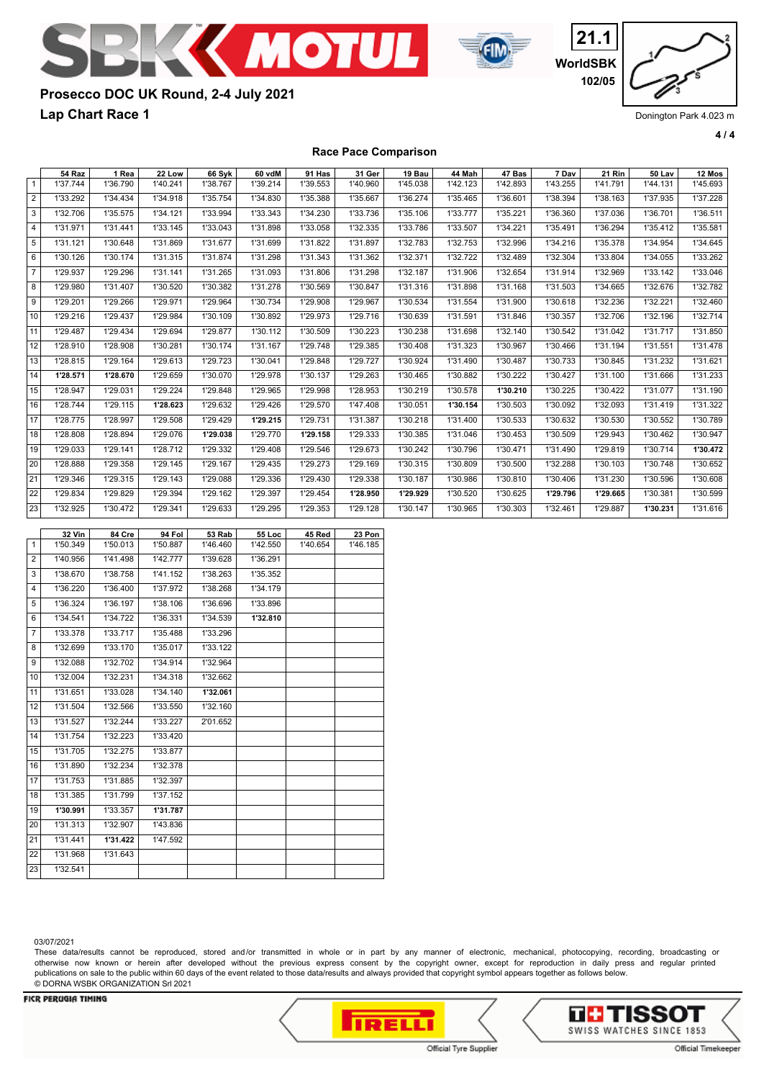



**WorldSBK 21.1 102/05**

# **Prosecco DOC UK Round, 2-4 July 2021**

**Lap Chart Race 1**

Donington Park 4.023 m

**4 / 4**

## **Race Pace Comparison** 54 Raz | 1 Rea | 22 Low | 66 Syk | 60 vdM | 91 Has | 31 Ger | 19 Bau | 44 Mah | 47 Bas | 7 Dav | 21 Rin | 50 Lav | 12 Mos 1 | 1'37.744 | 1'36.790 | 1'40.241 | 1'38.767 | 1'39.214 | 1'39.553 | 1'40.960 | 1'45.038 | 1'42.123 | 1'42.893 | 1'43.255 | 1'41.791 | 1'44.131 | 1'45.693 2 1'33.292 1'34.434 1'34.918 1'35.754 1'34.830 1'35.388 1'35.667 1'36.274 1'35.465 1'36.601 1'38.394 1'38.163 1'37.935 1'37.228 3 | 1'32.706 | 1'35.575 | 1'34.121 | 1'33.994 | 1'33.343 | 1'34.230 | 1'33.736 | 1'35.106 | 1'33.777 | 1'35.221 | 1'36.360 | 1'37.036 | 1'36.701 | 1'36.511 4 | 1'31.971 | 1'31.441 | 1'33.145 | 1'33.043 | 1'31.898 | 1'33.058 | 1'32.335 | 1'33.786 | 1'33.507 | 1'34.221 | 1'35.491 | 1'36.294 | 1'35.412 | 1'35.581 5 | 1'31.121 | 1'30.648 | 1'31.869 | 1'31.677 | 1'31.699 | 1'31.822 | 1'31.897 | 1'32.783 | 1'32.753 | 1'32.996 | 1'34.216 | 1'35.378 | 1'34.954 | 1'34.645 6 | 1'30.126 | 1'30.174 | 1'31.315 | 1'31.874 | 1'31.298 | 1'31.343 | 1'31.362 | 1'32.371 | 1'32.722 | 1'32.489 | 1'32.304 | 1'33.804 | 1'34.055 | 1'33.262 7 | 1'29.937 | 1'29.296 | 1'31.141 | 1'31.265 | 1'31.093 | 1'31.806 | 1'31.298 | 1'32.187 | 1'31.906 | 1'32.654 | 1'31.914 | 1'32.969 | 1'33.142 | 1'33.046 8 | 1'29.980 | 1'31.407 | 1'30.520 | 1'30.382 | 1'31.278 | 1'30.569 | 1'30.847 | 1'31.316 | 1'31.898 | 1'31.168 | 1'31.503 | 1'34.665 | 1'32.676 | 1'32.782 9 | 1'29.201 | 1'29.266 | 1'29.971 | 1'29.964 | 1'30.734 | 1'29.908 | 1'29.967 | 1'30.534 | 1'31.554 | 1'31.900 | 1'30.618 | 1'32.236 | 1'32.221 | 1'32.460 10 1'29.216 1'29.437 1'29.984 1'30.109 1'30.892 1'29.973 1'29.716 1'30.639 1'31.591 1'31.846 1'30.357 1'32.706 1'32.196 1'32.714 11| 1'29.487 | 1'29.434 | 1'29.694 | 1'29.877 | 1'30.112 | 1'30.509 | 1'30.223 | 1'30.238 | 1'31.698 | 1'32.140 | 1'30.542 | 1'31.042 | 1'31.717 | 1'31.850 12 1'28.910 1'28.908 1'30.281 1'30.174 1'31.167 1'29.748 1'29.385 1'30.408 1'31.323 1'30.967 1'30.466 1'31.194 1'31.551 1'31.478 13 1'28.815 1'29.164 1'29.613 1'29.723 1'30.041 1'29.848 1'29.727 1'30.924 1'31.490 1'30.487 1'30.733 1'30.845 1'31.232 1'31.621 14 **1'28.571 1'28.670** 1'29.659 1'30.070 1'29.978 1'30.137 1'29.263 1'30.465 1'30.882 1'30.222 1'30.427 1'31.100 1'31.666 1'31.233 15 1'28.947 1'29.031 1'29.224 1'29.848 1'29.965 1'29.998 1'28.953 1'30.219 1'30.578 **1'30.210** 1'30.225 1'30.422 1'31.077 1'31.190 16 1'28.744 1'29.115 **1'28.623** 1'29.632 1'29.426 1'29.570 1'47.408 1'30.051 **1'30.154** 1'30.503 1'30.092 1'32.093 1'31.419 1'31.322 17 1'28.775 1'28.997 1'29.508 1'29.429 **1'29.215** 1'29.731 1'31.387 1'30.218 1'31.400 1'30.533 1'30.632 1'30.530 1'30.552 1'30.789 18 1'28.808 1'28.894 1'29.076 **1'29.038** 1'29.770 **1'29.158** 1'29.333 1'30.385 1'31.046 1'30.453 1'30.509 1'29.943 1'30.462 1'30.947 19 1'29.033 1'29.141 1'28.712 1'29.332 1'29.408 1'29.546 1'29.673 1'30.242 1'30.796 1'30.471 1'31.490 1'29.819 1'30.714 **1'30.472**  20| 1'28.888 | 1'29.358 | 1'29.145 | 1'29.167 | 1'29.435 | 1'29.273 | 1'29.169 | 1'30.315 | 1'30.809 | 1'30.500 | 1'32.288 | 1'30.103 | 1'30.748 | 1'30.652 21 1'29.346 1'29.315 1'29.143 1'29.088 1'29.336 1'29.430 1'29.338 1'30.187 1'30.986 1'30.810 1'30.406 1'31.230 1'30.596 1'30.608 22 1'29.834 1'29.829 1'29.394 1'29.162 1'29.397 1'29.454 **1'28.950 1'29.929** 1'30.520 1'30.625 **1'29.796 1'29.665** 1'30.381 1'30.599 23 1'32.925 1'30.472 1'29.341 1'29.633 1'29.295 1'29.353 1'29.128 1'30.147 1'30.965 1'30.303 1'32.461 1'29.887 **1'30.231** 1'31.616 **32 Vin 84 Cre 94 Fol 53 Rab 55 Loc 45 Red 23 Pon**  1 1'50.349 1'50.013 1'50.887 1'46.460 1'42.550 1'40.654 1'46.185 2 1'40.956 1'41.498 1'42.777 1'39.628 1'36.291 3 1'38.670 1'38.758 1'41.152 1'38.263 1'35.352 4 1'36.220 1'36.400 1'37.972 1'38.268 1'34.179 5 1'36.324 1'36.197 1'38.106 1'36.696 1'33.896 6 1'34.541 1'34.722 1'36.331 1'34.539 **1'32.810**  7 1'33.378 1'33.717 1'35.488 1'33.296 8 1'32.699 1'33.170 1'35.017 1'33.122 9 1'32.088 1'32.702 1'34.914 1'32.964 10 1'32.004 1'32.231 1'34.318 1'32.662 11 1'31.651 1'33.028 1'34.140 **1'32.061**  12 1'31.504 1'32.566 1'33.550 1'32.160 13 1'31.527 1'32.244 1'33.227 2'01.652 14 1'31.754 1'32.223 1'33.420 15 1'31.705 1'32.275 1'33.877 16 1'31.890 1'32.234 1'32.378 17 1'31.753 1'31.885 1'32.397 18 1'31.385 1'31.799 1'37.152 19 **1'30.991** 1'33.357 **1'31.787**

03/07/2021

23 1'32.541

These data/results cannot be reproduced, stored and/or transmitted in whole or in part by any manner of electronic, mechanical, photocopying, recording, broadcasting or otherwise now known or herein after developed without the previous express consent by the copyright owner, except for reproduction in daily press and regular printed publications on sale to the public within 60 days of the event related to those data/results and always provided that copyright symbol appears together as follows below. © DORNA WSBK ORGANIZATION Srl 2021

#### **FICR PERUGIA TIMING**

20 1'31.313 1'32.907 1'43.836 21 1'31.441 **1'31.422** 1'47.592

22 1'31.968 1'31.643



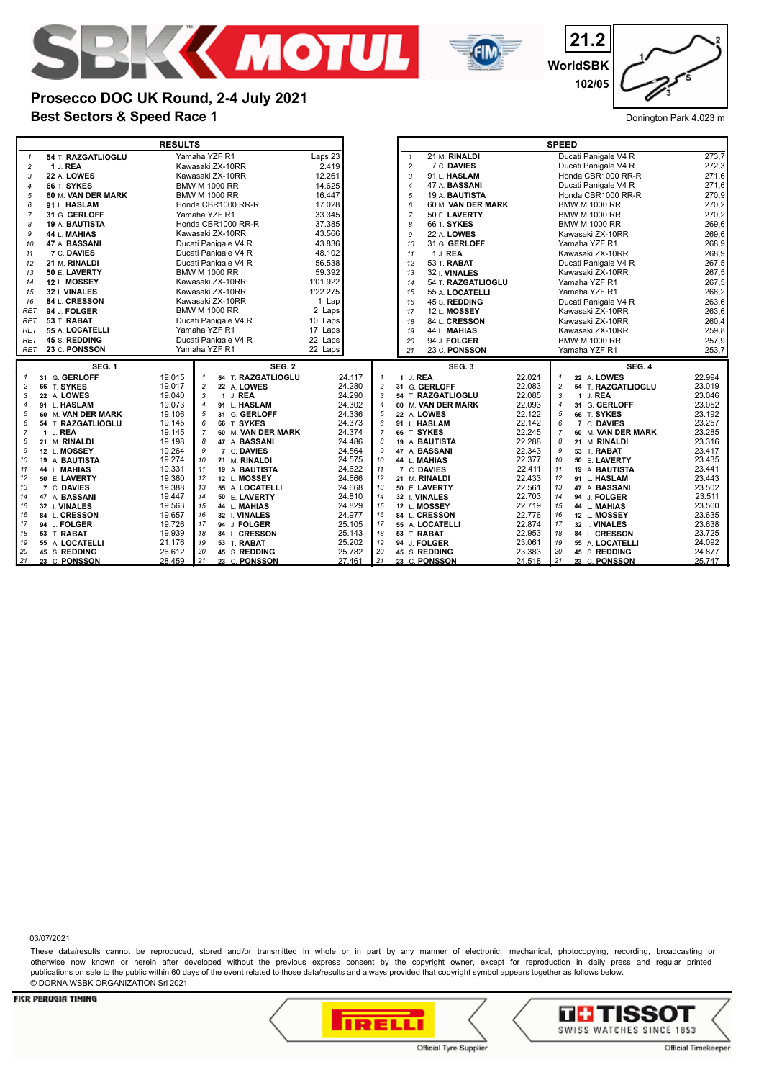



**21.2 WorldSBK 102/05**

## **Best Sectors & Speed Race 1** Donington Park 4.023 m **Prosecco DOC UK Round, 2-4 July 2021**

|                |                                | <b>RESULTS</b>                                                 |                  |                                      | <b>SPEED</b>                    |                      |                                            |                  |  |  |
|----------------|--------------------------------|----------------------------------------------------------------|------------------|--------------------------------------|---------------------------------|----------------------|--------------------------------------------|------------------|--|--|
| $\mathbf{1}$   | 54 T. RAZGATLIOGLU             | Yamaha YZF R1                                                  | Laps 23          |                                      | 21 M. RINALDI<br>$\mathbf{1}$   |                      | Ducati Panigale V4 R                       | 273.7            |  |  |
| $\overline{c}$ | 1 J. REA                       | Kawasaki ZX-10RR                                               | 2.419            |                                      | 7 C. DAVIES<br>$\overline{c}$   |                      | Ducati Panigale V4 R                       | 272,3            |  |  |
| 3              | 22 A. LOWES                    | Kawasaki ZX-10RR                                               | 12.261           |                                      | 3<br>91 L. HASLAM               |                      | Honda CBR1000 RR-R                         | 271,6            |  |  |
| $\overline{4}$ | 66 T. SYKES                    | <b>BMW M 1000 RR</b>                                           | 14.625           |                                      | 47 A. BASSANI<br>$\overline{4}$ | Ducati Panigale V4 R | 271,6                                      |                  |  |  |
| 5              | 60 M. VAN DER MARK             | <b>BMW M 1000 RR</b>                                           | 16.447           |                                      | 5<br>19 A. BAUTISTA             |                      | Honda CBR1000 RR-R                         | 270,9            |  |  |
| 6              | 91 L. HASLAM                   | Honda CBR1000 RR-R                                             | 17.028           |                                      | 60 M. VAN DER MARK<br>6         | <b>BMW M 1000 RR</b> | 270,2                                      |                  |  |  |
| $\overline{7}$ | 31 G. GERLOFF                  | Yamaha YZF R1                                                  | 33.345           |                                      | $\overline{7}$<br>50 E. LAVERTY |                      | <b>BMW M 1000 RR</b>                       | 270,2            |  |  |
| 8              | <b>19 A. BAUTISTA</b>          | Honda CBR1000 RR-R                                             | 37.385           |                                      | 8<br><b>66 T. SYKES</b>         |                      | <b>BMW M 1000 RR</b>                       | 269,6            |  |  |
| 9              | 44 L. MAHIAS                   | Kawasaki ZX-10RR                                               | 43.566           |                                      | 9<br>22 A. <b>LOWES</b>         |                      | Kawasaki ZX-10RR                           | 269,6            |  |  |
| 10             | 47 A. BASSANI                  | Ducati Panigale V4 R                                           | 43.836           |                                      | 31 G. GERLOFF<br>10             |                      | Yamaha YZF R1                              | 268,9            |  |  |
| 11             | 7 C. DAVIES                    | Ducati Panigale V4 R                                           | 48.102           |                                      | 1 J. REA<br>11                  |                      | Kawasaki ZX-10RR                           | 268,9            |  |  |
| 12             | 21 M. RINALDI                  | Ducati Panigale V4 R                                           | 56.538           |                                      | 53 T. RABAT<br>12               |                      | Ducati Panigale V4 R                       | 267,5            |  |  |
| 13             | 50 E. LAVERTY                  | <b>BMW M 1000 RR</b>                                           | 59.392           |                                      | 32 I. VINALES<br>13             |                      | Kawasaki ZX-10RR                           | 267,5            |  |  |
| 14             | 12 L. MOSSEY                   | Kawasaki ZX-10RR                                               | 1'01.922         |                                      | 54 T. RAZGATLIOGLU<br>14        |                      | Yamaha YZF R1                              | 267,5            |  |  |
| 15             | 32 I. VINALES                  | Kawasaki ZX-10RR                                               | 1'22.275         |                                      | 55 A. LOCATELLI<br>15           |                      | Yamaha YZF R1                              | 266,2            |  |  |
| 16             | 84 L. CRESSON                  | Kawasaki ZX-10RR                                               | 1 Lap            |                                      | 45 S. REDDING<br>16             |                      | Ducati Panigale V4 R                       | 263,6            |  |  |
| <b>RET</b>     | 94 J. FOLGER                   | <b>BMW M 1000 RR</b>                                           | 2 Laps           |                                      | <b>12 L. MOSSEY</b><br>17       |                      | Kawasaki ZX-10RR                           | 263,6            |  |  |
| <b>RET</b>     | 53 T. RABAT                    | Ducati Panigale V4 R                                           | 10 Laps          |                                      | 18<br>84 L. CRESSON             |                      | Kawasaki ZX-10RR                           | 260,4            |  |  |
| <b>RET</b>     | 55 A. LOCATELLI                | Yamaha YZF R1                                                  | 17 Laps          |                                      | 44 L. MAHIAS<br>19              |                      | Kawasaki ZX-10RR                           | 259,8            |  |  |
| <b>RET</b>     | 45 S. REDDING                  | Ducati Panigale V4 R                                           | 22 Laps          |                                      | 94 J. FOLGER<br>20              |                      | <b>BMW M 1000 RR</b>                       | 257,9            |  |  |
| <b>RET</b>     | 23 C. PONSSON                  | Yamaha YZF R1                                                  | 22 Laps          | 23 C. PONSSON<br>21<br>Yamaha YZF R1 |                                 |                      |                                            |                  |  |  |
|                | <b>SEG. 1</b>                  | <b>SEG. 2</b>                                                  |                  |                                      | SEG.3                           |                      | <b>SEG. 4</b>                              |                  |  |  |
| $\mathbf{1}$   | 31 G. GERLOFF                  |                                                                |                  |                                      |                                 |                      |                                            |                  |  |  |
|                |                                | 54 T. RAZGATLIOGLU<br>19.015                                   | 24.117           | $\mathbf{1}$                         | 1 J. REA                        | 22.021               | 22 A. LOWES<br>$\mathbf{1}$                | 22.994           |  |  |
| $\overline{c}$ | 66 T. SYKES                    | 19.017<br>$\overline{c}$<br>22 A. LOWES                        | 24.280           | $\overline{c}$                       | 31 G. GERLOFF                   | 22.083               | $\overline{c}$<br>54 T. RAZGATLIOGLU       | 23.019           |  |  |
| 3              | 22 A. LOWES                    | 19.040<br>1 J. REA<br>3                                        | 24.290           | 3                                    | 54 T. RAZGATLIOGLU              | 22.085               | 3<br>1 J. REA                              | 23.046           |  |  |
| $\overline{4}$ | 91 L. HASLAM                   | 19.073<br>91 L. HASLAM<br>$\overline{4}$                       | 24.302           | $\overline{4}$                       | 60 M. VAN DER MARK              | 22.093               | $\overline{4}$<br>31 G. GERLOFF            | 23.052           |  |  |
| 5              | 60 M. VAN DER MARK             | 19.106<br>5<br>31 G. GERLOFF                                   | 24.336           | 5                                    | 22 A. LOWES                     | 22.122               | 5<br>66 T. SYKES                           | 23.192           |  |  |
| 6              | 54 T. RAZGATLIOGLU             | 19.145<br>66 T. SYKES<br>6                                     | 24.373           | 6                                    | 91 L. HASLAM                    | 22.142               | 6<br>7 C. DAVIES                           | 23.257           |  |  |
| $\overline{7}$ | 1 J. REA                       | 19.145<br>$\overline{7}$<br>60 M. VAN DER MARK                 | 24.374           | $\overline{7}$                       | 66 T. SYKES                     | 22.245               | $\overline{7}$<br>60 M. VAN DER MARK       | 23.285           |  |  |
| 8              | 21 M. RINALDI                  | 19.198<br>8<br>47 A. BASSANI                                   | 24.486           | 8                                    | 19 A. BAUTISTA                  | 22.288               | 8<br>21 M. RINALDI                         | 23.316           |  |  |
| 9              | 12 L. MOSSEY                   | 19.264<br>7 C. DAVIES<br>9                                     | 24.564           | 9                                    | 47 A. BASSANI                   | 22.343               | 9<br>53 T. RABAT                           | 23.417           |  |  |
| 10             | 19 A. BAUTISTA                 | 19.274<br>10<br>21 M. RINALDI                                  | 24.575           | 10                                   | 44 L. MAHIAS                    | 22.377               | 10<br>50 E. LAVERTY                        | 23.435           |  |  |
| 11             | 44 L. MAHIAS                   | 19.331<br>11<br>19 A. BAUTISTA                                 | 24.622           | 11<br>12                             | 7 C. DAVIES                     | 22.411               | 11<br>19 A. BAUTISTA                       | 23.441           |  |  |
| 12<br>13       | 50 E. LAVERTY<br>7 C. DAVIES   | 19.360<br>12<br>12 L. MOSSEY<br>13<br>55 A. LOCATELLI          | 24.666           | 13                                   | 21 M. RINALDI<br>50 E. LAVERTY  | 22.433               | 12<br>91 L. HASLAM<br>13<br>47 A. BASSANI  | 23.443           |  |  |
| 14             | 47 A. BASSANI                  | 19.388<br>14<br>50 E. LAVERTY                                  | 24.668           | 14                                   | 32 I. VINALES                   | 22.561<br>22.703     | 14<br>94 J. FOLGER                         | 23.502           |  |  |
| 15             | 32 I. VINALES                  | 19.447<br>19.563<br>15<br>44 L. MAHIAS                         | 24.810<br>24.829 | 15                                   | 12 L. MOSSEY                    | 22.719               | 15<br>44 L. MAHIAS                         | 23.511<br>23.560 |  |  |
| 16             | 84 L. CRESSON                  | 19.657<br>16<br>32 I. VINALES                                  | 24.977           | 16                                   | 84 L. CRESSON                   | 22.776               | 16<br>12 L. MOSSEY                         | 23.635           |  |  |
| 17             | 94 J. FOLGER                   | 19.726<br>17<br>94 J. FOLGER                                   | 25.105           | 17                                   | 55 A. LOCATELLI                 | 22.874               | 17<br>32 I. VINALES                        | 23.638           |  |  |
| 18             | 53 T. RABAT                    | 18<br>19.939<br>84 L. CRESSON                                  | 25.143           | 18                                   | 53 T. RABAT                     | 22.953               | 18<br>84 L. CRESSON                        | 23.725           |  |  |
| 19             | 55 A. LOCATELLI                | 19<br>21.176<br>53 T. RABAT                                    | 25.202           | 19                                   | 94 J. FOLGER                    | 23.061               | 19<br>55 A. LOCATELLI                      | 24.092           |  |  |
| 20<br>21       | 45 S. REDDING<br>23 C. PONSSON | 26.612<br>20<br>45 S. REDDING<br>28.459<br>21<br>23 C. PONSSON | 25.782<br>27.461 | 20<br>21                             | 45 S. REDDING<br>23 C. PONSSON  | 23.383<br>24.518     | 20<br>45 S. REDDING<br>21<br>23 C. PONSSON | 24.877<br>25.747 |  |  |

03/07/2021

These data/results cannot be reproduced, stored and/or transmitted in whole or in part by any manner of electronic, mechanical, photocopying, recording, broadcasting or otherwise now known or herein after developed without the previous express consent by the copyright owner, except for reproduction in daily press and regular printed publications on sale to the public within 60 days of the event related to those data/results and always provided that copyright symbol appears together as follows below. © DORNA WSBK ORGANIZATION Srl 2021



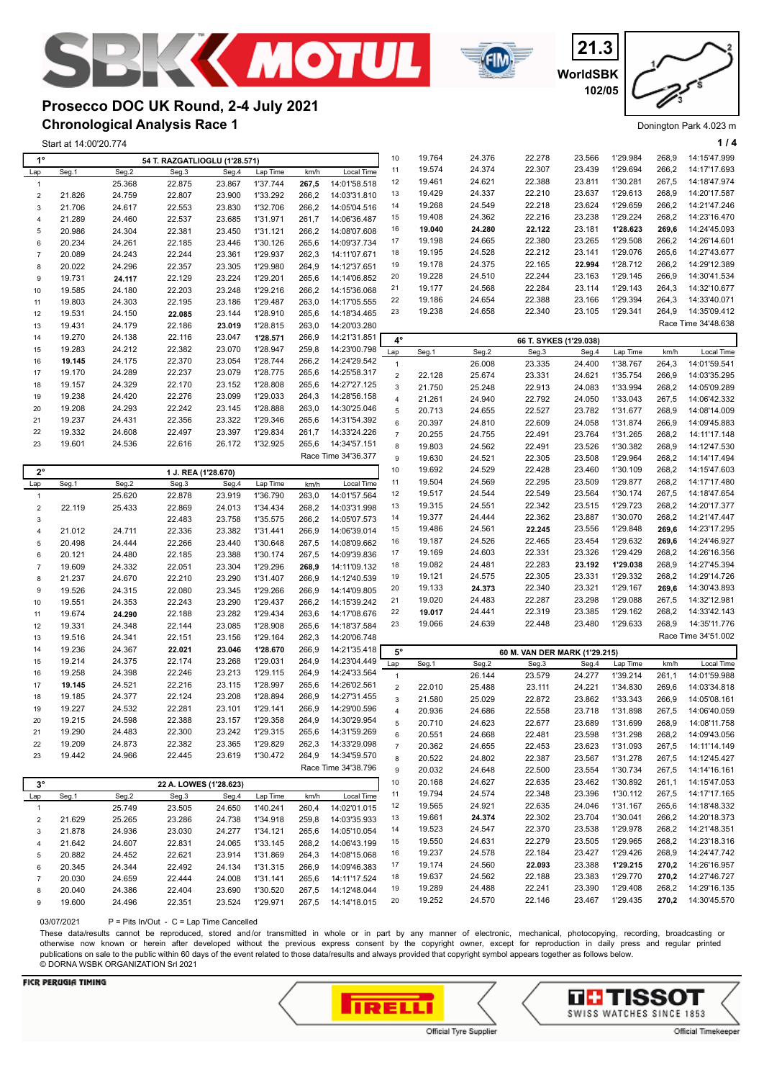



**WorldSBK 21.3 102/05**

Donington Park 4.023 m

## **Chronological Analysis Race 1 Prosecco DOC UK Round, 2-4 July 2021**

Start at 14:00'20.774 **1 / 4**

| $1^{\circ}$    |                  |                  | 54 T. RAZGATLIOGLU (1'28.571) |                  |                      |                |                              | 10             | 19.764           | 24.376           | 22.278                        | 23.566           | 1'29.984             | 268,9          | 14:15'47.999                 |
|----------------|------------------|------------------|-------------------------------|------------------|----------------------|----------------|------------------------------|----------------|------------------|------------------|-------------------------------|------------------|----------------------|----------------|------------------------------|
| Lap            | Seg.1            | Seg.2            | Seg.3                         | Seg.4            | Lap Time             | km/h           | Local Time                   | 11             | 19.574           | 24.374           | 22.307                        | 23.439           | 1'29.694             | 266,2          | 14:17'17.693                 |
| $\overline{1}$ |                  | 25.368           | 22.875                        | 23.867           | 1'37.744             | 267,5          | 14:01'58.518                 | 12             | 19.461           | 24.621           | 22.388                        | 23.811           | 1'30.281             | 267,5          | 14:18'47.974                 |
| $\sqrt{2}$     | 21.826           | 24.759           | 22.807                        | 23.900           | 1'33.292             | 266,2          | 14:03'31.810                 | 13             | 19.429           | 24.337           | 22.210                        | 23.637           | 1'29.613             | 268,9          | 14:20'17.587                 |
| 3              | 21.706           | 24.617           | 22.553                        | 23.830           | 1'32.706             | 266,2          | 14:05'04.516                 | 14             | 19.268           | 24.549           | 22.218                        | 23.624           | 1'29.659             | 266,2          | 14:21'47.246                 |
| $\overline{4}$ | 21.289           | 24.460           | 22.537                        | 23.685           | 1'31.971             | 261,7          | 14:06'36.487                 | 15             | 19.408           | 24.362           | 22.216                        | 23.238           | 1'29.224             | 268,2          | 14:23'16.470                 |
| 5              | 20.986           | 24.304           | 22.381                        | 23.450           | 1'31.121             | 266,2          | 14:08'07.608                 | 16             | 19.040           | 24.280           | 22.122                        | 23.181           | 1'28.623             | 269,6          | 14:24'45.093                 |
| 6              | 20.234           | 24.261           | 22.185                        | 23.446           | 1'30.126             | 265,6          | 14:09'37.734                 | 17             | 19.198           | 24.665           | 22.380                        | 23.265           | 1'29.508             | 266,2          | 14:26'14.601                 |
| $\overline{7}$ | 20.089           | 24.243           | 22.244                        | 23.361           | 1'29.937             | 262,3          | 14:11'07.671                 | 18             | 19.195           | 24.528           | 22.212                        | 23.141           | 1'29.076             | 265,6          | 14:27'43.677                 |
| 8              | 20.022           | 24.296           | 22.357                        | 23.305           | 1'29.980             | 264,9          | 14:12'37.651                 | 19             | 19.178           | 24.375           | 22.165                        | 22.994           | 1'28.712             | 266,2          | 14:29'12.389                 |
| 9              | 19.731           | 24.117           | 22.129                        | 23.224           | 1'29.201             | 265,6          | 14:14'06.852                 | 20             | 19.228           | 24.510           | 22.244                        | 23.163           | 1'29.145             | 266,9          | 14:30'41.534                 |
| 10             | 19.585           | 24.180           | 22.203                        | 23.248           | 1'29.216             | 266,2          | 14:15'36.068                 | 21             | 19.177           | 24.568           | 22.284                        | 23.114           | 1'29.143             | 264,3          | 14:32'10.677                 |
| 11             | 19.803           | 24.303           | 22.195                        | 23.186           | 1'29.487             | 263,0          | 14:17'05.555                 | 22             | 19.186           | 24.654           | 22.388                        | 23.166           | 1'29.394             | 264,3          | 14:33'40.071                 |
| 12             | 19.531           | 24.150           | 22.085                        | 23.144           | 1'28.910             | 265,6          | 14:18'34.465                 | 23             | 19.238           | 24.658           | 22.340                        | 23.105           | 1'29.341             | 264,9          | 14:35'09.412                 |
| 13             | 19.431           | 24.179           | 22.186                        | 23.019           | 1'28.815             | 263,0          | 14:20'03.280                 |                |                  |                  |                               |                  |                      |                | Race Time 34'48.638          |
| 14             | 19.270           | 24.138           | 22.116                        | 23.047           | 1'28.571             | 266,9          | 14:21'31.851                 | $4^\circ$      |                  |                  | 66 T. SYKES (1'29.038)        |                  |                      |                |                              |
| 15             | 19.283           | 24.212           | 22.382                        | 23.070           | 1'28.947             | 259,8          | 14:23'00.798                 | Lap            | Seg.1            | Seg.2            | Seg.3                         | Seg.4            | Lap Time             | km/h           | Local Time                   |
| 16             | 19.145           | 24.175           | 22.370                        | 23.054           | 1'28.744             | 266,2          | 14:24'29.542                 | $\mathbf{1}$   |                  | 26.008           | 23.335                        | 24.400           | 1'38.767             | 264,3          | 14:01'59.541                 |
| 17             | 19.170           | 24.289           | 22.237                        | 23.079           | 1'28.775             | 265,6          | 14:25'58.317                 | $\overline{2}$ | 22.128           | 25.674           | 23.331                        | 24.621           | 1'35.754             | 266,9          | 14:03'35.295                 |
| 18             | 19.157           | 24.329           | 22.170                        | 23.152           | 1'28.808             | 265,6          | 14:27'27.125                 | 3              | 21.750           | 25.248           | 22.913                        | 24.083           | 1'33.994             | 268,2          | 14:05'09.289                 |
| 19             | 19.238           | 24.420           | 22.276                        | 23.099           | 1'29.033             | 264,3          | 14:28'56.158                 | $\overline{4}$ | 21.261           | 24.940           | 22.792                        | 24.050           | 1'33.043             | 267,5          | 14:06'42.332                 |
| 20             | 19.208           | 24.293           | 22.242                        | 23.145           | 1'28.888             | 263,0          | 14:30'25.046                 | 5              | 20.713           | 24.655           | 22.527                        | 23.782           | 1'31.677             | 268,9          | 14:08'14.009                 |
| 21             | 19.237           | 24.431           | 22.356                        | 23.322           | 1'29.346             | 265,6          | 14:31'54.392                 | 6              | 20.397           | 24.810           | 22.609                        | 24.058           | 1'31.874             | 266,9          | 14:09'45.883                 |
| 22             | 19.332           | 24.608           | 22.497                        | 23.397           | 1'29.834             | 261,7          | 14:33'24.226                 | $\overline{7}$ | 20.255           | 24.755           | 22.491                        | 23.764           | 1'31.265             | 268,2          | 14:11'17.148                 |
| 23             | 19.601           | 24.536           | 22.616                        | 26.172           | 1'32.925             | 265,6          | 14:34'57.151                 | 8              | 19.803           | 24.562           | 22.491                        | 23.526           | 1'30.382             | 268,9          | 14:12'47.530                 |
|                |                  |                  |                               |                  |                      |                | Race Time 34'36.377          | 9              | 19.630           | 24.521           | 22.305                        | 23.508           | 1'29.964             | 268,2          | 14:14'17.494                 |
| $2^{\circ}$    |                  |                  | 1 J. REA (1'28.670)           |                  |                      |                |                              | 10             | 19.692           | 24.529           | 22.428                        | 23.460           | 1'30.109             | 268,2          | 14:15'47.603                 |
| Lap            | Seg.1            | Seg.2            | Seg.3                         | Seg.4            | Lap Time             | km/h           | Local Time                   | 11             | 19.504           | 24.569           | 22.295                        | 23.509           | 1'29.877             | 268,2          | 14:17'17.480                 |
| $\mathbf{1}$   |                  | 25.620           | 22.878                        | 23.919           | 1'36.790             | 263,0          | 14:01'57.564                 | 12             | 19.517           | 24.544           | 22.549                        | 23.564           | 1'30.174             | 267,5          | 14:18'47.654                 |
| $\sqrt{2}$     | 22.119           | 25.433           | 22.869                        | 24.013           | 1'34.434             | 268,2          | 14:03'31.998                 | 13             | 19.315           | 24.551           | 22.342                        | 23.515           | 1'29.723             | 268,2          | 14:20'17.377                 |
| 3              |                  |                  | 22.483                        | 23.758           | 1'35.575             | 266,2          | 14:05'07.573                 | 14             | 19.377           | 24.444           | 22.362                        | 23.887           | 1'30.070             | 268,2          | 14:21'47.447                 |
| $\overline{4}$ | 21.012           | 24.711           | 22.336                        | 23.382           | 1'31.441             | 266,9          | 14:06'39.014                 | 15             | 19.486           | 24.561           | 22.245                        | 23.556           | 1'29.848             | 269,6          | 14:23'17.295                 |
| 5              | 20.498           | 24.444           | 22.266                        | 23.440           | 1'30.648             | 267,5          | 14:08'09.662                 | 16             | 19.187           | 24.526           | 22.465                        | 23.454           | 1'29.632             | 269,6          | 14:24'46.927                 |
| 6              | 20.121           | 24.480           | 22.185                        | 23.388           | 1'30.174             | 267,5          | 14:09'39.836                 | 17             | 19.169           | 24.603           | 22.331                        | 23.326           | 1'29.429             | 268,2          | 14:26'16.356                 |
| $\overline{7}$ | 19.609           | 24.332           | 22.051                        | 23.304           | 1'29.296             | 268,9          | 14:11'09.132                 | 18             | 19.082           | 24.481           | 22.283                        | 23.192           | 1'29.038             | 268,9          | 14:27'45.394                 |
| 8              | 21.237           | 24.670           | 22.210                        | 23.290           | 1'31.407             | 266,9          | 14:12'40.539                 | 19             | 19.121           | 24.575           | 22.305                        | 23.331           | 1'29.332             | 268,2          | 14:29'14.726                 |
| 9              | 19.526           | 24.315           | 22.080                        | 23.345           | 1'29.266             | 266,9          | 14:14'09.805                 | 20             | 19.133<br>19.020 | 24.373<br>24.483 | 22.340<br>22.287              | 23.321<br>23.298 | 1'29.167<br>1'29.088 | 269,6<br>267,5 | 14:30'43.893<br>14:32'12.981 |
| 10             | 19.551           | 24.353           | 22.243                        | 23.290           | 1'29.437             | 266,2          | 14:15'39.242                 | 21             | 19.017           | 24.441           | 22.319                        | 23.385           | 1'29.162             | 268,2          | 14:33'42.143                 |
| 11             | 19.674           | 24.290           | 22.188                        | 23.282           | 1'29.434             | 263,6          | 14:17'08.676                 | 22<br>23       | 19.066           | 24.639           | 22.448                        | 23.480           | 1'29.633             | 268,9          | 14:35'11.776                 |
| 12             | 19.331           | 24.348           | 22.144                        | 23.085           | 1'28.908             | 265,6          | 14:18'37.584                 |                |                  |                  |                               |                  |                      |                | Race Time 34'51.002          |
| 13             | 19.516           | 24.341           | 22.151                        | 23.156           | 1'29.164             | 262,3          | 14:20'06.748                 |                |                  |                  |                               |                  |                      |                |                              |
| 14             | 19.236           | 24.367           | 22.021                        | 23.046           | 1'28.670             | 266,9          | 14:21'35.418<br>14:23'04.449 | $5^\circ$      |                  |                  | 60 M. VAN DER MARK (1'29.215) |                  |                      |                |                              |
| 15             | 19.214           | 24.375           | 22.174                        | 23.268           | 1'29.031<br>1'29.115 | 264,9<br>264,9 |                              | Lap            | Seg.1            | Seg.2            | Seg.3                         | Seg.4            | Lap Time             | km/h           | Local Time                   |
| 16<br>17       | 19.258<br>19.145 | 24.398<br>24.521 | 22.246<br>22.216              | 23.213<br>23.115 | 1'28.997             | 265,6          | 14:24'33.564<br>14:26'02.561 | $\mathbf{1}$   |                  | 26.144           | 23.579                        | 24.277           | 1'39.214             | 261,1          | 14:01'59.988                 |
| 18             | 19.185           | 24.377           | 22.124                        | 23.208           | 1'28.894             | 266,9          | 14:27'31.455                 | $\mathbf 2$    | 22.010           | 25.488           | 23.111                        | 24.221           | 1'34.830             | 269,6          | 14:03'34.818                 |
| 19             | 19.227           | 24.532           | 22.281                        | 23.101           | 1'29.141             | 266,9          | 14:29'00.596                 | $\mathbf{3}$   | 21.580           | 25.029           | 22.872                        | 23.862           | 1'33.343             | 266,9          | 14:05'08.161                 |
| 20             | 19.215           | 24.598           | 22.388                        | 23.157           | 1'29.358             | 264,9          | 14:30'29.954                 | $\overline{4}$ | 20.936           | 24.686           | 22.558                        | 23.718           | 1'31.898             | 267,5          | 14:06'40.059                 |
| 21             | 19.290           | 24.483           | 22.300                        | 23.242           | 1'29.315             | 265,6          | 14:31'59.269                 | 5              | 20.710           | 24.623           | 22.677                        | 23.689           | 1'31.699             | 268,9          | 14:08'11.758                 |
| 22             | 19.209           | 24.873           | 22.382                        | 23.365           | 1'29.829             | 262,3          | 14:33'29.098                 | 6              | 20.551           | 24.668           | 22.481                        | 23.598           | 1'31.298             | 268,2          | 14:09'43.056                 |
| 23             | 19.442           | 24.966           | 22.445                        | 23.619           | 1'30.472             | 264,9          | 14:34'59.570                 | $\overline{7}$ | 20.362           | 24.655           | 22.453                        | 23.623           | 1'31.093             | 267,5          | 14:11'14.149                 |
|                |                  |                  |                               |                  |                      |                | Race Time 34'38.796          | 8              | 20.522           | 24.802           | 22.387                        | 23.567           | 1'31.278             | 267,5          | 14:12'45.427                 |
|                |                  |                  |                               |                  |                      |                |                              | 9              | 20.032           | 24.648           | 22.500                        | 23.554           | 1'30.734             | 267,5          | 14:14'16.161                 |
| $3^{\circ}$    |                  |                  | 22 A. LOWES (1'28.623)        |                  |                      |                |                              | $10$           | 20.168           | 24.627           | 22.635                        | 23.462           | 1'30.892             | 261,1          | 14:15'47.053                 |
| Lap            | Seg.1            | Seg.2            | Seg.3                         | Seg.4            | Lap Time             | km/h           | Local Time                   | 11             | 19.794           | 24.574           | 22.348                        | 23.396           | 1'30.112             | 267,5          | 14:17'17.165                 |
| $\mathbf{1}$   |                  | 25.749           | 23.505                        | 24.650           | 1'40.241             | 260,4          | 14:02'01.015                 | 12             | 19.565           | 24.921           | 22.635                        | 24.046           | 1'31.167             | 265,6          | 14:18'48.332                 |
| $\overline{c}$ | 21.629           | 25.265           | 23.286                        | 24.738           | 1'34.918             | 259,8          | 14:03'35.933                 | 13             | 19.661<br>19.523 | 24.374<br>24.547 | 22.302<br>22.370              | 23.704<br>23.538 | 1'30.041<br>1'29.978 | 266,2<br>268,2 | 14:20'18.373<br>14:21'48.351 |
| 3              | 21.878           | 24.936           | 23.030                        | 24.277           | 1'34.121             | 265,6          | 14:05'10.054                 | 14             | 19.550           | 24.631           | 22.279                        | 23.505           | 1'29.965             | 268,2          | 14:23'18.316                 |
| $\overline{4}$ | 21.642           | 24.607           | 22.831                        | 24.065           | 1'33.145             | 268,2          | 14:06'43.199                 | 15             | 19.237           | 24.578           | 22.184                        | 23.427           | 1'29.426             | 268,9          | 14:24'47.742                 |
| 5              | 20.882           | 24.452           | 22.621                        | 23.914           | 1'31.869             | 264,3          | 14:08'15.068                 | 16             | 19.174           | 24.560           |                               | 23.388           | 1'29.215             | 270,2          | 14:26'16.957                 |
| 6              | 20.345           | 24.344           | 22.492                        | 24.134           | 1'31.315             | 266,9          | 14:09'46.383                 | 17<br>18       | 19.637           | 24.562           | 22.093<br>22.188              | 23.383           | 1'29.770             | 270,2          | 14:27'46.727                 |
| $\overline{7}$ | 20.030           | 24.659           | 22.444                        | 24.008           | 1'31.141             | 265,6          | 14:11'17.524                 | 19             | 19.289           | 24.488           | 22.241                        | 23.390           | 1'29.408             | 268,2          | 14:29'16.135                 |
| 8              | 20.040           | 24.386           | 22.404                        | 23.690           | 1'30.520             | 267,5          | 14:12'48.044                 | 20             | 19.252           | 24.570           | 22.146                        | 23.467           | 1'29.435             | 270,2          | 14:30'45.570                 |
| 9              | 19.600           | 24.496           | 22.351                        | 23.524           | 1'29.971             | 267,5          | 14:14'18.015                 |                |                  |                  |                               |                  |                      |                |                              |

03/07/2021 P = Pits In/Out - C = Lap Time Cancelled

These data/results cannot be reproduced, stored and/or transmitted in whole or in part by any manner of electronic, mechanical, photocopying, recording, broadcasting or otherwise now known or herein after developed without the previous express consent by the copyright owner, except for reproduction in daily press and regular printed publications on sale to the public within 60 days of the event related to those data/results and always provided that copyright symbol appears together as follows below. © DORNA WSBK ORGANIZATION Srl 2021

#### **FICR PERUGIA TIMING**



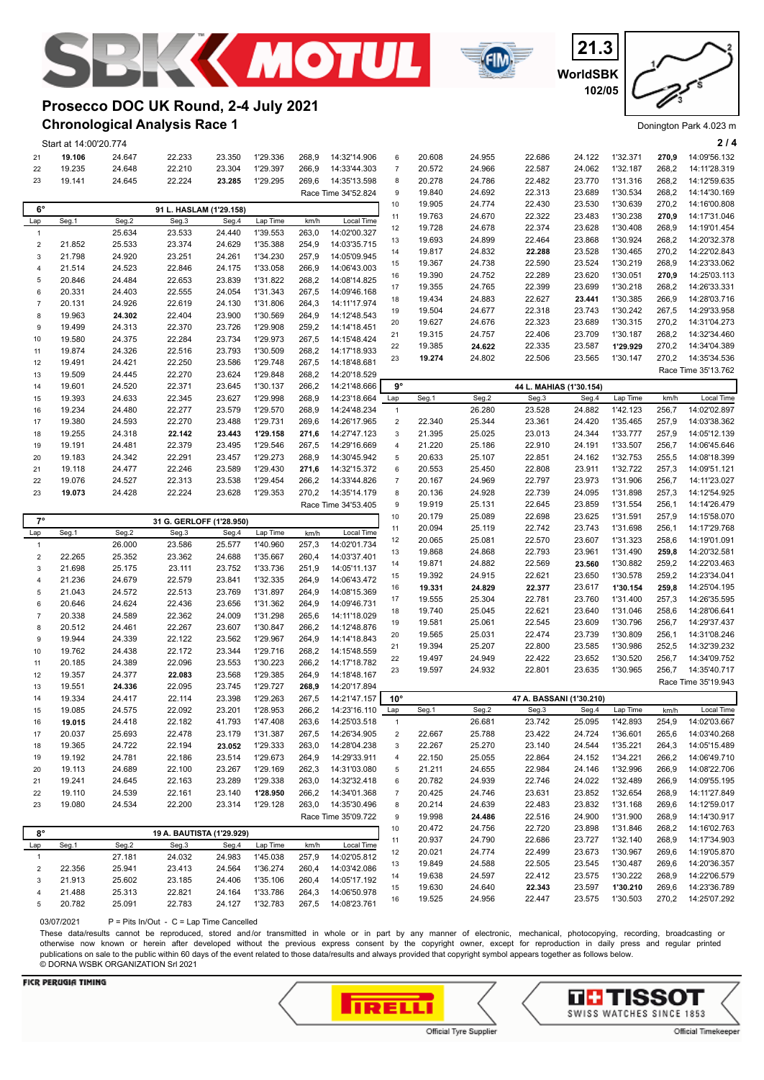





## **Chronological Analysis Race 1 Prosecco DOC UK Round, 2-4 July 2021**

|                 | Start at 14:00'20.774 |                  |                           |        |                      |       |                              |                           |                  |                  |                          |                  |                      |                | 214                          |
|-----------------|-----------------------|------------------|---------------------------|--------|----------------------|-------|------------------------------|---------------------------|------------------|------------------|--------------------------|------------------|----------------------|----------------|------------------------------|
| 21              | 19.106                | 24.647           | 22.233                    | 23.350 | 1'29.336             | 268,9 | 14:32'14.906                 | 6                         | 20.608           | 24.955           | 22.686                   | 24.122           | 1'32.371             | 270,9          | 14:09'56.132                 |
| 22              | 19.235                | 24.648           | 22.210                    | 23.304 | 1'29.397             | 266,9 | 14:33'44.303                 | $\overline{7}$            | 20.572           | 24.966           | 22.587                   | 24.062           | 1'32.187             | 268,2          | 14:11'28.319                 |
| 23              | 19.141                | 24.645           | 22.224                    | 23.285 | 1'29.295             | 269,6 | 14:35'13.598                 | 8                         | 20.278           | 24.786           | 22.482                   | 23.770           | 1'31.316             | 268,2          | 14:12'59.635                 |
|                 |                       |                  |                           |        |                      |       | Race Time 34'52.824          | 9                         | 19.840           | 24.692           | 22.313                   | 23.689           | 1'30.534             | 268,2          | 14:14'30.169                 |
| $6^{\circ}$     |                       |                  |                           |        |                      |       |                              | 10                        | 19.905           | 24.774           | 22.430                   | 23.530           | 1'30.639             | 270,2          | 14:16'00.808                 |
|                 | Seg.1                 | Seg.2            | 91 L. HASLAM (1'29.158)   | Seg.4  |                      |       | Local Time                   | 11                        | 19.763           | 24.670           | 22.322                   | 23.483           | 1'30.238             | 270,9          | 14:17'31.046                 |
| Lap             |                       |                  | Seg.3                     |        | Lap Time             | km/h  |                              | 12                        | 19.728           | 24.678           | 22.374                   | 23.628           | 1'30.408             | 268,9          | 14:19'01.454                 |
| $\overline{1}$  |                       | 25.634           | 23.533                    | 24.440 | 1'39.553             | 263,0 | 14:02'00.327                 | 13                        | 19.693           | 24.899           | 22.464                   | 23.868           | 1'30.924             | 268,2          | 14:20'32.378                 |
| $\sqrt{2}$<br>3 | 21.852                | 25.533<br>24.920 | 23.374                    | 24.629 | 1'35.388             | 254,9 | 14:03'35.715                 | 14                        | 19.817           | 24.832           | 22.288                   | 23.528           | 1'30.465             | 270,2          | 14:22'02.843                 |
|                 | 21.798                |                  | 23.251                    | 24.261 | 1'34.230             | 257,9 | 14:05'09.945                 | 15                        | 19.367           | 24.738           | 22.590                   | 23.524           | 1'30.219             | 268,9          | 14:23'33.062                 |
| $\overline{4}$  | 21.514                | 24.523           | 22.846                    | 24.175 | 1'33.058             | 266,9 | 14:06'43.003                 | 16                        | 19.390           | 24.752           | 22.289                   | 23.620           | 1'30.051             | 270,9          | 14:25'03.113                 |
| $\sqrt{5}$      | 20.846                | 24.484           | 22.653                    | 23.839 | 1'31.822             | 268,2 | 14:08'14.825                 | 17                        | 19.355           | 24.765           | 22.399                   | 23.699           | 1'30.218             | 268,2          | 14:26'33.331                 |
| $\,6\,$         | 20.331                | 24.403           | 22.555                    | 24.054 | 1'31.343             | 267,5 | 14:09'46.168<br>14:11'17.974 | 18                        | 19.434           | 24.883           | 22.627                   | 23.441           | 1'30.385             | 266,9          | 14:28'03.716                 |
| $\overline{7}$  | 20.131                | 24.926           | 22.619                    | 24.130 | 1'31.806             | 264,3 |                              | 19                        | 19.504           | 24.677           | 22.318                   | 23.743           | 1'30.242             | 267,5          | 14:29'33.958                 |
| 8               | 19.963                | 24.302           | 22.404                    | 23.900 | 1'30.569             | 264,9 | 14:12'48.543                 | 20                        | 19.627           | 24.676           | 22.323                   | 23.689           | 1'30.315             | 270,2          | 14:31'04.273                 |
| 9               | 19.499                | 24.313           | 22.370                    | 23.726 | 1'29.908             | 259,2 | 14:14'18.451                 | 21                        | 19.315           | 24.757           | 22.406                   | 23.709           | 1'30.187             | 268,2          | 14:32'34.460                 |
| 10              | 19.580                | 24.375           | 22.284                    | 23.734 | 1'29.973             | 267,5 | 14:15'48.424                 | 22                        | 19.385           | 24.622           | 22.335                   | 23.587           | 1'29.929             | 270,2          | 14:34'04.389                 |
| 11              | 19.874                | 24.326           | 22.516                    | 23.793 | 1'30.509             | 268,2 | 14:17'18.933                 | 23                        | 19.274           | 24.802           | 22.506                   | 23.565           | 1'30.147             | 270,2          | 14:35'34.536                 |
| 12              | 19.491                | 24.421           | 22.250                    | 23.586 | 1'29.748             | 267,5 | 14:18'48.681                 |                           |                  |                  |                          |                  |                      |                | Race Time 35'13.762          |
| 13              | 19.509                | 24.445           | 22.270                    | 23.624 | 1'29.848             | 268,2 | 14:20'18.529                 |                           |                  |                  |                          |                  |                      |                |                              |
| 14              | 19.601                | 24.520           | 22.371                    | 23.645 | 1'30.137             | 266,2 | 14:21'48.666                 | $9^{\circ}$               |                  |                  | 44 L. MAHIAS (1'30.154)  |                  |                      |                |                              |
| 15              | 19.393                | 24.633           | 22.345                    | 23.627 | 1'29.998             | 268,9 | 14:23'18.664                 | Lap                       | Seg.1            | Seg.2            | Seg.3                    | Seg.4            | Lap Time             | km/h           | Local Time                   |
| 16              | 19.234                | 24.480           | 22.277                    | 23.579 | 1'29.570             | 268,9 | 14:24'48.234                 | $\mathbf{1}$              |                  | 26.280           | 23.528                   | 24.882           | 1'42.123             | 256,7          | 14:02'02.897                 |
| 17              | 19.380                | 24.593           | 22.270                    | 23.488 | 1'29.731             | 269,6 | 14:26'17.965                 | $\mathbf 2$               | 22.340           | 25.344           | 23.361                   | 24.420           | 1'35.465             | 257,9          | 14:03'38.362                 |
| 18              | 19.255                | 24.318           | 22.142                    | 23.443 | 1'29.158             | 271,6 | 14:27'47.123                 | $\ensuremath{\mathsf{3}}$ | 21.395           | 25.025           | 23.013                   | 24.344           | 1'33.777             | 257,9          | 14:05'12.139                 |
| 19              | 19.191                | 24.481           | 22.379                    | 23.495 | 1'29.546             | 267,5 | 14:29'16.669                 | $\overline{4}$            | 21.220           | 25.186           | 22.910                   | 24.191           | 1'33.507             | 256,7          | 14:06'45.646                 |
| 20              | 19.183                | 24.342           | 22.291                    | 23.457 | 1'29.273<br>1'29.430 | 268,9 | 14:30'45.942                 | 5                         | 20.633           | 25.107           | 22.851                   | 24.162           | 1'32.753             | 255,5          | 14:08'18.399                 |
| 21              | 19.118                | 24.477           | 22.246                    | 23.589 |                      | 271,6 | 14:32'15.372                 | 6                         | 20.553           | 25.450           | 22.808                   | 23.911           | 1'32.722             | 257,3          | 14:09'51.121                 |
| 22              | 19.076                | 24.527           | 22.313                    | 23.538 | 1'29.454             | 266,2 | 14:33'44.826                 | $\overline{7}$            | 20.167           | 24.969           | 22.797                   | 23.973           | 1'31.906             | 256,7          | 14:11'23.027                 |
| 23              | 19.073                | 24.428           | 22.224                    | 23.628 | 1'29.353             | 270,2 | 14:35'14.179                 | 8                         | 20.136           | 24.928           | 22.739                   | 24.095           | 1'31.898             | 257,3          | 14:12'54.925                 |
|                 |                       |                  |                           |        |                      |       | Race Time 34'53.405          | $\boldsymbol{9}$<br>10    | 19.919<br>20.179 | 25.131<br>25.089 | 22.645<br>22.698         | 23.859<br>23.625 | 1'31.554<br>1'31.591 | 256,1<br>257,9 | 14:14'26.479<br>14:15'58.070 |
| $7^{\circ}$     |                       |                  |                           |        |                      |       |                              |                           |                  |                  |                          |                  |                      |                |                              |
|                 |                       |                  | 31 G. GERLOFF (1'28.950)  |        |                      |       |                              |                           |                  |                  |                          |                  |                      |                |                              |
| Lap             | Seg.1                 | Seg.2            | Seg.3                     | Seg.4  | Lap Time             | km/h  | Local Time                   | 11                        | 20.094           | 25.119           | 22.742                   | 23.743           | 1'31.698             | 256,1          | 14:17'29.768                 |
| $\overline{1}$  |                       | 26.000           | 23.586                    | 25.577 | 1'40.960             | 257,3 | 14:02'01.734                 | 12                        | 20.065           | 25.081           | 22.570                   | 23.607           | 1'31.323             | 258,6          | 14:19'01.091                 |
| $\sqrt{2}$      | 22.265                | 25.352           | 23.362                    | 24.688 | 1'35.667             | 260,4 | 14:03'37.401                 | 13                        | 19.868           | 24.868           | 22.793                   | 23.961           | 1'31.490             | 259,8          | 14:20'32.581                 |
| 3               | 21.698                | 25.175           | 23.111                    | 23.752 | 1'33.736             | 251,9 | 14:05'11.137                 | 14                        | 19.871           | 24.882           | 22.569                   | 23.560           | 1'30.882             | 259,2          | 14:22'03.463                 |
| $\overline{4}$  | 21.236                | 24.679           | 22.579                    | 23.841 | 1'32.335             | 264,9 | 14:06'43.472                 | 15                        | 19.392           | 24.915           | 22.621                   | 23.650           | 1'30.578             | 259,2          | 14:23'34.041                 |
| 5               | 21.043                | 24.572           | 22.513                    | 23.769 | 1'31.897             | 264,9 | 14:08'15.369                 | 16                        | 19.331           | 24.829           | 22.377                   | 23.617           | 1'30.154             | 259,8          | 14:25'04.195                 |
| 6               | 20.646                | 24.624           | 22.436                    | 23.656 | 1'31.362             | 264,9 | 14:09'46.731                 | 17                        | 19.555           | 25.304           | 22.781                   | 23.760           | 1'31.400             | 257,3          | 14:26'35.595                 |
| $\overline{7}$  | 20.338                | 24.589           | 22.362                    | 24.009 | 1'31.298             | 265,6 | 14:11'18.029                 | 18                        | 19.740           | 25.045           | 22.621                   | 23.640           | 1'31.046             | 258,6          | 14:28'06.641                 |
| 8               | 20.512                | 24.461           | 22.267                    | 23.607 | 1'30.847             | 266,2 | 14:12'48.876                 | 19                        | 19.581           | 25.061           | 22.545                   | 23.609           | 1'30.796             | 256,7          | 14:29'37.437                 |
| 9               | 19.944                | 24.339           | 22.122                    | 23.562 | 1'29.967             | 264,9 | 14:14'18.843                 | 20                        | 19.565           | 25.031           | 22.474                   | 23.739           | 1'30.809             | 256,1          | 14:31'08.246                 |
| 10              | 19.762                | 24.438           | 22.172                    | 23.344 | 1'29.716             | 268,2 | 14:15'48.559                 | 21                        | 19.394           | 25.207           | 22.800                   | 23.585           | 1'30.986             | 252,5          | 14:32'39.232                 |
| 11              | 20.185                | 24.389           | 22.096                    | 23.553 | 1'30.223             | 266,2 | 14:17'18.782                 | 22                        | 19.497           | 24.949           | 22.422                   | 23.652           | 1'30.520             | 256,7          | 14:34'09.752                 |
| 12              | 19.357                | 24.377           | 22.083                    | 23.568 | 1'29.385             | 264,9 | 14:18'48.167                 | 23                        | 19.597           | 24.932           | 22.801                   | 23.635           | 1'30.965             | 256,7          | 14:35'40.717                 |
| 13              | 19.551                | 24.336           | 22.095                    | 23.745 | 1'29.727             | 268,9 | 14:20'17.894                 |                           |                  |                  |                          |                  |                      |                | Race Time 35'19.943          |
| 14              | 19.334                | 24.417           | 22.114                    | 23.398 | 1'29.263             | 267,5 | 14:21'47.157                 | $10^{\circ}$              |                  |                  | 47 A. BASSANI (1'30.210) |                  |                      |                |                              |
| 15              | 19.085                | 24.575           | 22.092                    | 23.201 | 1'28.953             | 266,2 | 14:23'16.110                 | Lap                       | Seg.1            | Seg.2            | Seg.3                    | Seg.4            | Lap Time             | km/h           | Local Time                   |
| 16              | 19.015                | 24.418           | 22.182                    | 41.793 | 1'47.408             | 263,6 | 14:25'03.518                 | $\mathbf{1}$              |                  | 26.681           | 23.742                   | 25.095           | 1'42.893             | 254,9          | 14:02'03.667                 |
| 17              | 20.037                | 25.693           | 22.478                    | 23.179 | 1'31.387             | 267,5 | 14:26'34.905                 | $\overline{c}$            | 22.667           | 25.788           | 23.422                   | 24.724           | 1'36.601             | 265,6          | 14:03'40.268                 |
| 18              | 19.365                | 24.722           | 22.194                    | 23.052 | 1'29.333             | 263,0 | 14:28'04.238                 | 3                         | 22.267           | 25.270           | 23.140                   | 24.544           | 1'35.221             | 264,3          | 14:05'15.489                 |
| 19              | 19.192                | 24.781           | 22.186                    | 23.514 | 1'29.673             | 264,9 | 14:29'33.911                 | $\overline{4}$            | 22.150           | 25.055           | 22.864                   | 24.152           | 1'34.221             | 266,2          | 14:06'49.710                 |
| 20              | 19.113                | 24.689           | 22.100                    | 23.267 | 1'29.169             | 262,3 | 14:31'03.080                 | $\mathbf 5$               | 21.211           | 24.655           | 22.984                   | 24.146           | 1'32.996             | 266,9          | 14:08'22.706                 |
| 21              | 19.241                | 24.645           | 22.163                    | 23.289 | 1'29.338             | 263,0 | 14:32'32.418                 | 6                         | 20.782           | 24.939           | 22.746                   | 24.022           | 1'32.489             | 266,9          | 14:09'55.195                 |
| 22              | 19.110                | 24.539           | 22.161                    | 23.140 | 1'28.950             | 266,2 | 14:34'01.368                 | $\overline{7}$            | 20.425           | 24.746           | 23.631                   | 23.852           | 1'32.654             | 268,9          | 14:11'27.849                 |
| 23              | 19.080                | 24.534           | 22.200                    | 23.314 | 1'29.128             | 263,0 | 14:35'30.496                 | 8                         | 20.214           | 24.639           | 22.483                   | 23.832           | 1'31.168             | 269,6          | 14:12'59.017                 |
|                 |                       |                  |                           |        |                      |       | Race Time 35'09.722          | 9                         | 19.998           | 24.486           | 22.516                   | 24.900           | 1'31.900             | 268,9          | 14:14'30.917                 |
| $8^{\circ}$     |                       |                  | 19 A. BAUTISTA (1'29.929) |        |                      |       |                              | $10$                      | 20.472           | 24.756           | 22.720                   | 23.898           | 1'31.846             | 268,2          | 14:16'02.763                 |
| Lap             | Seg.1                 | Seg.2            | Seg.3                     | Seg.4  | Lap Time             | km/h  | Local Time                   | 11                        | 20.937           | 24.790           | 22.686                   | 23.727           | 1'32.140             | 268,9          | 14:17'34.903                 |
| $\mathbf{1}$    |                       | 27.181           | 24.032                    | 24.983 | 1'45.038             | 257,9 | 14:02'05.812                 | 12                        | 20.021           | 24.774           | 22.499                   | 23.673           | 1'30.967             | 269,6          | 14:19'05.870                 |
| $\overline{c}$  | 22.356                | 25.941           | 23.413                    | 24.564 | 1'36.274             | 260,4 | 14:03'42.086                 | 13                        | 19.849           | 24.588           | 22.505                   | 23.545           | 1'30.487             | 269,6          | 14:20'36.357                 |
| 3               | 21.913                | 25.602           | 23.185                    | 24.406 | 1'35.106             | 260,4 | 14:05'17.192                 | 14                        | 19.638           | 24.597           | 22.412                   | 23.575           | 1'30.222             | 268,9          | 14:22'06.579                 |
| $\overline{4}$  | 21.488                | 25.313           | 22.821                    | 24.164 | 1'33.786             | 264,3 | 14:06'50.978                 | 15<br>16                  | 19.630<br>19.525 | 24.640<br>24.956 | 22.343<br>22.447         | 23.597<br>23.575 | 1'30.210<br>1'30.503 | 269,6<br>270,2 | 14:23'36.789<br>14:25'07.292 |

03/07/2021 P = Pits In/Out - C = Lap Time Cancelled

These data/results cannot be reproduced, stored and/or transmitted in whole or in part by any manner of electronic, mechanical, photocopying, recording, broadcasting or otherwise now known or herein after developed without the previous express consent by the copyright owner, except for reproduction in daily press and regular printed publications on sale to the public within 60 days of the event related to those data/results and always provided that copyright symbol appears together as follows below. © DORNA WSBK ORGANIZATION Srl 2021

#### **FICR PERUGIA TIMING**



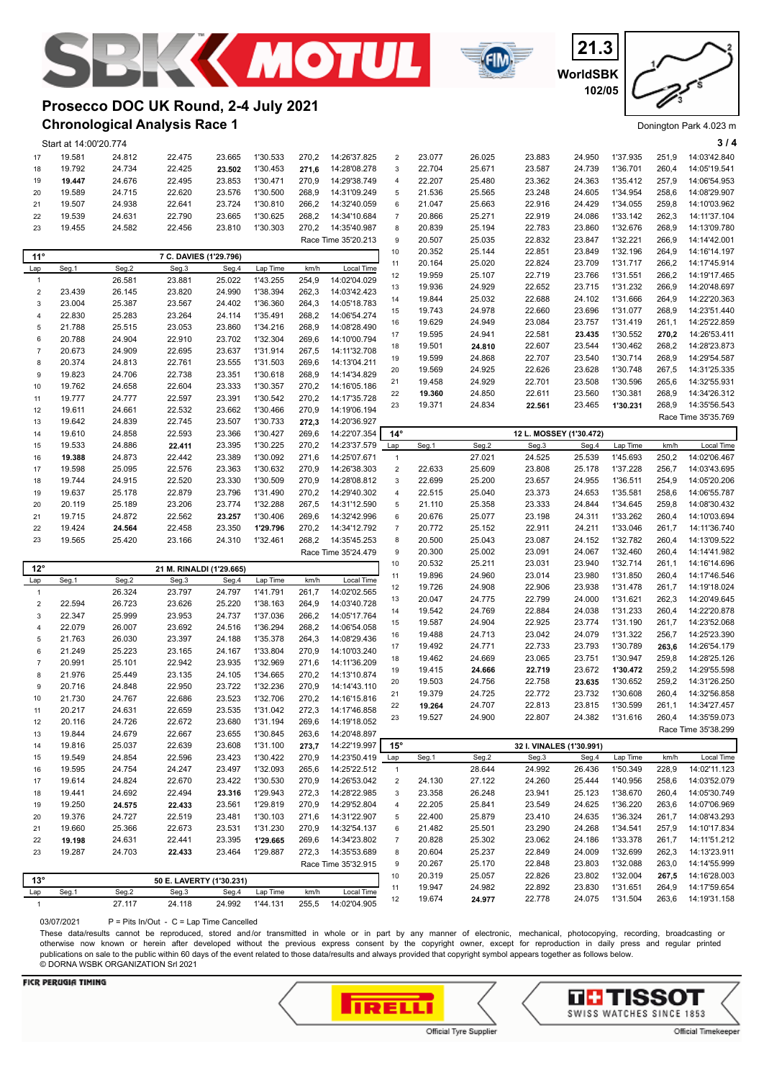



**WorldSBK 21.3 102/05**

#### Donington Park 4.023 m

## **Chronological Analysis Race 1 Prosecco DOC UK Round, 2-4 July 2021**

|                         | Start at 14:00'20.774 |                  |                          |                  |                      |                |                              |                     |                  |                  |                                  |                  |                      |                | 3/4                          |
|-------------------------|-----------------------|------------------|--------------------------|------------------|----------------------|----------------|------------------------------|---------------------|------------------|------------------|----------------------------------|------------------|----------------------|----------------|------------------------------|
| 17                      | 19.581                | 24.812           | 22.475                   | 23.665           | 1'30.533             | 270,2          | 14:26'37.825                 | $\overline{2}$      | 23.077           | 26.025           | 23.883                           | 24.950           | 1'37.935             | 251,9          | 14:03'42.840                 |
| 18                      | 19.792                | 24.734           | 22.425                   | 23.502           | 1'30.453             | 271,6          | 14:28'08.278                 | $\mathbf{3}$        | 22.704           | 25.671           | 23.587                           | 24.739           | 1'36.701             | 260,4          | 14:05'19.541                 |
| 19                      | 19.447                | 24.676           | 22.495                   | 23.853           | 1'30.471             | 270,9          | 14:29'38.749                 | $\overline{4}$      | 22.207           | 25.480           | 23.362                           | 24.363           | 1'35.412             | 257,9          | 14:06'54.953                 |
| 20                      | 19.589                | 24.715           | 22.620                   | 23.576           | 1'30.500             | 268,9          | 14:31'09.249                 | $\mathbf 5$         | 21.536           | 25.565           | 23.248                           | 24.605           | 1'34.954             | 258,6          | 14:08'29.907                 |
| 21                      | 19.507                | 24.938           | 22.641                   | 23.724           | 1'30.810             | 266,2          | 14:32'40.059                 | 6                   | 21.047           | 25.663           | 22.916                           | 24.429           | 1'34.055             | 259,8          | 14:10'03.962                 |
| 22                      | 19.539                | 24.631           | 22.790                   | 23.665           | 1'30.625             | 268,2          | 14:34'10.684                 | $\overline{7}$      | 20.866           | 25.271           | 22.919                           | 24.086           | 1'33.142             | 262,3          | 14:11'37.104                 |
| 23                      | 19.455                | 24.582           | 22.456                   | 23.810           | 1'30.303             | 270,2          | 14:35'40.987                 | 8                   | 20.839           | 25.194           | 22.783                           | 23.860           | 1'32.676             | 268,9          | 14:13'09.780                 |
|                         |                       |                  |                          |                  |                      |                | Race Time 35'20.213          | 9                   | 20.507           | 25.035           | 22.832                           | 23.847           | 1'32.221             | 266,9          | 14:14'42.001                 |
| 11°                     |                       |                  | 7 C. DAVIES (1'29.796)   |                  |                      |                |                              | 10                  | 20.352           | 25.144           | 22.851                           | 23.849           | 1'32.196             | 264,9          | 14:16'14.197                 |
| Lap                     | Seg.1                 | Seg.2            | Seg.3                    | Seg.4            | Lap Time             | km/h           | Local Time                   | 11                  | 20.164           | 25.020           | 22.824                           | 23.709           | 1'31.717             | 266,2          | 14:17'45.914                 |
| $\mathbf{1}$            |                       | 26.581           | 23.881                   | 25.022           | 1'43.255             | 254,9          | 14:02'04.029                 | 12                  | 19.959           | 25.107           | 22.719                           | 23.766           | 1'31.551             | 266,2          | 14:19'17.465                 |
| $\boldsymbol{2}$        | 23.439                | 26.145           | 23.820                   | 24.990           | 1'38.394             | 262,3          | 14:03'42.423                 | 13                  | 19.936           | 24.929           | 22.652                           | 23.715           | 1'31.232             | 266,9          | 14:20'48.697                 |
| 3                       | 23.004                | 25.387           | 23.567                   | 24.402           | 1'36.360             | 264,3          | 14:05'18.783                 | 14                  | 19.844           | 25.032           | 22.688                           | 24.102           | 1'31.666             | 264,9          | 14:22'20.363                 |
| $\overline{4}$          | 22.830                | 25.283           | 23.264                   | 24.114           | 1'35.491             | 268,2          | 14:06'54.274                 | 15                  | 19.743           | 24.978           | 22.660                           | 23.696           | 1'31.077<br>1'31.419 | 268,9          | 14:23'51.440<br>14:25'22.859 |
| 5                       | 21.788                | 25.515           | 23.053                   | 23.860           | 1'34.216             | 268,9          | 14:08'28.490                 | 16<br>17            | 19.629<br>19.595 | 24.949<br>24.941 | 23.084<br>22.581                 | 23.757           | 1'30.552             | 261,1<br>270,2 | 14:26'53.411                 |
| 6                       | 20.788                | 24.904           | 22.910                   | 23.702           | 1'32.304             | 269,6          | 14:10'00.794                 | 18                  | 19.501           | 24.810           | 22.607                           | 23.435<br>23.544 | 1'30.462             | 268,2          | 14:28'23.873                 |
| $\overline{7}$          | 20.673                | 24.909           | 22.695                   | 23.637           | 1'31.914             | 267,5          | 14:11'32.708                 | 19                  | 19.599           | 24.868           | 22.707                           | 23.540           | 1'30.714             | 268,9          | 14:29'54.587                 |
| 8                       | 20.374                | 24.813           | 22.761                   | 23.555           | 1'31.503             | 269,6          | 14:13'04.211                 | 20                  | 19.569           | 24.925           | 22.626                           | 23.628           | 1'30.748             | 267,5          | 14:31'25.335                 |
| 9                       | 19.823                | 24.706           | 22.738                   | 23.351           | 1'30.618             | 268,9          | 14:14'34.829                 | 21                  | 19.458           | 24.929           | 22.701                           | 23.508           | 1'30.596             | 265,6          | 14:32'55.931                 |
| 10                      | 19.762                | 24.658           | 22.604                   | 23.333           | 1'30.357             | 270,2          | 14:16'05.186                 | 22                  | 19.360           | 24.850           | 22.611                           | 23.560           | 1'30.381             | 268,9          | 14:34'26.312                 |
| 11                      | 19.777                | 24.777           | 22.597                   | 23.391           | 1'30.542             | 270,2          | 14:17'35.728                 | 23                  | 19.371           | 24.834           | 22.561                           | 23.465           | 1'30.231             | 268,9          | 14:35'56.543                 |
| 12                      | 19.611                | 24.661           | 22.532                   | 23.662           | 1'30.466             | 270,9          | 14:19'06.194                 |                     |                  |                  |                                  |                  |                      |                | Race Time 35'35.769          |
| 13                      | 19.642                | 24.839           | 22.745                   | 23.507           | 1'30.733             | 272,3          | 14:20'36.927                 | $14^\circ$          |                  |                  |                                  |                  |                      |                |                              |
| 14<br>15                | 19.610<br>19.533      | 24.858<br>24.886 | 22.593<br>22.411         | 23.366<br>23.395 | 1'30.427<br>1'30.225 | 269,6<br>270,2 | 14:22'07.354<br>14:23'37.579 | Lap                 | Seg.1            | Seg.2            | 12 L. MOSSEY (1'30.472)<br>Seg.3 | Seg.4            | Lap Time             | km/h           | Local Time                   |
| 16                      | 19.388                | 24.873           | 22.442                   | 23.389           | 1'30.092             | 271,6          | 14:25'07.671                 | $\overline{1}$      |                  | 27.021           | 24.525                           | 25.539           | 1'45.693             | 250,2          | 14:02'06.467                 |
| 17                      | 19.598                | 25.095           | 22.576                   | 23.363           | 1'30.632             | 270,9          | 14:26'38.303                 | $\sqrt{2}$          | 22.633           | 25.609           | 23.808                           | 25.178           | 1'37.228             | 256,7          | 14:03'43.695                 |
| 18                      | 19.744                | 24.915           | 22.520                   | 23.330           | 1'30.509             | 270,9          | 14:28'08.812                 | 3                   | 22.699           | 25.200           | 23.657                           | 24.955           | 1'36.511             | 254,9          | 14:05'20.206                 |
| 19                      | 19.637                | 25.178           | 22.879                   | 23.796           | 1'31.490             | 270,2          | 14:29'40.302                 | $\overline{4}$      | 22.515           | 25.040           | 23.373                           | 24.653           | 1'35.581             | 258,6          | 14:06'55.787                 |
| 20                      | 20.119                | 25.189           | 23.206                   | 23.774           | 1'32.288             | 267,5          | 14:31'12.590                 | $\mathbf 5$         | 21.110           | 25.358           | 23.333                           | 24.844           | 1'34.645             | 259,8          | 14:08'30.432                 |
| 21                      | 19.715                | 24.872           | 22.562                   | 23.257           | 1'30.406             | 269,6          | 14:32'42.996                 | 6                   | 20.676           | 25.077           | 23.198                           | 24.311           | 1'33.262             | 260,4          | 14:10'03.694                 |
| 22                      | 19.424                | 24.564           | 22.458                   | 23.350           | 1'29.796             | 270,2          | 14:34'12.792                 | $\overline{7}$      | 20.772           | 25.152           | 22.911                           | 24.211           | 1'33.046             | 261,7          | 14:11'36.740                 |
| 23                      | 19.565                | 25.420           | 23.166                   | 24.310           | 1'32.461             | 268,2          | 14:35'45.253                 | 8                   | 20.500           | 25.043           | 23.087                           | 24.152           | 1'32.782             | 260,4          | 14:13'09.522                 |
|                         |                       |                  |                          |                  |                      |                | Race Time 35'24.479          | 9                   | 20.300           | 25.002           | 23.091                           | 24.067           | 1'32.460             | 260,4          | 14:14'41.982                 |
| $12^{\circ}$            |                       |                  | 21 M. RINALDI (1'29.665) |                  |                      |                |                              | 10                  | 20.532           | 25.211           | 23.031                           | 23.940           | 1'32.714             | 261,1          | 14:16'14.696                 |
| Lap                     | Seg.1                 | Seg.2            | Seg.3                    | Seg.4            | Lap Time             | km/h           | Local Time                   | 11                  | 19.896           | 24.960           | 23.014                           | 23.980           | 1'31.850             | 260,4          | 14:17'46.546                 |
| $\overline{1}$          |                       | 26.324           |                          |                  | 1'41.791             | 261,7          | 14:02'02.565                 | 12                  | 19.726           | 24.908           | 22.906                           | 23.938           | 1'31.478             | 261,7          | 14:19'18.024                 |
| $\overline{\mathbf{c}}$ | 22.594                |                  |                          |                  |                      |                |                              |                     |                  |                  |                                  |                  |                      |                |                              |
| 3                       |                       |                  | 23.797                   | 24.797           |                      |                |                              | 13                  | 20.047           | 24.775           | 22.799                           | 24.000           | 1'31.621             | 262,3          | 14:20'49.645                 |
|                         |                       | 26.723           | 23.626                   | 25.220           | 1'38.163<br>1'37.036 | 264,9<br>266,2 | 14:03'40.728                 | 14                  | 19.542           | 24.769           | 22.884                           | 24.038           | 1'31.233             | 260,4          | 14:22'20.878                 |
| 4                       | 22.347<br>22.079      | 25.999<br>26.007 | 23.953<br>23.692         | 24.737<br>24.516 | 1'36.294             | 268,2          | 14:05'17.764<br>14:06'54.058 | 15                  | 19.587           | 24.904           | 22.925                           | 23.774           | 1'31.190             | 261,7          | 14:23'52.068                 |
| 5                       | 21.763                | 26.030           | 23.397                   | 24.188           | 1'35.378             | 264,3          | 14:08'29.436                 | 16                  | 19.488           | 24.713           | 23.042                           | 24.079           | 1'31.322             | 256,7          | 14:25'23.390                 |
| 6                       | 21.249                | 25.223           | 23.165                   | 24.167           | 1'33.804             | 270,9          | 14:10'03.240                 | 17                  | 19.492           | 24.771           | 22.733                           | 23.793           | 1'30.789             | 263,6          | 14:26'54.179                 |
| $\overline{7}$          | 20.991                | 25.101           | 22.942                   | 23.935           | 1'32.969             | 271,6          | 14:11'36.209                 | 18                  | 19.462           | 24.669           | 23.065                           | 23.751           | 1'30.947             | 259,8          | 14:28'25.126                 |
| 8                       | 21.976                | 25.449           | 23.135                   | 24.105           | 1'34.665             | 270,2          | 14:13'10.874                 | 19                  | 19.415           | 24.666           | 22.719                           | 23.672           | 1'30.472             | 259,2          | 14:29'55.598                 |
| 9                       | 20.716                | 24.848           | 22.950                   | 23.722           | 1'32.236             | 270,9          | 14:14'43.110                 | 20                  | 19.503           | 24.756           | 22.758                           | 23.635           | 1'30.652             | 259,2          | 14:31'26.250                 |
| 10                      | 21.730                | 24.767           | 22.686                   | 23.523           | 1'32.706             | 270,2          | 14:16'15.816                 | 21                  | 19.379           | 24.725           | 22.772                           | 23.732           | 1'30.608             | 260,4          | 14:32'56.858                 |
| 11                      | 20.217                | 24.631           | 22.659                   | 23.535           | 1'31.042             | 272,3          | 14:17'46.858                 | 22                  | 19.264           | 24.707           | 22.813                           | 23.815           | 1'30.599             | 261,1          | 14:34'27.457                 |
| 12                      | 20.116                | 24.726           | 22.672                   | 23.680           | 1'31.194             | 269,6          | 14:19'18.052                 | 23                  | 19.527           | 24.900           | 22.807                           | 24.382           | 1'31.616             |                | 260,4 14:35'59.073           |
| 13                      | 19.844                | 24.679           | 22.667                   | 23.655           | 1'30.845             | 263,6          | 14:20'48.897                 |                     |                  |                  |                                  |                  |                      |                | Race Time 35'38.299          |
| 14                      | 19.816                | 25.037           | 22.639                   | 23.608           | 1'31.100             | 273,7          | 14:22'19.997                 | $15^\circ$          |                  |                  | 32 I. VINALES (1'30.991)         |                  |                      |                |                              |
| 15                      | 19.549                | 24.854           | 22.596                   | 23.423           | 1'30.422             | 270,9          | 14:23'50.419                 | Lap                 | Seg.1            | Seg.2            | Seg.3                            | Seg.4            | Lap Time             | km/h           | Local Time                   |
| 16                      | 19.595                | 24.754           | 24.247                   | 23.497           | 1'32.093             | 265,6          | 14:25'22.512                 | $\mathbf{1}$        |                  | 28.644           | 24.992                           | 26.436           | 1'50.349             | 228,9          | 14:02'11.123                 |
| 17                      | 19.614                | 24.824           | 22.670                   | 23.422           | 1'30.530             | 270,9          | 14:26'53.042                 | $\sqrt{2}$          | 24.130           | 27.122           | 24.260                           | 25.444           | 1'40.956             | 258,6          | 14:03'52.079                 |
| 18                      | 19.441                | 24.692           | 22.494                   | 23.316           | 1'29.943             | 272,3          | 14:28'22.985                 | 3                   | 23.358           | 26.248           | 23.941                           | 25.123           | 1'38.670             | 260,4          | 14:05'30.749                 |
| 19                      | 19.250                | 24.575           | 22.433                   | 23.561           | 1'29.819             | 270,9          | 14:29'52.804                 | $\overline{4}$      | 22.205           | 25.841           | 23.549                           | 24.625           | 1'36.220             | 263,6          | 14:07'06.969                 |
| 20                      | 19.376                | 24.727           | 22.519                   | 23.481           | 1'30.103             | 271,6          | 14:31'22.907                 | 5                   | 22.400           | 25.879           | 23.410                           | 24.635           | 1'36.324             | 261,7          | 14:08'43.293                 |
| 21                      | 19.660                | 25.366           | 22.673                   | 23.531           | 1'31.230             | 270,9          | 14:32'54.137<br>14:34'23.802 | 6                   | 21.482           | 25.501           | 23.290                           | 24.268           | 1'34.541             | 257,9          | 14:10'17.834<br>14:11'51.212 |
| 22<br>23                | 19.198<br>19.287      | 24.631<br>24.703 | 22.441                   | 23.395<br>23.464 | 1'29.665<br>1'29.887 | 269,6<br>272,3 | 14:35'53.689                 | $\overline{7}$<br>8 | 20.828<br>20.604 | 25.302<br>25.237 | 23.062<br>22.849                 | 24.186<br>24.009 | 1'33.378<br>1'32.699 | 261,7<br>262,3 | 14:13'23.911                 |
|                         |                       |                  | 22.433                   |                  |                      |                | Race Time 35'32.915          | 9                   | 20.267           | 25.170           | 22.848                           | 23.803           | 1'32.088             | 263,0          | 14:14'55.999                 |
|                         |                       |                  |                          |                  |                      |                |                              | 10                  | 20.319           | 25.057           | 22.826                           | 23.802           | 1'32.004             | 267,5          | 14:16'28.003                 |
| $13^{\circ}$            |                       |                  | 50 E. LAVERTY (1'30.231) |                  |                      |                |                              | 11                  | 19.947           | 24.982           | 22.892                           | 23.830           | 1'31.651             | 264,9          | 14:17'59.654                 |
| Lap<br>$\overline{1}$   | Seg.1                 | Seg.2<br>27.117  | Seg.3<br>24.118          | Seg.4<br>24.992  | Lap Time<br>1'44.131 | km/h<br>255,5  | Local Time<br>14:02'04.905   | 12                  | 19.674           | 24.977           | 22.778                           | 24.075           | 1'31.504             | 263,6          | 14:19'31.158                 |

03/07/2021 P = Pits In/Out - C = Lap Time Cancelled

These data/results cannot be reproduced, stored and/or transmitted in whole or in part by any manner of electronic, mechanical, photocopying, recording, broadcasting or otherwise now known or herein after developed without the previous express consent by the copyright owner, except for reproduction in daily press and regular printed publications on sale to the public within 60 days of the event related to those data/results and always provided that copyright symbol appears together as follows below. © DORNA WSBK ORGANIZATION Srl 2021



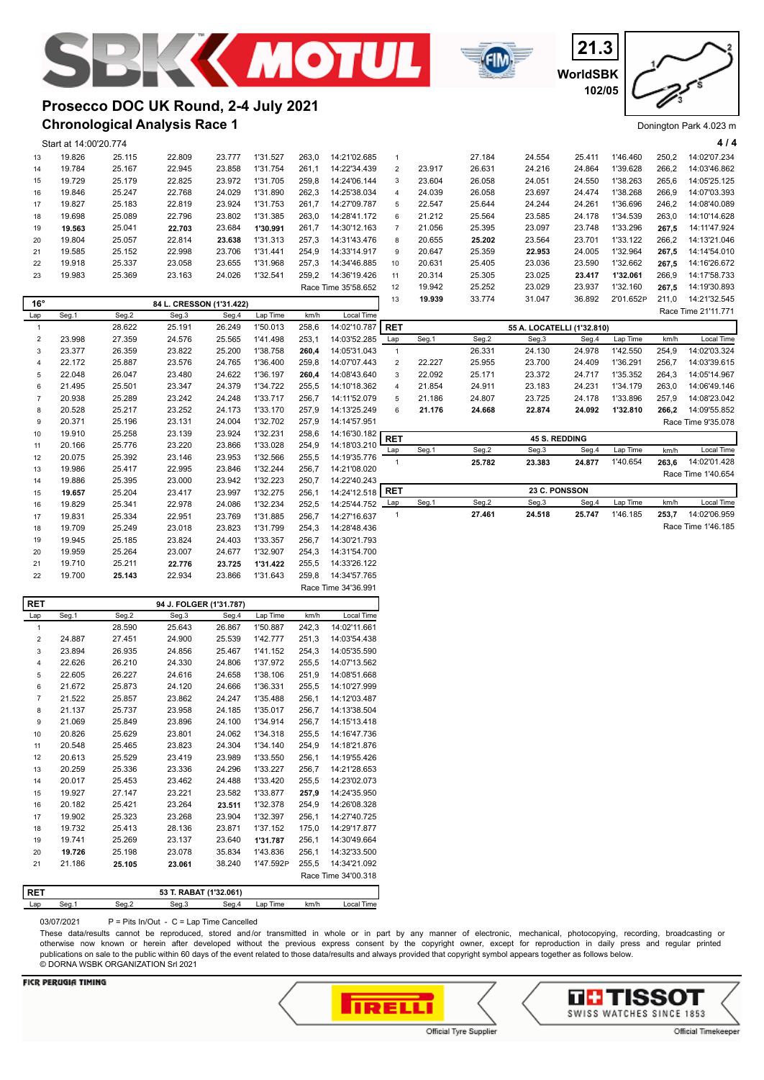





## **Chronological Analysis Race 1 Prosecco DOC UK Round, 2-4 July 2021**

|                         | Start at 14:00'20.774 |                  |                          |                  |                      |                |                            |                           |        |        |                            |        |           |       | 4/4                 |
|-------------------------|-----------------------|------------------|--------------------------|------------------|----------------------|----------------|----------------------------|---------------------------|--------|--------|----------------------------|--------|-----------|-------|---------------------|
| 13                      | 19.826                | 25.115           | 22.809                   | 23.777           | 1'31.527             | 263,0          | 14:21'02.685               | $\mathbf{1}$              |        | 27.184 | 24.554                     | 25.411 | 1'46.460  | 250,2 | 14:02'07.234        |
| 14                      | 19.784                | 25.167           | 22.945                   | 23.858           | 1'31.754             | 261,1          | 14:22'34.439               | $\mathbf 2$               | 23.917 | 26.631 | 24.216                     | 24.864 | 1'39.628  | 266,2 | 14:03'46.862        |
| 15                      | 19.729                | 25.179           | 22.825                   | 23.972           | 1'31.705             | 259,8          | 14:24'06.144               | 3                         | 23.604 | 26.058 | 24.051                     | 24.550 | 1'38.263  | 265,6 | 14:05'25.125        |
| 16                      | 19.846                | 25.247           | 22.768                   | 24.029           | 1'31.890             | 262,3          | 14:25'38.034               | 4                         | 24.039 | 26.058 | 23.697                     | 24.474 | 1'38.268  | 266,9 | 14:07'03.393        |
| 17                      | 19.827                | 25.183           | 22.819                   | 23.924           | 1'31.753             | 261,7          | 14:27'09.787               | 5                         | 22.547 | 25.644 | 24.244                     | 24.261 | 1'36.696  | 246,2 | 14:08'40.089        |
| 18                      | 19.698                | 25.089           | 22.796                   | 23.802           | 1'31.385             | 263,0          | 14:28'41.172               | 6                         | 21.212 | 25.564 | 23.585                     | 24.178 | 1'34.539  | 263,0 | 14:10'14.628        |
| 19                      | 19.563                | 25.041           | 22.703                   | 23.684           | 1'30.991             | 261,7          | 14:30'12.163               | $\overline{\mathfrak{c}}$ | 21.056 | 25.395 | 23.097                     | 23.748 | 1'33.296  | 267,5 | 14:11'47.924        |
| 20                      | 19.804                | 25.057           | 22.814                   | 23.638           | 1'31.313             | 257,3          | 14:31'43.476               | 8                         | 20.655 | 25.202 | 23.564                     | 23.701 | 1'33.122  | 266,2 | 14:13'21.046        |
| 21                      | 19.585                | 25.152           | 22.998                   | 23.706           | 1'31.441             | 254,9          | 14:33'14.917               | 9                         | 20.647 | 25.359 | 22.953                     | 24.005 | 1'32.964  | 267,5 | 14:14'54.010        |
| 22                      | 19.918                | 25.337           | 23.058                   | 23.655           | 1'31.968             | 257,3          | 14:34'46.885               | 10                        | 20.631 | 25.405 | 23.036                     | 23.590 | 1'32.662  | 267,5 | 14:16'26.672        |
| 23                      | 19.983                | 25.369           | 23.163                   | 24.026           | 1'32.541             | 259,2          | 14:36'19.426               | 11                        | 20.314 | 25.305 | 23.025                     | 23.417 | 1'32.061  | 266,9 | 14:17'58.733        |
|                         |                       |                  |                          |                  |                      |                | Race Time 35'58.652        | 12                        | 19.942 | 25.252 | 23.029                     | 23.937 | 1'32.160  | 267,5 | 14:19'30.893        |
| $16^{\circ}$            |                       |                  | 84 L. CRESSON (1'31.422) |                  |                      |                |                            | 13                        | 19.939 | 33.774 | 31.047                     | 36.892 | 2'01.652P | 211,0 | 14:21'32.545        |
| Lap                     | Seg.1                 | Seg.2            | Seg.3                    | Seg.4            | Lap Time             | km/h           | Local Time                 |                           |        |        |                            |        |           |       | Race Time 21'11.771 |
| $\mathbf{1}$            |                       | 28.622           | 25.191                   | 26.249           | 1'50.013             | 258,6          | 14:02'10.787               | <b>RET</b>                |        |        | 55 A. LOCATELLI (1'32.810) |        |           |       |                     |
| $\sqrt{2}$              | 23.998                | 27.359           | 24.576                   | 25.565           | 1'41.498             | 253,1          | 14:03'52.285               | Lap                       | Seg.1  | Seg.2  | Seg.3                      | Seg.4  | Lap Time  | km/h  | Local Time          |
| $\mathsf 3$             | 23.377                | 26.359           | 23.822                   | 25.200           | 1'38.758             | 260,4          | 14:05'31.043               | $\mathbf{1}$              |        | 26.331 | 24.130                     | 24.978 | 1'42.550  | 254,9 | 14:02'03.324        |
| $\overline{4}$          | 22.172                | 25.887           | 23.576                   | 24.765           | 1'36.400             | 259,8          | 14:07'07.443               | $\mathbf 2$               | 22.227 | 25.955 | 23.700                     | 24.409 | 1'36.291  | 256,7 | 14:03'39.615        |
| 5                       | 22.048                | 26.047           | 23.480                   | 24.622           | 1'36.197             | 260.4          | 14:08'43.640               | $\mathsf 3$               | 22.092 | 25.171 | 23.372                     | 24.717 | 1'35.352  | 264.3 | 14:05'14.967        |
| 6                       | 21.495                | 25.501           | 23.347                   | 24.379           | 1'34.722             | 255,5          | 14:10'18.362               | 4                         | 21.854 | 24.911 | 23.183                     | 24.231 | 1'34.179  | 263,0 | 14:06'49.146        |
| $\overline{7}$          | 20.938                | 25.289           | 23.242                   | 24.248           | 1'33.717             | 256,7          | 14:11'52.079               | $\mathbf 5$               | 21.186 | 24.807 | 23.725                     | 24.178 | 1'33.896  | 257,9 | 14:08'23.042        |
| 8                       | 20.528                | 25.217           | 23.252                   | 24.173           | 1'33.170             | 257,9          | 14:13'25.249               | 6                         | 21.176 | 24.668 | 22.874                     | 24.092 | 1'32.810  | 266,2 | 14:09'55.852        |
| 9                       | 20.371                | 25.196           | 23.131                   | 24.004           | 1'32.702             | 257,9          | 14:14'57.951               |                           |        |        |                            |        |           |       | Race Time 9'35.078  |
| 10                      | 19.910                | 25.258           | 23.139                   | 23.924           | 1'32.231             | 258,6          | 14:16'30.182               | <b>RET</b>                |        |        | 45 S. REDDING              |        |           |       |                     |
| 11                      | 20.166                | 25.776           | 23.220                   | 23.866           | 1'33.028             | 254,9          | 14:18'03.210               | Lap                       | Seg.1  | Seg.2  | Seg.3                      | Seg.4  | Lap Time  | km/h  | Local Time          |
| 12                      | 20.075                | 25.392           | 23.146                   | 23.953           | 1'32.566             | 255,5          | 14:19'35.776               | $\mathbf{1}$              |        | 25.782 | 23.383                     | 24.877 | 1'40.654  | 263,6 | 14:02'01.428        |
| 13                      | 19.986                | 25.417           | 22.995                   | 23.846           | 1'32.244             | 256,7          | 14:21'08.020               |                           |        |        |                            |        |           |       | Race Time 1'40.654  |
| 14                      | 19.886                | 25.395           | 23.000                   | 23.942           | 1'32.223             | 250,7          | 14:22'40.243               |                           |        |        |                            |        |           |       |                     |
| 15                      | 19.657                | 25.204           | 23.417                   | 23.997           | 1'32.275             | 256,1          | 14:24'12.518               | <b>RET</b>                |        |        | 23 C. PONSSON              |        |           |       |                     |
| 16                      | 19.829                | 25.341           | 22.978                   | 24.086           | 1'32.234             | 252,5          | 14:25'44.752               | Lap                       | Seg.1  | Seg.2  | Seg.3                      | Seg.4  | Lap Time  | km/h  | Local Time          |
| 17                      | 19.831                | 25.334           | 22.951                   | 23.769           | 1'31.885             | 256,7          | 14:27'16.637               | $\mathbf{1}$              |        | 27.461 | 24.518                     | 25.747 | 1'46.185  | 253,7 | 14:02'06.959        |
| 18                      | 19.709                | 25.249           | 23.018                   | 23.823           | 1'31.799             | 254,3          | 14:28'48.436               |                           |        |        |                            |        |           |       | Race Time 1'46.185  |
| 19                      | 19.945                | 25.185           | 23.824                   | 24.403           | 1'33.357             | 256,7          | 14:30'21.793               |                           |        |        |                            |        |           |       |                     |
| 20                      | 19.959                | 25.264           | 23.007                   | 24.677           | 1'32.907             | 254,3          | 14:31'54.700               |                           |        |        |                            |        |           |       |                     |
| 21                      | 19.710                | 25.211           | 22.776                   | 23.725           | 1'31.422             | 255,5          | 14:33'26.122               |                           |        |        |                            |        |           |       |                     |
| 22                      | 19.700                | 25.143           | 22.934                   | 23.866           | 1'31.643             | 259,8          | 14:34'57.765               |                           |        |        |                            |        |           |       |                     |
|                         |                       |                  |                          |                  |                      |                | Race Time 34'36.991        |                           |        |        |                            |        |           |       |                     |
| <b>RET</b>              |                       |                  | 94 J. FOLGER (1'31.787)  |                  |                      |                |                            |                           |        |        |                            |        |           |       |                     |
| Lap                     | Seg.1                 | Seg.2            | Seg.3                    | Seg.4            | Lap Time             | km/h           | Local Time                 |                           |        |        |                            |        |           |       |                     |
| $\mathbf{1}$            |                       | 28.590           | 25.643                   | 26.867           | 1'50.887             | 242,3          | 14:02'11.661               |                           |        |        |                            |        |           |       |                     |
| $\overline{\mathbf{c}}$ | 24.887                | 27.451           | 24.900                   | 25.539           | 1'42.777             | 251,3          | 14:03'54.438               |                           |        |        |                            |        |           |       |                     |
| $\mathsf 3$             | 23.894                | 26.935           | 24.856                   | 25.467           | 1'41.152             | 254,3          | 14:05'35.590               |                           |        |        |                            |        |           |       |                     |
| $\overline{4}$          | 22.626                | 26.210           | 24.330                   | 24.806           | 1'37.972             | 255,5          | 14:07'13.562               |                           |        |        |                            |        |           |       |                     |
| 5                       | 22.605                | 26.227           | 24.616                   | 24.658           | 1'38.106             | 251,9          | 14:08'51.668               |                           |        |        |                            |        |           |       |                     |
| 6                       | 21.672                | 25.873           | 24.120                   | 24.666           | 1'36.331             | 255,5          | 14:10'27.999               |                           |        |        |                            |        |           |       |                     |
| $\overline{7}$          | 21.522                | 25.857           | 23.862                   | 24.247           | 1'35.488             | 256,1          | 14:12'03.487               |                           |        |        |                            |        |           |       |                     |
| 8                       | 21.137                | 25.737           | 23.958                   | 24.185           | 1'35.017             | 256,7          | 14:13'38.504               |                           |        |        |                            |        |           |       |                     |
| 9                       | 21.069                | 25.849           | 23.896                   | 24.100           | 1'34.914             | 256,7          | 14:15'13.418               |                           |        |        |                            |        |           |       |                     |
| 10                      | 20.826                | 25.629           | 23.801                   | 24.062           | 1'34.318             | 255,5          | 14:16'47.736               |                           |        |        |                            |        |           |       |                     |
| 11                      | 20.548                | 25.465           | 23.823                   | 24.304           | 1'34.140             | 254,9          | 14:18'21.876               |                           |        |        |                            |        |           |       |                     |
| 12<br>13                | 20.613<br>20 259      | 25.529<br>25.336 | 23.419<br>23.336         | 23.989<br>24 296 | 1'33.550<br>1'33 227 | 256,1<br>256.7 | 14:19'55.426<br>14.2128653 |                           |        |        |                            |        |           |       |                     |
|                         |                       |                  |                          |                  |                      |                |                            |                           |        |        |                            |        |           |       |                     |

Lap Seg.1 Seg.2 Seg.3 Seg.4 Lap Time km/h Local Time 03/07/2021 P = Pits In/Out - C = Lap Time Cancelled

**RET 53 T. RABAT (1'32.061)**

 20.017 25.453 23.462 24.488 1'33.420 255,5 14:23'02.073 19.927 27.147 23.221 23.582 1'33.877 **257,9** 14:24'35.950 20.182 25.421 23.264 **23.511** 1'32.378 254,9 14:26'08.328 19.902 25.323 23.268 23.904 1'32.397 256,1 14:27'40.725 19.732 25.413 28.136 23.871 1'37.152 175,0 14:29'17.877 19.741 25.269 23.137 23.640 **1'31.787** 256,1 14:30'49.664  **19.726** 25.198 23.078 35.834 1'43.836 256,1 14:32'33.500 21.186 **25.105 23.061** 38.240 1'47.592P 255,5 14:34'21.092

These data/results cannot be reproduced, stored and/or transmitted in whole or in part by any manner of electronic, mechanical, photocopying, recording, broadcasting or otherwise now known or herein after developed without the previous express consent by the copyright owner, except for reproduction in daily press and regular printed publications on sale to the public within 60 days of the event related to those data/results and always provided that copyright symbol appears together as follows below. © DORNA WSBK ORGANIZATION Srl 2021

Race Time 34'00.318



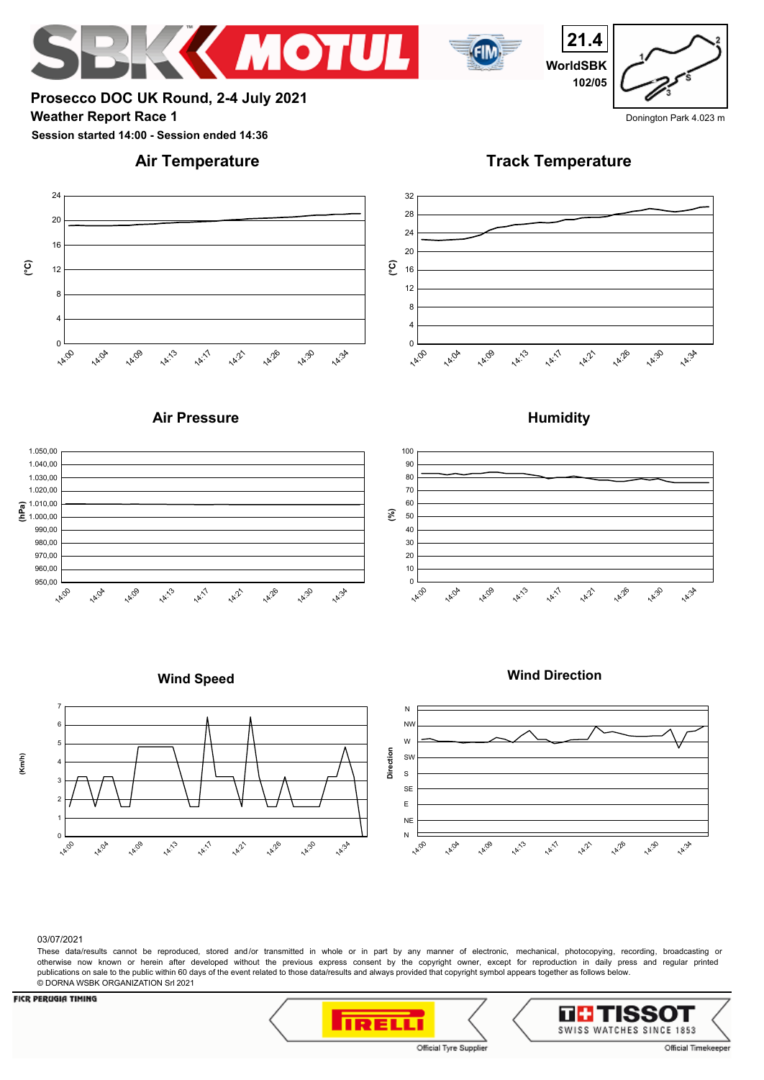## **Weather Report Race 1** Donington Park 4.023 m **Prosecco DOC UK Round, 2-4 July 2021**

**Session started 14:00 - Session ended 14:36**

## **Air Temperature**

**Track Temperature**







**ИМОТИ** 





**Humidity**

**12:21** 

**14:26** 

**14:30** 

**14:34** 



#### 03/07/2021

7

 **(Km/h)**

These data/results cannot be reproduced, stored and/or transmitted in whole or in part by any manner of electronic, mechanical, photocopying, recording, broadcasting or otherwise now known or herein after developed without the previous express consent by the copyright owner, except for reproduction in daily press and regular printed publications on sale to the public within 60 days of the event related to those data/results and always provided that copyright symbol appears together as follows below. © DORNA WSBK ORGANIZATION Srl 2021

### **FICR PERUGIA TIMING**

**IRELLI** 



SWISS WATCHES SINCE 1853

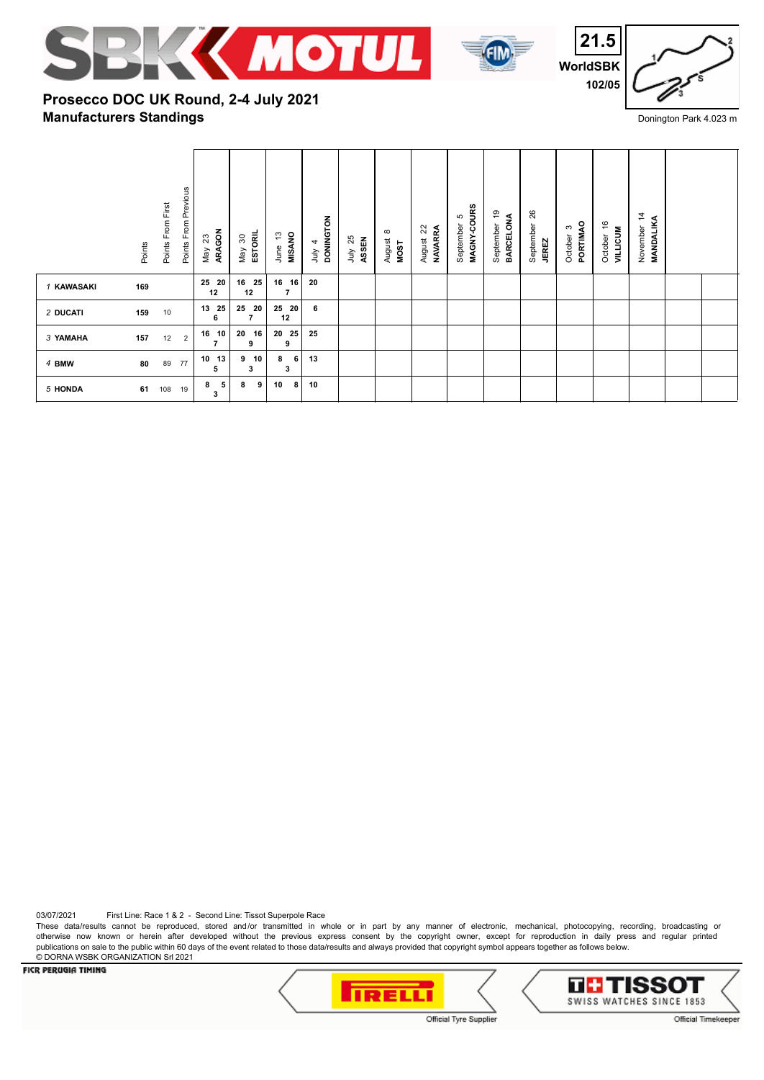





# **Manufacturers Standings Prosecco DOC UK Round, 2-4 July 2021**

|            | Points | Points From First | Points From Previous | ARAGON<br>$23\,$<br>May    | ESTORIL<br>May 30 | MISANO<br>مبر<br>ب<br>June | <b>DONINGTON</b><br>4<br>ylnr | 25<br>ASSEN<br>ληλ | $\infty$<br>August<br>MOST | August 22<br><b>NAVARRA</b> | MAGNY-COURS<br>Б<br>September | စ္<br>BARCELONA<br>September | 26<br>September<br><b>JEREZ</b> | PORTIMAO<br>S<br>October | $\frac{6}{5}$<br><b>AILLICUM</b><br>October | $\frac{4}{3}$<br><b>MANDALIKA</b><br>November |  |
|------------|--------|-------------------|----------------------|----------------------------|-------------------|----------------------------|-------------------------------|--------------------|----------------------------|-----------------------------|-------------------------------|------------------------------|---------------------------------|--------------------------|---------------------------------------------|-----------------------------------------------|--|
| 1 KAWASAKI | 169    |                   |                      | 25 20<br>12                | 25<br>16<br>12    | 16 16<br>$\overline{7}$    | 20                            |                    |                            |                             |                               |                              |                                 |                          |                                             |                                               |  |
| 2 DUCATI   | 159    | 10                |                      | 25<br>13<br>6              | 25<br>- 20<br>7   | 25 20<br>12                | 6                             |                    |                            |                             |                               |                              |                                 |                          |                                             |                                               |  |
| 3 YAMAHA   | 157    | 12                | $\overline{2}$       | 10<br>16<br>$\overline{7}$ | 16<br>20<br>9     | 20 25<br>9                 | 25                            |                    |                            |                             |                               |                              |                                 |                          |                                             |                                               |  |
| 4 BMW      | 80     | 89                | 77                   | 13<br>10<br>5              | 10<br>9<br>3      | 8<br>6<br>3                | 13                            |                    |                            |                             |                               |                              |                                 |                          |                                             |                                               |  |
| 5 HONDA    | 61     | 108               | 19                   | 5<br>8<br>3                | 8<br>9            | 10<br>8                    | 10                            |                    |                            |                             |                               |                              |                                 |                          |                                             |                                               |  |

03/07/2021 First Line: Race 1 & 2 - Second Line: Tissot Superpole Race

These data/results cannot be reproduced, stored and/or transmitted in whole or in part by any manner of electronic, mechanical, photocopying, recording, broadcasting or otherwise now known or herein after developed without the previous express consent by the copyright owner, except for reproduction in daily press and regular printed publications on sale to the public within 60 days of the event related to those data/results and always provided that copyright symbol appears together as follows below. © DORNA WSBK ORGANIZATION Srl 2021<br>FICR PERUGIA TIMING



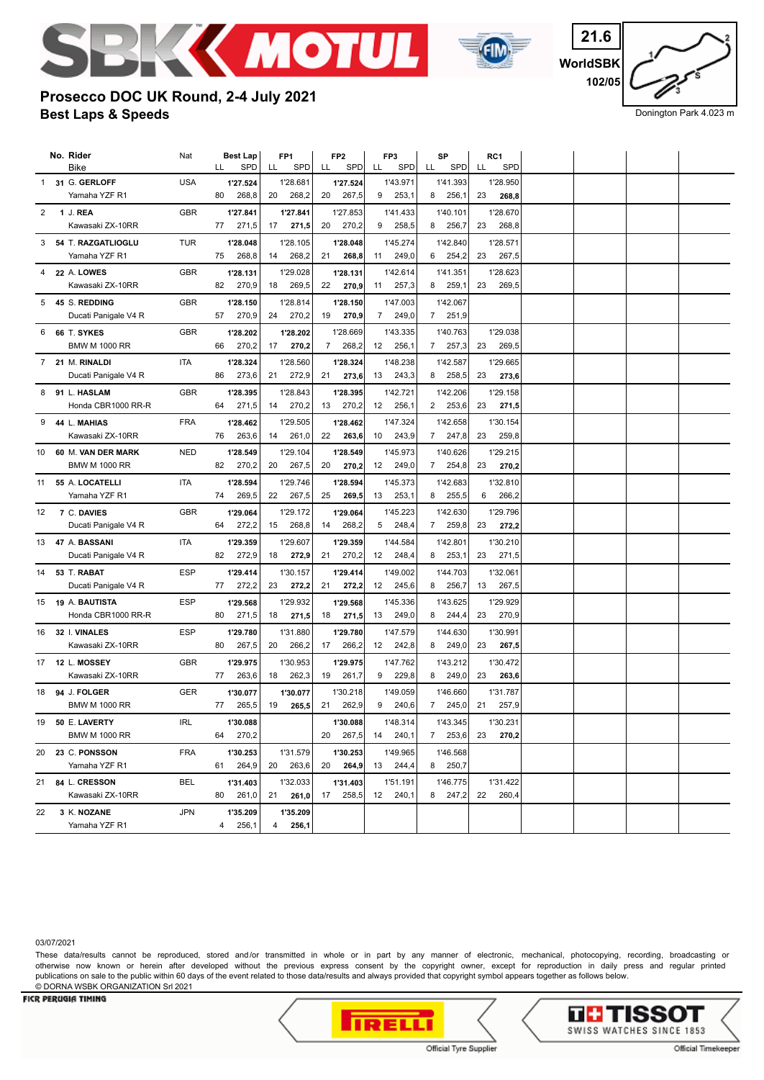



**WorldSBK 21.6 102/05**

Donington Park 4.023 m

# **Best Laps & Speeds Prosecco DOC UK Round, 2-4 July 2021**

|                | No. Rider<br>Bike                    | Nat        | LL | <b>Best Lap</b><br>SPD | LL | FP <sub>1</sub><br>SPD | LL | FP <sub>2</sub><br><b>SPD</b> | FP3<br>LL       | <b>SPD</b> | LL             | SP<br>SPD | LL | RC1<br><b>SPD</b> |  |  |
|----------------|--------------------------------------|------------|----|------------------------|----|------------------------|----|-------------------------------|-----------------|------------|----------------|-----------|----|-------------------|--|--|
|                |                                      |            |    |                        |    |                        |    |                               |                 |            |                |           |    |                   |  |  |
|                | 1 31 G. GERLOFF                      | <b>USA</b> | 80 | 1'27.524               |    | 1'28.681               |    | 1'27.524                      |                 | 1'43.971   |                | 1'41.393  |    | 1'28.950          |  |  |
|                | Yamaha YZF R1                        |            |    | 268,8                  | 20 | 268,2                  | 20 | 267,5                         | 9               | 253,1      | 8              | 256,1     | 23 | 268,8             |  |  |
| $\overline{2}$ | 1 J. REA                             | <b>GBR</b> |    | 1'27.841               |    | 1'27.841               |    | 1'27.853                      |                 | 1'41.433   |                | 1'40.101  |    | 1'28.670          |  |  |
|                | Kawasaki ZX-10RR                     |            | 77 | 271,5                  | 17 | 271,5                  | 20 | 270,2                         | 9               | 258,5      | 8              | 256,7     | 23 | 268,8             |  |  |
| 3              | 54 T. RAZGATLIOGLU                   | <b>TUR</b> |    | 1'28.048               |    | 1'28.105               |    | 1'28.048                      |                 | 1'45.274   |                | 1'42.840  |    | 1'28.571          |  |  |
|                | Yamaha YZF R1                        |            | 75 | 268,8                  | 14 | 268,2                  | 21 | 268,8                         | 11              | 249,0      | 6              | 254,2     | 23 | 267,5             |  |  |
| 4              | 22 A. LOWES                          | <b>GBR</b> |    | 1'28.131               |    | 1'29.028               |    | 1'28.131                      |                 | 1'42.614   |                | 1'41.351  |    | 1'28.623          |  |  |
|                | Kawasaki ZX-10RR                     |            | 82 | 270,9                  | 18 | 269,5                  | 22 | 270,9                         | 11              | 257,3      | 8              | 259,1     | 23 | 269,5             |  |  |
| 5              | 45 S. REDDING                        | GBR        |    | 1'28.150               |    | 1'28.814               |    | 1'28.150                      |                 | 1'47.003   |                | 1'42.067  |    |                   |  |  |
|                | Ducati Panigale V4 R                 |            | 57 | 270,9                  | 24 | 270,2                  | 19 | 270,9                         | $\overline{7}$  | 249,0      | $\overline{7}$ | 251,9     |    |                   |  |  |
|                |                                      |            |    |                        |    |                        |    |                               |                 |            |                |           |    |                   |  |  |
| 6              | 66 T. SYKES                          | <b>GBR</b> |    | 1'28.202               |    | 1'28.202               |    | 1'28.669                      |                 | 1'43.335   |                | 1'40.763  |    | 1'29.038          |  |  |
|                | <b>BMW M 1000 RR</b>                 |            | 66 | 270,2                  | 17 | 270,2                  | 7  | 268,2                         | 12              | 256,1      | 7              | 257,3     | 23 | 269,5             |  |  |
| 7              | 21 M. RINALDI                        | <b>ITA</b> |    | 1'28.324               |    | 1'28.560               |    | 1'28.324                      |                 | 1'48.238   |                | 1'42.587  |    | 1'29.665          |  |  |
|                | Ducati Panigale V4 R                 |            | 86 | 273,6                  | 21 | 272,9                  | 21 | 273,6                         | 13              | 243,3      | 8              | 258,5     | 23 | 273,6             |  |  |
| 8              | 91 L. HASLAM                         | <b>GBR</b> |    | 1'28.395               |    | 1'28.843               |    | 1'28.395                      |                 | 1'42.721   |                | 1'42.206  |    | 1'29.158          |  |  |
|                | Honda CBR1000 RR-R                   |            | 64 | 271,5                  | 14 | 270,2                  | 13 | 270,2                         | 12              | 256,1      | $\overline{2}$ | 253,6     | 23 | 271,5             |  |  |
| 9              | 44 L. MAHIAS                         | <b>FRA</b> |    | 1'28.462               |    | 1'29.505               |    | 1'28.462                      |                 | 1'47.324   |                | 1'42.658  |    | 1'30.154          |  |  |
|                | Kawasaki ZX-10RR                     |            | 76 | 263,6                  | 14 | 261,0                  | 22 | 263,6                         | 10              | 243,9      | 7              | 247,8     | 23 | 259,8             |  |  |
| 10             | 60 M. VAN DER MARK                   | <b>NED</b> |    | 1'28.549               |    | 1'29.104               |    | 1'28.549                      |                 | 1'45.973   |                | 1'40.626  |    | 1'29.215          |  |  |
|                | <b>BMW M 1000 RR</b>                 |            | 82 | 270,2                  | 20 | 267,5                  | 20 | 270,2                         | 12              | 249,0      | 7              | 254,8     | 23 | 270,2             |  |  |
|                |                                      |            |    |                        |    |                        |    |                               |                 |            |                |           |    |                   |  |  |
| 11             | 55 A. LOCATELLI                      | <b>ITA</b> |    | 1'28.594               |    | 1'29.746               |    | 1'28.594                      |                 | 1'45.373   |                | 1'42.683  |    | 1'32.810          |  |  |
|                | Yamaha YZF R1                        |            | 74 | 269,5                  | 22 | 267,5                  | 25 | 269,5                         | 13              | 253,1      | 8              | 255,5     | 6  | 266,2             |  |  |
| 12             | 7 C. DAVIES                          | GBR        |    | 1'29.064               |    | 1'29.172               |    | 1'29.064                      |                 | 1'45.223   |                | 1'42.630  |    | 1'29.796          |  |  |
|                | Ducati Panigale V4 R                 |            | 64 | 272,2                  | 15 | 268,8                  | 14 | 268,2                         | 5               | 248,4      | $\overline{7}$ | 259,8     | 23 | 272,2             |  |  |
| 13             | 47 A. BASSANI                        | <b>ITA</b> |    | 1'29.359               |    | 1'29.607               |    | 1'29.359                      |                 | 1'44.584   |                | 1'42.801  |    | 1'30.210          |  |  |
|                | Ducati Panigale V4 R                 |            | 82 | 272,9                  | 18 | 272,9                  | 21 | 270,2                         | 12              | 248,4      | 8              | 253,1     | 23 | 271,5             |  |  |
| 14             | 53 T. RABAT                          | <b>ESP</b> |    | 1'29.414               |    | 1'30.157               |    | 1'29.414                      |                 | 1'49.002   |                | 1'44.703  |    | 1'32.061          |  |  |
|                | Ducati Panigale V4 R                 |            | 77 | 272,2                  | 23 | 272,2                  | 21 | 272,2                         | 12              | 245,6      | 8              | 256,7     | 13 | 267,5             |  |  |
|                |                                      | <b>ESP</b> |    |                        |    | 1'29.932               |    |                               |                 | 1'45.336   |                | 1'43.625  |    | 1'29.929          |  |  |
| 15             | 19 A. BAUTISTA<br>Honda CBR1000 RR-R |            | 80 | 1'29.568<br>271,5      | 18 |                        | 18 | 1'29.568                      | 13              | 249,0      | 8              | 244,4     | 23 | 270,9             |  |  |
|                |                                      |            |    |                        |    | 271,5                  |    | 271,5                         |                 |            |                |           |    |                   |  |  |
| 16             | 32 I. VINALES                        | <b>ESP</b> |    | 1'29.780               |    | 1'31.880               |    | 1'29.780                      |                 | 1'47.579   |                | 1'44.630  |    | 1'30.991          |  |  |
|                | Kawasaki ZX-10RR                     |            | 80 | 267,5                  | 20 | 266,2                  | 17 | 266,2                         | 12 <sup>2</sup> | 242,8      | 8              | 249,0     | 23 | 267,5             |  |  |
| 17             | <b>12 L. MOSSEY</b>                  | GBR        |    | 1'29.975               |    | 1'30.953               |    | 1'29.975                      |                 | 1'47.762   |                | 1'43.212  |    | 1'30.472          |  |  |
|                | Kawasaki ZX-10RR                     |            | 77 | 263,6                  | 18 | 262,3                  | 19 | 261,7                         | 9               | 229,8      | 8              | 249,0     | 23 | 263,6             |  |  |
|                | 18 94 J. FOLGER                      | GER        |    | 1'30.077               |    | 1'30.077               |    | 1'30.218                      |                 | 1'49.059   |                | 1'46.660  |    | 1'31.787          |  |  |
|                | <b>BMW M 1000 RR</b>                 |            | 77 | 265,5                  | 19 | 265,5                  | 21 | 262,9                         | 9               | 240,6      | $\overline{7}$ | 245,0     | 21 | 257,9             |  |  |
|                | 19 50 E. LAVERTY                     | IRL        |    | 1'30.088               |    |                        |    | 1'30.088                      |                 | 1'48.314   |                | 1'43.345  |    | 1'30.231          |  |  |
|                | <b>BMW M 1000 RR</b>                 |            | 64 | 270,2                  |    |                        | 20 | 267,5                         | 14              | 240,1      | $\overline{7}$ | 253,6     | 23 | 270,2             |  |  |
|                |                                      |            |    |                        |    |                        |    |                               |                 | 1'49.965   |                |           |    |                   |  |  |
|                | 20 23 C. PONSSON                     | <b>FRA</b> |    | 1'30.253               |    | 1'31.579               |    | 1'30.253                      |                 |            |                | 1'46.568  |    |                   |  |  |
|                | Yamaha YZF R1                        |            | 61 | 264,9                  | 20 | 263,6                  | 20 | 264,9                         | 13              | 244,4      | 8              | 250,7     |    |                   |  |  |
| 21             | 84 L. CRESSON                        | <b>BEL</b> |    | 1'31.403               |    | 1'32.033               |    | 1'31.403                      |                 | 1'51.191   |                | 1'46.775  |    | 1'31.422          |  |  |
|                | Kawasaki ZX-10RR                     |            | 80 | 261,0                  | 21 | 261,0                  | 17 | 258,5                         | 12              | 240,1      | 8              | 247,2     | 22 | 260,4             |  |  |
| 22             | 3 K. NOZANE                          | <b>JPN</b> |    | 1'35.209               |    | 1'35.209               |    |                               |                 |            |                |           |    |                   |  |  |
|                | Yamaha YZF R1                        |            | 4  | 256,1                  | 4  | 256,1                  |    |                               |                 |            |                |           |    |                   |  |  |

03/07/2021

These data/results cannot be reproduced, stored and/or transmitted in whole or in part by any manner of electronic, mechanical, photocopying, recording, broadcasting or otherwise now known or herein after developed without the previous express consent by the copyright owner, except for reproduction in daily press and regular printed publications on sale to the public within 60 days of the event related to those data/results and always provided that copyright symbol appears together as follows below. © DORNA WSBK ORGANIZATION Srl 2021



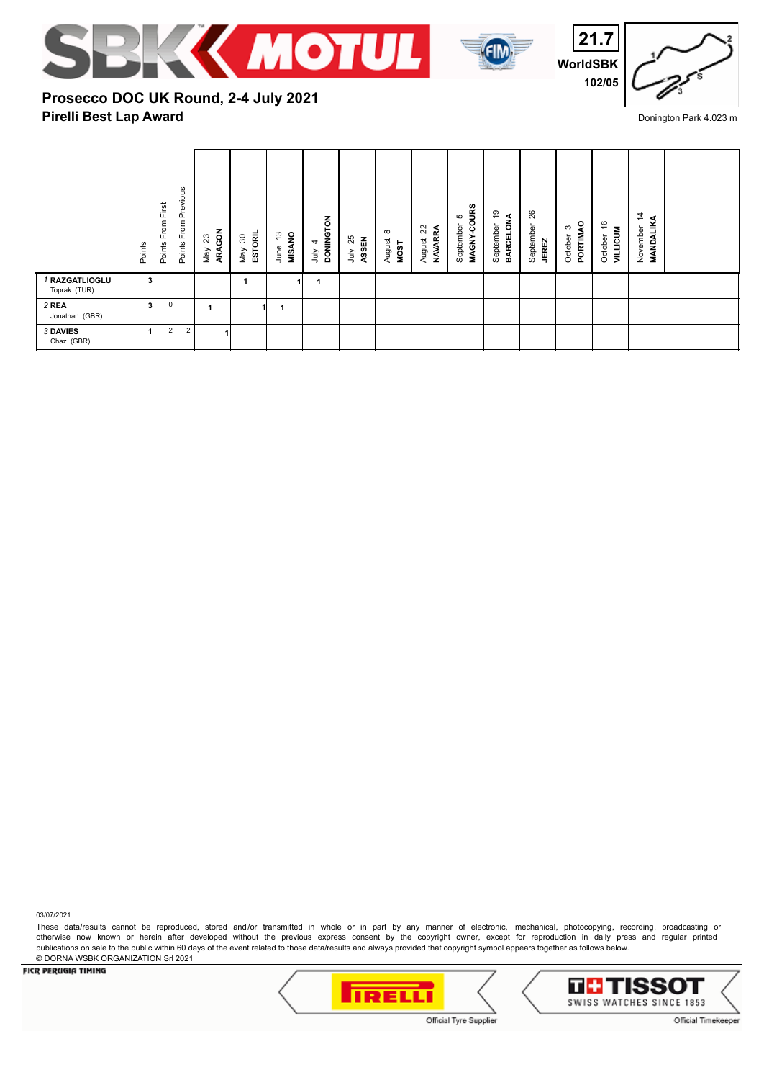





## **Pirelli Best Lap Award Prosecco DOC UK Round, 2-4 July 2021**

|                                | From Previous<br>Points From First<br>Points<br>Points | $3\frac{8}{9}$<br>ARA<br>Мay | ESTORIL<br>ౚ<br>May | <b>MISANO</b><br>مبر<br>ب<br>June | <b>DONINGTON</b><br>4<br>$\frac{2}{3}$ | 25<br>ASSEN<br>ήnΓ | $\infty$<br>August<br>MOST | 22<br><b>NAVARRA</b><br>August | MAGNY-COURS<br>S<br>September | စ္<br>⋖<br>BARCELON<br>৳<br>Septembe | 26<br>September<br><b>JEREZ</b> | o<br>S<br>PORTIM<br>October | ဖ<br>$\overline{\phantom{0}}$<br><b>AILLICUM</b><br>October | $\overline{4}$<br><b>MANDALIK</b><br>November |  |
|--------------------------------|--------------------------------------------------------|------------------------------|---------------------|-----------------------------------|----------------------------------------|--------------------|----------------------------|--------------------------------|-------------------------------|--------------------------------------|---------------------------------|-----------------------------|-------------------------------------------------------------|-----------------------------------------------|--|
| 1 RAZGATLIOGLU<br>Toprak (TUR) | 3                                                      |                              |                     |                                   |                                        |                    |                            |                                |                               |                                      |                                 |                             |                                                             |                                               |  |
| 2 REA<br>Jonathan (GBR)        | $\mathsf 0$<br>3                                       | 1                            |                     |                                   |                                        |                    |                            |                                |                               |                                      |                                 |                             |                                                             |                                               |  |
| <b>3 DAVIES</b><br>Chaz (GBR)  | $\overline{2}$<br>$\overline{2}$<br>1                  |                              |                     |                                   |                                        |                    |                            |                                |                               |                                      |                                 |                             |                                                             |                                               |  |

03/07/2021

These data/results cannot be reproduced, stored and/or transmitted in whole or in part by any manner of electronic, mechanical, photocopying, recording, broadcasting or otherwise now known or herein after developed without the previous express consent by the copyright owner, except for reproduction in daily press and regular printed publications on sale to the public within 60 days of the event related to those data/results and always provided that copyright symbol appears together as follows below. © DORNA WSBK ORGANIZATION Srl 2021